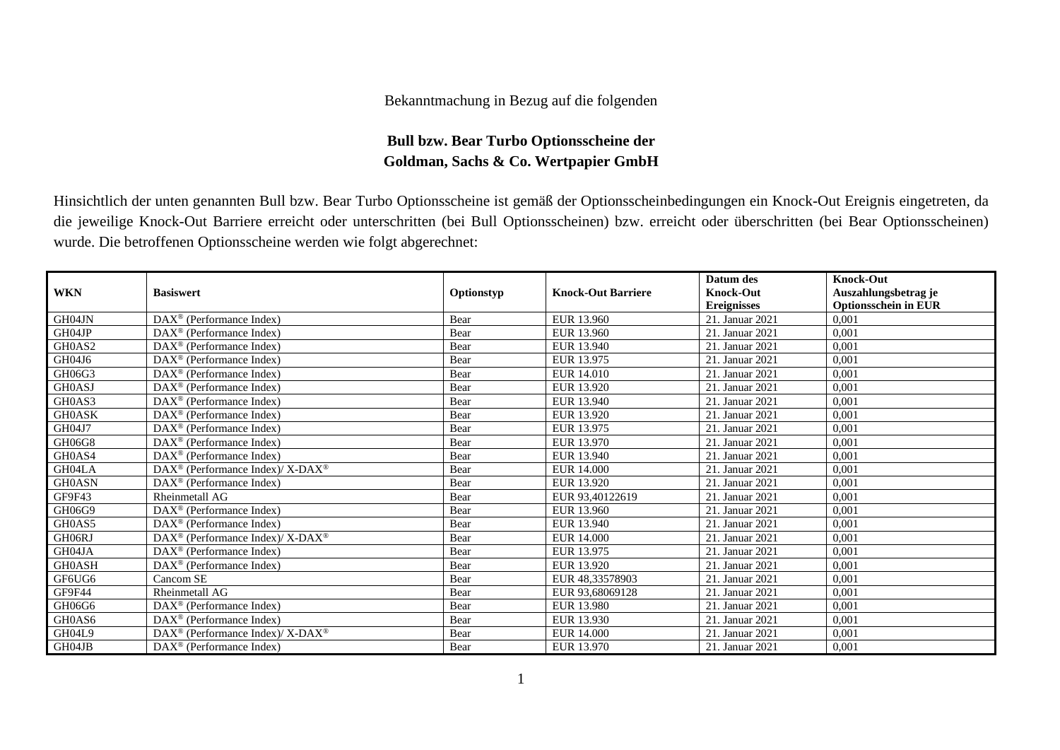## Bekanntmachung in Bezug auf die folgenden

## **Bull bzw. Bear Turbo Optionsscheine der Goldman, Sachs & Co. Wertpapier GmbH**

Hinsichtlich der unten genannten Bull bzw. Bear Turbo Optionsscheine ist gemäß der Optionsscheinbedingungen ein Knock-Out Ereignis eingetreten, da die jeweilige Knock-Out Barriere erreicht oder unterschritten (bei Bull Optionsscheinen) bzw. erreicht oder überschritten (bei Bear Optionsscheinen) wurde. Die betroffenen Optionsscheine werden wie folgt abgerechnet:

|               |                                                             |            |                           | Datum des          | <b>Knock-Out</b>            |
|---------------|-------------------------------------------------------------|------------|---------------------------|--------------------|-----------------------------|
| <b>WKN</b>    | <b>Basiswert</b>                                            | Optionstyp | <b>Knock-Out Barriere</b> | <b>Knock-Out</b>   | Auszahlungsbetrag je        |
|               |                                                             |            |                           | <b>Ereignisses</b> | <b>Optionsschein in EUR</b> |
| GH04JN        | DAX <sup>®</sup> (Performance Index)                        | Bear       | EUR 13.960                | 21. Januar 2021    | 0.001                       |
| GH04JP        | $\text{DAX}^{\textcircled{}}$ (Performance Index)           | Bear       | EUR 13.960                | 21. Januar 2021    | 0,001                       |
| GH0AS2        | $DAX^{\circledcirc}$ (Performance Index)                    | Bear       | EUR 13.940                | 21. Januar 2021    | 0,001                       |
| GH04J6        | $DAX^{\circledast}$ (Performance Index)                     | Bear       | EUR 13.975                | 21. Januar 2021    | 0,001                       |
| GH06G3        | $DAX^{\circledast}$ (Performance Index)                     | Bear       | EUR 14.010                | 21. Januar 2021    | 0,001                       |
| <b>GH0ASJ</b> | $DAX^{\circledast}$ (Performance Index)                     | Bear       | EUR 13.920                | 21. Januar 2021    | 0.001                       |
| GH0AS3        | $DAX^{\circledast}$ (Performance Index)                     | Bear       | EUR 13.940                | 21. Januar 2021    | 0,001                       |
| <b>GH0ASK</b> | DAX <sup>®</sup> (Performance Index)                        | Bear       | EUR 13.920                | 21. Januar 2021    | 0,001                       |
| GH04J7        | DAX <sup>®</sup> (Performance Index)                        | Bear       | EUR 13.975                | 21. Januar 2021    | 0,001                       |
| GH06G8        | $DAX^{\circledast}$ (Performance Index)                     | Bear       | EUR 13.970                | 21. Januar 2021    | 0,001                       |
| GH0AS4        | $DAX^{\circledast}$ (Performance Index)                     | Bear       | EUR 13.940                | 21. Januar 2021    | 0,001                       |
| GH04LA        | $DAX^{\circledast}$ (Performance Index)/ X-DAX <sup>®</sup> | Bear       | EUR 14.000                | 21. Januar 2021    | 0,001                       |
| <b>GH0ASN</b> | $\text{DAX}^{\otimes}$ (Performance Index)                  | Bear       | EUR 13.920                | 21. Januar 2021    | 0,001                       |
| GF9F43        | Rheinmetall AG                                              | Bear       | EUR 93,40122619           | 21. Januar 2021    | 0,001                       |
| GH06G9        | $DAX^{\circledR}$ (Performance Index)                       | Bear       | EUR 13.960                | 21. Januar 2021    | 0.001                       |
| GH0AS5        | $DAX^{\circledcirc}$ (Performance Index)                    | Bear       | EUR 13.940                | 21. Januar 2021    | 0,001                       |
| GH06RJ        | DAX <sup>®</sup> (Performance Index)/ X-DAX <sup>®</sup>    | Bear       | <b>EUR 14.000</b>         | 21. Januar 2021    | 0,001                       |
| GH04JA        | DAX <sup>®</sup> (Performance Index)                        | Bear       | EUR 13.975                | 21. Januar 2021    | 0,001                       |
| <b>GH0ASH</b> | $DAX^{\circledast}$ (Performance Index)                     | Bear       | EUR 13.920                | 21. Januar 2021    | 0.001                       |
| GF6UG6        | Cancom SE                                                   | Bear       | EUR 48,33578903           | 21. Januar 2021    | 0,001                       |
| GF9F44        | Rheinmetall AG                                              | Bear       | EUR 93,68069128           | 21. Januar 2021    | 0,001                       |
| GH06G6        | DAX <sup>®</sup> (Performance Index)                        | Bear       | EUR 13.980                | 21. Januar 2021    | 0,001                       |
| GH0AS6        | $DAX^{\circledR}$ (Performance Index)                       | Bear       | EUR 13.930                | 21. Januar 2021    | 0,001                       |
| GH04L9        | $DAX^{\circledast}$ (Performance Index)/ X-DAX <sup>®</sup> | Bear       | EUR 14.000                | 21. Januar 2021    | 0,001                       |
| GH04JB        | $DAX^{\circledcirc}$ (Performance Index)                    | Bear       | EUR 13.970                | 21. Januar 2021    | 0,001                       |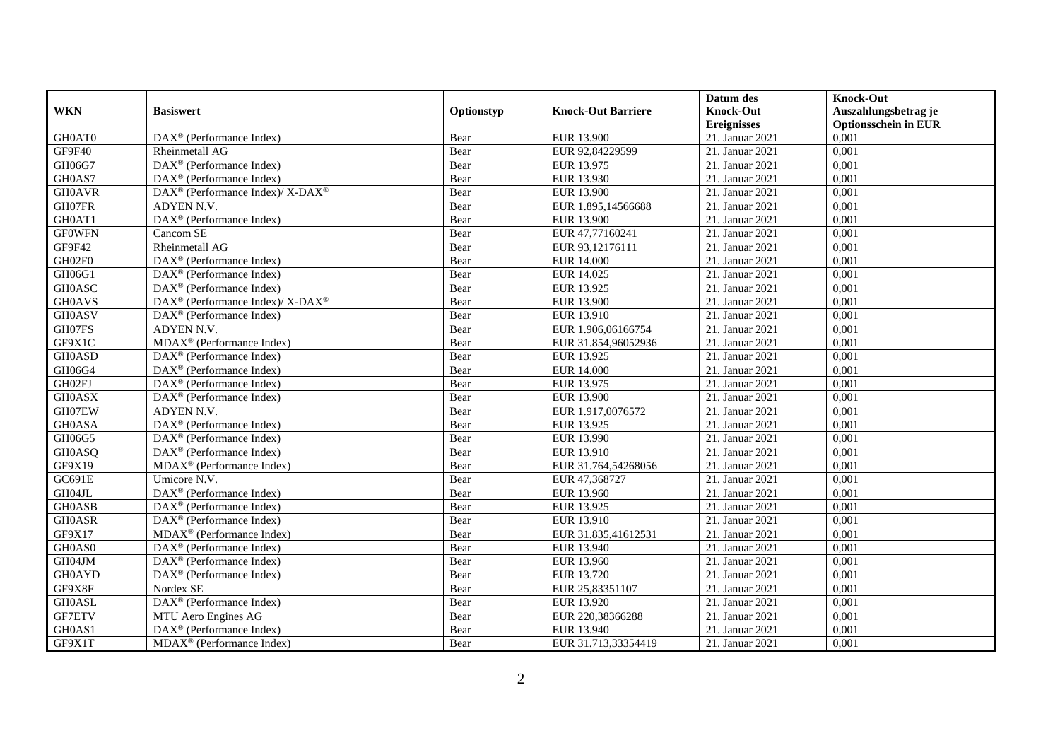|               |                                                                    |            |                           | Datum des          | <b>Knock-Out</b>            |
|---------------|--------------------------------------------------------------------|------------|---------------------------|--------------------|-----------------------------|
| <b>WKN</b>    | <b>Basiswert</b>                                                   | Optionstyp | <b>Knock-Out Barriere</b> | <b>Knock-Out</b>   | Auszahlungsbetrag je        |
|               |                                                                    |            |                           | <b>Ereignisses</b> | <b>Optionsschein in EUR</b> |
| GH0AT0        | DAX <sup>®</sup> (Performance Index)                               | Bear       | <b>EUR 13.900</b>         | 21. Januar 2021    | 0,001                       |
| GF9F40        | Rheinmetall AG                                                     | Bear       | EUR 92,84229599           | 21. Januar 2021    | 0,001                       |
| GH06G7        | $\text{DAX}^{\textcircled{n}}$ (Performance Index)                 | Bear       | EUR 13.975                | 21. Januar 2021    | 0,001                       |
| GH0AS7        | $\text{DAX}^{\textcircled{n}}$ (Performance Index)                 | Bear       | EUR 13.930                | 21. Januar 2021    | 0,001                       |
| <b>GH0AVR</b> | $\text{DAX}^{\circledR}$ (Performance Index)/ X-DAX <sup>®</sup>   | Bear       | <b>EUR 13.900</b>         | 21. Januar 2021    | 0,001                       |
| GH07FR        | ADYEN N.V.                                                         | Bear       | EUR 1.895,14566688        | 21. Januar 2021    | 0,001                       |
| GH0AT1        | $\overline{\text{DAX}^{\otimes}}$ (Performance Index)              | Bear       | EUR 13.900                | 21. Januar 2021    | 0,001                       |
| <b>GFOWFN</b> | Cancom SE                                                          | Bear       | EUR 47,77160241           | 21. Januar 2021    | 0,001                       |
| GF9F42        | <b>Rheinmetall AG</b>                                              | Bear       | EUR 93,12176111           | 21. Januar 2021    | 0,001                       |
| GH02F0        | DAX <sup>®</sup> (Performance Index)                               | Bear       | <b>EUR 14.000</b>         | 21. Januar 2021    | 0,001                       |
| GH06G1        | DAX <sup>®</sup> (Performance Index)                               | Bear       | EUR 14.025                | 21. Januar 2021    | 0,001                       |
| <b>GH0ASC</b> | DAX <sup>®</sup> (Performance Index)                               | Bear       | EUR 13.925                | 21. Januar 2021    | 0,001                       |
| <b>GH0AVS</b> | $\text{DAX}^{\circledast}$ (Performance Index)/ X-DAX <sup>®</sup> | Bear       | EUR 13.900                | 21. Januar 2021    | 0,001                       |
| <b>GH0ASV</b> | DAX <sup>®</sup> (Performance Index)                               | Bear       | EUR 13.910                | 21. Januar 2021    | 0,001                       |
| GH07FS        | ADYEN N.V.                                                         | Bear       | EUR 1.906,06166754        | 21. Januar 2021    | 0,001                       |
| GF9X1C        | MDAX <sup>®</sup> (Performance Index)                              | Bear       | EUR 31.854,96052936       | 21. Januar 2021    | 0,001                       |
| <b>GH0ASD</b> | $\text{DAX}^{\textcircled{p}}$ (Performance Index)                 | Bear       | EUR 13.925                | 21. Januar 2021    | 0,001                       |
| GH06G4        | $\overline{\text{DAX}^{\otimes}}$ (Performance Index)              | Bear       | <b>EUR 14.000</b>         | 21. Januar 2021    | 0,001                       |
| GH02FJ        | $\text{DAX}^{\textcircled{n}}$ (Performance Index)                 | Bear       | EUR 13.975                | 21. Januar 2021    | 0,001                       |
| <b>GH0ASX</b> | DAX <sup>®</sup> (Performance Index)                               | Bear       | EUR 13.900                | 21. Januar 2021    | 0,001                       |
| GH07EW        | ADYEN N.V.                                                         | Bear       | EUR 1.917,0076572         | 21. Januar 2021    | 0,001                       |
| <b>GH0ASA</b> | DAX <sup>®</sup> (Performance Index)                               | Bear       | EUR 13.925                | 21. Januar 2021    | 0,001                       |
| GH06G5        | DAX <sup>®</sup> (Performance Index)                               | Bear       | EUR 13.990                | 21. Januar 2021    | 0,001                       |
| <b>GH0ASQ</b> | $\text{DAX}^{\textcircled{D}}$ (Performance Index)                 | Bear       | <b>EUR 13.910</b>         | 21. Januar 2021    | 0,001                       |
| GF9X19        | $MDAX^{\circledR}$ (Performance Index)                             | Bear       | EUR 31.764,54268056       | 21. Januar 2021    | 0,001                       |
| GC691E        | Umicore N.V.                                                       | Bear       | EUR 47,368727             | 21. Januar 2021    | 0,001                       |
| GH04JL        | DAX <sup>®</sup> (Performance Index)                               | Bear       | EUR 13.960                | 21. Januar 2021    | 0,001                       |
| <b>GH0ASB</b> | $\text{DAX}^{\textcircled{D}}$ (Performance Index)                 | Bear       | EUR 13.925                | 21. Januar 2021    | 0,001                       |
| <b>GH0ASR</b> | DAX <sup>®</sup> (Performance Index)                               | Bear       | EUR 13.910                | 21. Januar 2021    | 0,001                       |
| GF9X17        | $MDAX^{\circledR}$ (Performance Index)                             | Bear       | EUR 31.835.41612531       | 21. Januar 2021    | 0.001                       |
| GH0AS0        | $\text{DAX}^{\textcircled{D}}$ (Performance Index)                 | Bear       | EUR 13.940                | 21. Januar 2021    | 0,001                       |
| GH04JM        | $\text{DAX}^{\textcircled{D}}$ (Performance Index)                 | Bear       | EUR 13.960                | 21. Januar 2021    | 0,001                       |
| <b>GH0AYD</b> | $\text{DAX}^{\textcircled{n}}$ (Performance Index)                 | Bear       | EUR 13.720                | 21. Januar 2021    | 0,001                       |
| GF9X8F        | Nordex SE                                                          | Bear       | EUR 25,83351107           | 21. Januar 2021    | 0,001                       |
| <b>GH0ASL</b> | DAX <sup>®</sup> (Performance Index)                               | Bear       | EUR 13.920                | 21. Januar 2021    | 0,001                       |
| <b>GF7ETV</b> | MTU Aero Engines AG                                                | Bear       | EUR 220,38366288          | 21. Januar 2021    | 0,001                       |
| GH0AS1        | $\text{DAX}^{\circledast}$ (Performance Index)                     | Bear       | EUR 13.940                | 21. Januar 2021    | 0,001                       |
| GF9X1T        | MDAX <sup>®</sup> (Performance Index)                              | Bear       | EUR 31.713,33354419       | 21. Januar 2021    | 0,001                       |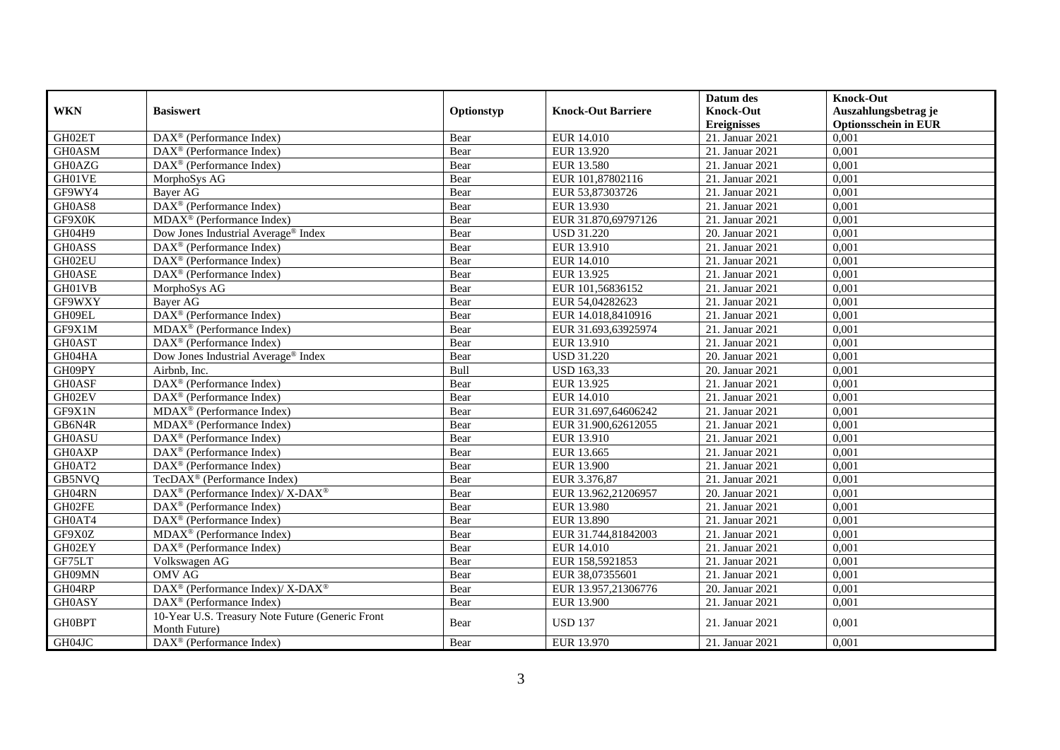| <b>WKN</b>    | <b>Basiswert</b>                                                  | Optionstyp | <b>Knock-Out Barriere</b> | Datum des<br><b>Knock-Out</b><br><b>Ereignisses</b> | <b>Knock-Out</b><br>Auszahlungsbetrag je<br><b>Optionsschein in EUR</b> |
|---------------|-------------------------------------------------------------------|------------|---------------------------|-----------------------------------------------------|-------------------------------------------------------------------------|
| GH02ET        | $\overline{\text{DAX}^{\otimes}}$ (Performance Index)             | Bear       | <b>EUR 14.010</b>         | 21. Januar 2021                                     | 0,001                                                                   |
| <b>GH0ASM</b> | $DAX^{\circledR}$ (Performance Index)                             | Bear       | EUR 13.920                | 21. Januar 2021                                     | 0,001                                                                   |
| GH0AZG        | DAX <sup>®</sup> (Performance Index)                              | Bear       | EUR 13.580                | 21. Januar 2021                                     | 0,001                                                                   |
| GH01VE        | MorphoSys AG                                                      | Bear       | EUR 101,87802116          | 21. Januar 2021                                     | 0,001                                                                   |
| GF9WY4        | Bayer AG                                                          | Bear       | EUR 53,87303726           | 21. Januar 2021                                     | 0,001                                                                   |
| GH0AS8        | DAX <sup>®</sup> (Performance Index)                              | Bear       | EUR 13.930                | 21. Januar 2021                                     | 0,001                                                                   |
| GF9X0K        | $MDAX^{\circledR}$ (Performance Index)                            | Bear       | EUR 31.870,69797126       | 21. Januar 2021                                     | 0,001                                                                   |
| GH04H9        | Dow Jones Industrial Average® Index                               | Bear       | <b>USD 31.220</b>         | 20. Januar 2021                                     | 0,001                                                                   |
| <b>GH0ASS</b> | $\text{DAX}^{\textcircled{}}$ (Performance Index)                 | Bear       | EUR 13.910                | 21. Januar 2021                                     | 0,001                                                                   |
| GH02EU        | DAX <sup>®</sup> (Performance Index)                              | Bear       | <b>EUR 14.010</b>         | 21. Januar 2021                                     | 0,001                                                                   |
| <b>GH0ASE</b> | DAX <sup>®</sup> (Performance Index)                              | Bear       | EUR 13.925                | 21. Januar 2021                                     | 0,001                                                                   |
| GH01VB        | MorphoSys AG                                                      | Bear       | EUR 101,56836152          | 21. Januar 2021                                     | 0,001                                                                   |
| GF9WXY        | Bayer AG                                                          | Bear       | EUR 54,04282623           | 21. Januar 2021                                     | 0,001                                                                   |
| GH09EL        | $DAX^{\circledR}$ (Performance Index)                             | Bear       | EUR 14.018,8410916        | 21. Januar 2021                                     | 0,001                                                                   |
| GF9X1M        | MDAX <sup>®</sup> (Performance Index)                             | Bear       | EUR 31.693,63925974       | 21. Januar 2021                                     | 0,001                                                                   |
| <b>GH0AST</b> | DAX <sup>®</sup> (Performance Index)                              | Bear       | EUR 13.910                | 21. Januar 2021                                     | 0,001                                                                   |
| GH04HA        | Dow Jones Industrial Average® Index                               | Bear       | <b>USD 31.220</b>         | 20. Januar 2021                                     | 0,001                                                                   |
| GH09PY        | Airbnb. Inc.                                                      | Bull       | <b>USD 163,33</b>         | 20. Januar 2021                                     | 0,001                                                                   |
| <b>GH0ASF</b> | DAX <sup>®</sup> (Performance Index)                              | Bear       | EUR 13.925                | 21. Januar 2021                                     | 0,001                                                                   |
| GH02EV        | $DAX^{\circledast}$ (Performance Index)                           | Bear       | EUR 14.010                | 21. Januar 2021                                     | 0,001                                                                   |
| GF9X1N        | MDAX <sup>®</sup> (Performance Index)                             | Bear       | EUR 31.697,64606242       | 21. Januar 2021                                     | 0,001                                                                   |
| GB6N4R        | $MDAX^{\circledR}$ (Performance Index)                            | Bear       | EUR 31.900.62612055       | 21. Januar 2021                                     | 0,001                                                                   |
| <b>GH0ASU</b> | DAX <sup>®</sup> (Performance Index)                              | Bear       | EUR 13.910                | 21. Januar 2021                                     | 0,001                                                                   |
| <b>GH0AXP</b> | $DAX^{\circledR}$ (Performance Index)                             | Bear       | EUR 13.665                | 21. Januar 2021                                     | 0,001                                                                   |
| GH0AT2        | $DAX^{\circledR}$ (Performance Index)                             | Bear       | <b>EUR 13.900</b>         | 21. Januar 2021                                     | 0,001                                                                   |
| GB5NVQ        | TecDAX <sup>®</sup> (Performance Index)                           | Bear       | EUR 3.376,87              | 21. Januar 2021                                     | 0,001                                                                   |
| GH04RN        | DAX <sup>®</sup> (Performance Index)/X-DAX <sup>®</sup>           | Bear       | EUR 13.962,21206957       | 20. Januar 2021                                     | 0,001                                                                   |
| GH02FE        | $DAX^{\circledR}$ (Performance Index)                             | Bear       | EUR 13.980                | 21. Januar 2021                                     | 0,001                                                                   |
| GH0AT4        | DAX <sup>®</sup> (Performance Index)                              | Bear       | EUR 13.890                | 21. Januar 2021                                     | 0,001                                                                   |
| GF9X0Z        | $MDAX^{\circledR}$ (Performance Index)                            | Bear       | EUR 31.744,81842003       | 21. Januar 2021                                     | 0.001                                                                   |
| GH02EY        | DAX <sup>®</sup> (Performance Index)                              | Bear       | EUR 14.010                | 21. Januar 2021                                     | 0,001                                                                   |
| GF75LT        | Volkswagen AG                                                     | Bear       | EUR 158,5921853           | 21. Januar 2021                                     | 0,001                                                                   |
| GH09MN        | <b>OMV AG</b>                                                     | Bear       | EUR 38,07355601           | 21. Januar 2021                                     | 0,001                                                                   |
| GH04RP        | DAX <sup>®</sup> (Performance Index)/X-DAX <sup>®</sup>           | Bear       | EUR 13.957,21306776       | 20. Januar 2021                                     | 0,001                                                                   |
| <b>GH0ASY</b> | DAX <sup>®</sup> (Performance Index)                              | Bear       | <b>EUR 13.900</b>         | 21. Januar 2021                                     | 0,001                                                                   |
| <b>GH0BPT</b> | 10-Year U.S. Treasury Note Future (Generic Front<br>Month Future) | Bear       | <b>USD 137</b>            | 21. Januar 2021                                     | 0,001                                                                   |
| GH04JC        | DAX <sup>®</sup> (Performance Index)                              | Bear       | EUR 13.970                | 21. Januar 2021                                     | 0,001                                                                   |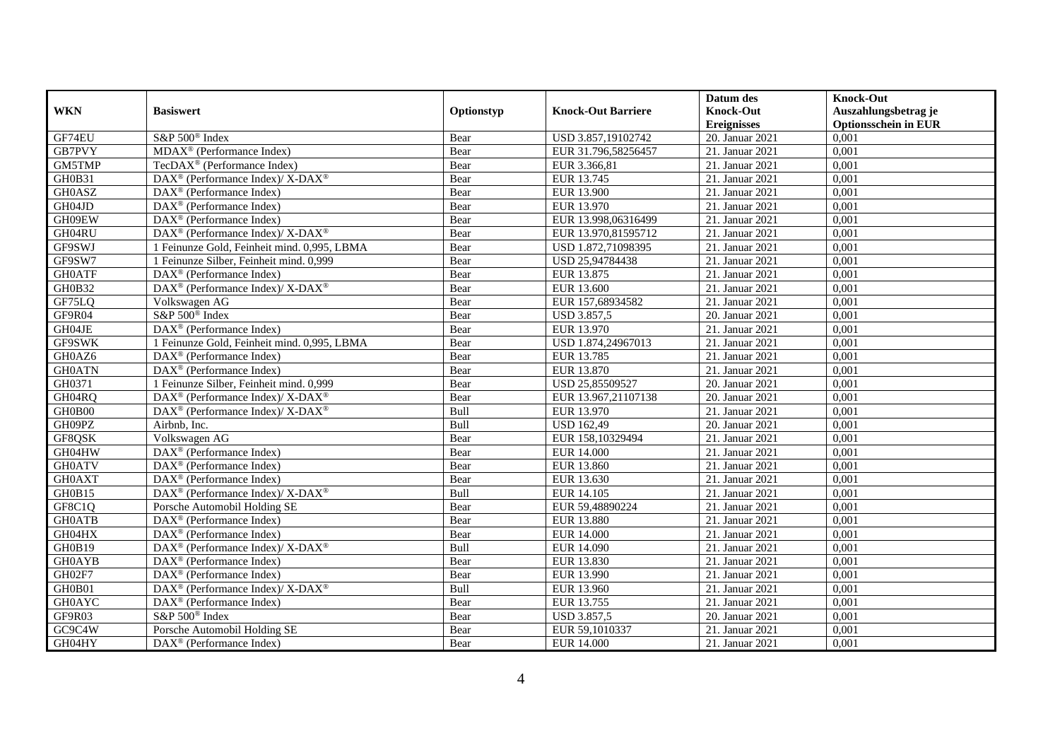|               |                                                                    |            |                           | Datum des          | <b>Knock-Out</b>            |
|---------------|--------------------------------------------------------------------|------------|---------------------------|--------------------|-----------------------------|
| <b>WKN</b>    | <b>Basiswert</b>                                                   | Optionstyp | <b>Knock-Out Barriere</b> | <b>Knock-Out</b>   | Auszahlungsbetrag je        |
|               |                                                                    |            |                           | <b>Ereignisses</b> | <b>Optionsschein in EUR</b> |
| GF74EU        | S&P 500 <sup>®</sup> Index                                         | Bear       | USD 3.857,19102742        | 20. Januar 2021    | 0,001                       |
| GB7PVY        | $MDAX^{\circledR}$ (Performance Index)                             | Bear       | EUR 31.796,58256457       | 21. Januar 2021    | 0,001                       |
| GM5TMP        | TecDAX <sup>®</sup> (Performance Index)                            | Bear       | EUR 3.366,81              | 21. Januar 2021    | 0,001                       |
| GH0B31        | $\text{DAX}^{\circledast}$ (Performance Index)/X-DAX <sup>®</sup>  | Bear       | EUR 13.745                | 21. Januar 2021    | 0,001                       |
| GH0ASZ        | DAX <sup>®</sup> (Performance Index)                               | Bear       | <b>EUR 13.900</b>         | 21. Januar 2021    | 0,001                       |
| GH04JD        | $\overline{\text{DAX}^{\otimes}}$ (Performance Index)              | Bear       | EUR 13.970                | 21. Januar 2021    | 0,001                       |
| GH09EW        | $\overline{\text{DAX}^{\otimes}}$ (Performance Index)              | Bear       | EUR 13.998,06316499       | 21. Januar 2021    | 0,001                       |
| GH04RU        | DAX <sup>®</sup> (Performance Index)/ X-DAX <sup>®</sup>           | Bear       | EUR 13.970,81595712       | 21. Januar 2021    | 0,001                       |
| GF9SWJ        | 1 Feinunze Gold, Feinheit mind. 0,995, LBMA                        | Bear       | USD 1.872,71098395        | 21. Januar 2021    | 0,001                       |
| GF9SW7        | 1 Feinunze Silber, Feinheit mind. 0,999                            | Bear       | USD 25,94784438           | 21. Januar 2021    | 0,001                       |
| <b>GH0ATF</b> | $\overline{\text{DAX}^{\otimes}(\text{Performance Index})}$        | Bear       | EUR 13.875                | 21. Januar 2021    | 0,001                       |
| <b>GH0B32</b> | DAX <sup>®</sup> (Performance Index)/ X-DAX <sup>®</sup>           | Bear       | EUR 13.600                | 21. Januar 2021    | 0,001                       |
| GF75LQ        | Volkswagen AG                                                      | Bear       | EUR 157,68934582          | 21. Januar 2021    | 0,001                       |
| GF9R04        | S&P 500 <sup>®</sup> Index                                         | Bear       | <b>USD 3.857,5</b>        | 20. Januar 2021    | 0,001                       |
| GH04JE        | DAX <sup>®</sup> (Performance Index)                               | Bear       | EUR 13.970                | 21. Januar 2021    | 0,001                       |
| <b>GF9SWK</b> | 1 Feinunze Gold, Feinheit mind. 0,995, LBMA                        | Bear       | USD 1.874,24967013        | 21. Januar 2021    | 0,001                       |
| GH0AZ6        | DAX <sup>®</sup> (Performance Index)                               | Bear       | EUR 13.785                | 21. Januar 2021    | 0,001                       |
| <b>GH0ATN</b> | $\overline{\text{DAX}^{\otimes}}$ (Performance Index)              | Bear       | EUR 13.870                | 21. Januar 2021    | 0,001                       |
| GH0371        | 1 Feinunze Silber, Feinheit mind. 0,999                            | Bear       | USD 25,85509527           | 20. Januar 2021    | 0,001                       |
| GH04RQ        | $\text{DAX}^{\circledast}$ (Performance Index)/ X-DAX <sup>®</sup> | Bear       | EUR 13.967,21107138       | 20. Januar 2021    | 0,001                       |
| GH0B00        | $\text{DAX}^{\circledR}$ (Performance Index)/ X-DAX <sup>®</sup>   | Bull       | EUR 13.970                | 21. Januar 2021    | 0,001                       |
| GH09PZ        | $A$ irbnb, Inc.                                                    | Bull       | <b>USD 162,49</b>         | 20. Januar 2021    | 0,001                       |
| GF8QSK        | Volkswagen AG                                                      | Bear       | EUR 158,10329494          | 21. Januar 2021    | 0,001                       |
| GH04HW        | DAX <sup>®</sup> (Performance Index)                               | Bear       | <b>EUR 14.000</b>         | 21. Januar 2021    | 0,001                       |
| <b>GH0ATV</b> | $DAX^{\circledR}$ (Performance Index)                              | Bear       | EUR 13.860                | 21. Januar 2021    | 0,001                       |
| <b>GH0AXT</b> | $\text{DAX}^{\textcircled{D}}$ (Performance Index)                 | Bear       | EUR 13.630                | 21. Januar 2021    | 0,001                       |
| GH0B15        | DAX <sup>®</sup> (Performance Index)/ X-DAX <sup>®</sup>           | Bull       | EUR 14.105                | 21. Januar 2021    | 0,001                       |
| GF8C1Q        | Porsche Automobil Holding SE                                       | Bear       | EUR 59,48890224           | 21. Januar 2021    | 0,001                       |
| <b>GH0ATB</b> | $\text{DAX}^{\textcircled{D}}$ (Performance Index)                 | Bear       | <b>EUR 13.880</b>         | 21. Januar 2021    | 0,001                       |
| GH04HX        | $DAX^{\circledR}$ (Performance Index)                              | Bear       | <b>EUR 14.000</b>         | 21. Januar 2021    | 0,001                       |
| GH0B19        | $\text{DAX}^{\circledR}$ (Performance Index)/ X-DAX <sup>®</sup>   | Bull       | EUR 14.090                | 21. Januar 2021    | 0,001                       |
| <b>GH0AYB</b> | DAX <sup>®</sup> (Performance Index)                               | Bear       | EUR 13.830                | 21. Januar 2021    | 0,001                       |
| GH02F7        | $\overline{\text{DAX}^{\otimes}}$ (Performance Index)              | Bear       | EUR 13.990                | 21. Januar 2021    | 0,001                       |
| GH0B01        | $\text{DAX}^{\circledR}$ (Performance Index)/ X-DAX <sup>®</sup>   | Bull       | EUR 13.960                | 21. Januar 2021    | 0,001                       |
| <b>GH0AYC</b> | $\text{DAX}^{\circledast}$ (Performance Index)                     | Bear       | EUR 13.755                | 21. Januar 2021    | 0,001                       |
| GF9R03        | S&P 500 <sup>®</sup> Index                                         | Bear       | <b>USD 3.857,5</b>        | 20. Januar 2021    | 0,001                       |
| GC9C4W        | Porsche Automobil Holding SE                                       | Bear       | EUR 59,1010337            | 21. Januar 2021    | 0,001                       |
| GH04HY        | $\text{DAX}^{\textcircled{n}}$ (Performance Index)                 | Bear       | <b>EUR 14.000</b>         | 21. Januar 2021    | 0,001                       |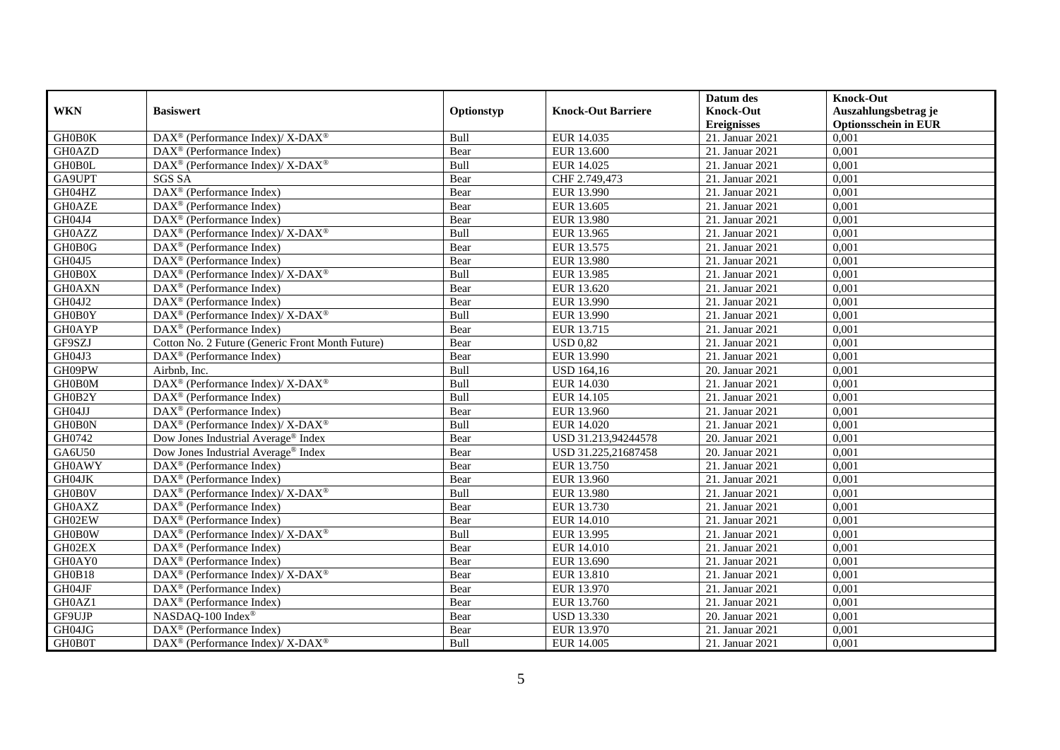|               |                                                                           |            |                           | Datum des                              | <b>Knock-Out</b>                                    |
|---------------|---------------------------------------------------------------------------|------------|---------------------------|----------------------------------------|-----------------------------------------------------|
| <b>WKN</b>    | <b>Basiswert</b>                                                          | Optionstyp | <b>Knock-Out Barriere</b> | <b>Knock-Out</b><br><b>Ereignisses</b> | Auszahlungsbetrag je<br><b>Optionsschein in EUR</b> |
| <b>GH0B0K</b> | DAX <sup>®</sup> (Performance Index)/ X-DAX <sup>®</sup>                  | Bull       | EUR 14.035                | 21. Januar 2021                        | 0,001                                               |
| GH0AZD        | $DAX^{\circledR}$ (Performance Index)                                     | Bear       | EUR 13.600                | 21. Januar 2021                        | 0,001                                               |
| <b>GH0B0L</b> | $\text{DAX}^{\circledast}$ (Performance Index)/ X-DAX <sup>®</sup>        | Bull       | EUR 14.025                | 21. Januar 2021                        | 0,001                                               |
| GA9UPT        | <b>SGS SA</b>                                                             | Bear       | CHF 2.749,473             | 21. Januar 2021                        | 0,001                                               |
| GH04HZ        | DAX <sup>®</sup> (Performance Index)                                      | Bear       | EUR 13.990                | 21. Januar 2021                        | 0,001                                               |
| <b>GH0AZE</b> | $DAX^{\circledR}$ (Performance Index)                                     | Bear       | EUR 13.605                | 21. Januar 2021                        | 0,001                                               |
| GH04J4        | $\text{DAX}^{\textcircled{}}$ (Performance Index)                         | Bear       | <b>EUR 13.980</b>         | 21. Januar 2021                        | 0,001                                               |
| <b>GH0AZZ</b> | DAX <sup>®</sup> (Performance Index)/X-DAX <sup>®</sup>                   | Bull       | EUR 13.965                | 21. Januar 2021                        | 0,001                                               |
| GH0B0G        | $DAX^{\circledR}$ (Performance Index)                                     | Bear       | EUR 13.575                | 21. Januar 2021                        | 0,001                                               |
| GH04J5        | DAX <sup>®</sup> (Performance Index)                                      | Bear       | EUR 13.980                | 21. Januar 2021                        | 0,001                                               |
| GH0B0X        | DAX <sup>®</sup> (Performance Index)/X-DAX <sup>®</sup>                   | Bull       | EUR 13.985                | 21. Januar 2021                        | 0,001                                               |
| <b>GH0AXN</b> | DAX <sup>®</sup> (Performance Index)                                      | Bear       | EUR 13.620                | 21. Januar 2021                        | 0,001                                               |
| GH04J2        | $DAX^{\circledast}$ (Performance Index)                                   | Bear       | EUR 13.990                | 21. Januar 2021                        | 0,001                                               |
| GH0B0Y        | $DAX^{\circledast}$ (Performance Index)/X-DAX <sup>®</sup>                | Bull       | EUR 13.990                | 21. Januar 2021                        | 0,001                                               |
| <b>GH0AYP</b> | DAX <sup>®</sup> (Performance Index)                                      | Bear       | EUR 13.715                | 21. Januar 2021                        | 0,001                                               |
| GF9SZJ        | Cotton No. 2 Future (Generic Front Month Future)                          | Bear       | <b>USD 0,82</b>           | 21. Januar 2021                        | 0,001                                               |
| GH04J3        | DAX <sup>®</sup> (Performance Index)                                      | Bear       | EUR 13.990                | 21. Januar 2021                        | 0,001                                               |
| GH09PW        | Airbnb. Inc.                                                              | Bull       | <b>USD 164,16</b>         | 20. Januar 2021                        | 0,001                                               |
| GH0B0M        | DAX <sup>®</sup> (Performance Index)/ X-DAX <sup>®</sup>                  | Bull       | EUR 14.030                | 21. Januar 2021                        | 0,001                                               |
| GH0B2Y        | $\text{DAX}^{\textcircled{}}$ (Performance Index)                         | Bull       | EUR 14.105                | 21. Januar 2021                        | 0,001                                               |
| GH04JJ        | DAX <sup>®</sup> (Performance Index)                                      | Bear       | EUR 13.960                | 21. Januar 2021                        | 0,001                                               |
| GH0B0N        | $DAX^{\circledast}$ (Performance Index)/ $\overline{X-DAX^{\circledast}}$ | Bull       | EUR 14.020                | 21. Januar 2021                        | 0,001                                               |
| GH0742        | Dow Jones Industrial Average® Index                                       | Bear       | USD 31.213,94244578       | 20. Januar 2021                        | 0,001                                               |
| GA6U50        | Dow Jones Industrial Average <sup>®</sup> Index                           | Bear       | USD 31.225,21687458       | 20. Januar 2021                        | 0,001                                               |
| <b>GH0AWY</b> | $DAX^{\circledR}$ (Performance Index)                                     | Bear       | EUR 13.750                | 21. Januar 2021                        | 0,001                                               |
| GH04JK        | DAX <sup>®</sup> (Performance Index)                                      | Bear       | EUR 13.960                | 21. Januar 2021                        | 0,001                                               |
| GH0B0V        | DAX <sup>®</sup> (Performance Index)/X-DAX <sup>®</sup>                   | Bull       | <b>EUR 13.980</b>         | 21. Januar 2021                        | 0,001                                               |
| <b>GH0AXZ</b> | $\overline{\text{DAX}^{\otimes}}$ (Performance Index)                     | Bear       | EUR 13.730                | 21. Januar 2021                        | 0,001                                               |
| GH02EW        | $\overline{\text{DAX}^{\otimes}}$ (Performance Index)                     | Bear       | EUR 14.010                | 21. Januar 2021                        | 0,001                                               |
| <b>GH0B0W</b> | $DAX^{\circledcirc}$ (Performance Index)/X-DAX <sup>®</sup>               | Bull       | EUR 13.995                | 21. Januar 2021                        | 0.001                                               |
| GH02EX        | $DAX^{\circledR}$ (Performance Index)                                     | Bear       | EUR 14.010                | 21. Januar 2021                        | 0,001                                               |
| GH0AY0        | DAX <sup>®</sup> (Performance Index)                                      | Bear       | EUR 13.690                | 21. Januar 2021                        | 0,001                                               |
| GH0B18        | DAX <sup>®</sup> (Performance Index)/X-DAX <sup>®</sup>                   | Bear       | EUR 13.810                | 21. Januar 2021                        | 0,001                                               |
| GH04JF        | $\overline{\text{DAX}^{\otimes}}$ (Performance Index)                     | Bear       | EUR 13.970                | 21. Januar 2021                        | 0,001                                               |
| GH0AZ1        | DAX <sup>®</sup> (Performance Index)                                      | Bear       | EUR 13.760                | 21. Januar 2021                        | 0,001                                               |
| GF9UJP        | NASDAQ-100 Index®                                                         | Bear       | <b>USD 13.330</b>         | 20. Januar 2021                        | 0,001                                               |
| GH04JG        | DAX <sup>®</sup> (Performance Index)                                      | Bear       | EUR 13.970                | 21. Januar 2021                        | 0,001                                               |
| <b>GH0B0T</b> | $DAX^{\circledast}$ (Performance Index)/ X-DAX <sup>®</sup>               | Bull       | EUR 14.005                | 21. Januar 2021                        | 0,001                                               |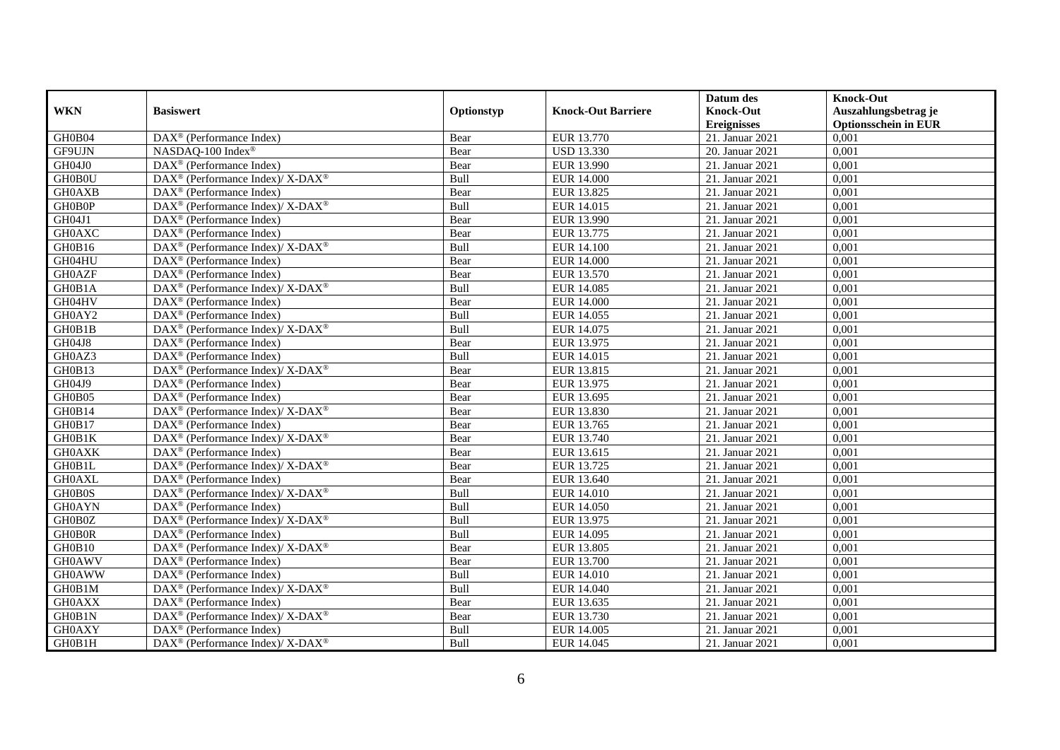|               |                                                                    |            |                           | Datum des          | <b>Knock-Out</b>            |
|---------------|--------------------------------------------------------------------|------------|---------------------------|--------------------|-----------------------------|
| <b>WKN</b>    | <b>Basiswert</b>                                                   | Optionstyp | <b>Knock-Out Barriere</b> | <b>Knock-Out</b>   | Auszahlungsbetrag je        |
|               |                                                                    |            |                           | <b>Ereignisses</b> | <b>Optionsschein in EUR</b> |
| GH0B04        | DAX <sup>®</sup> (Performance Index)                               | Bear       | EUR 13.770                | 21. Januar 2021    | 0,001                       |
| GF9UJN        | NASDAQ-100 Index®                                                  | Bear       | <b>USD 13.330</b>         | 20. Januar 2021    | 0,001                       |
| GH04J0        | DAX <sup>®</sup> (Performance Index)                               | Bear       | EUR 13.990                | 21. Januar 2021    | 0,001                       |
| GH0B0U        | $DAX^{\circledcirc}$ (Performance Index)/X-DAX <sup>®</sup>        | Bull       | <b>EUR 14.000</b>         | 21. Januar 2021    | 0,001                       |
| <b>GH0AXB</b> | DAX <sup>®</sup> (Performance Index)                               | Bear       | EUR 13.825                | 21. Januar 2021    | 0,001                       |
| GH0B0P        | DAX <sup>®</sup> (Performance Index)/X-DAX <sup>®</sup>            | Bull       | EUR 14.015                | 21. Januar 2021    | 0,001                       |
| GH04J1        | $\text{DAX}^{\textcircled{D}}$ (Performance Index)                 | Bear       | EUR 13.990                | 21. Januar 2021    | 0,001                       |
| <b>GH0AXC</b> | $\text{DAX}^{\textcircled{n}}$ (Performance Index)                 | Bear       | EUR 13.775                | 21. Januar 2021    | 0,001                       |
| GH0B16        | DAX <sup>®</sup> (Performance Index)/ X-DAX <sup>®</sup>           | Bull       | <b>EUR 14.100</b>         | 21. Januar 2021    | 0,001                       |
| GH04HU        | $\text{DAX}^{\otimes}$ (Performance Index)                         | Bear       | <b>EUR 14.000</b>         | 21. Januar 2021    | 0,001                       |
| <b>GH0AZF</b> | $\text{DAX}^{\circledast}$ (Performance Index)                     | Bear       | EUR 13.570                | 21. Januar 2021    | 0,001                       |
| GH0B1A        | $\text{DAX}^{\circledR}$ (Performance Index)/ X-DAX <sup>®</sup>   | Bull       | EUR 14.085                | 21. Januar 2021    | 0,001                       |
| GH04HV        | DAX <sup>®</sup> (Performance Index)                               | Bear       | <b>EUR 14.000</b>         | 21. Januar 2021    | 0,001                       |
| GH0AY2        | $\text{DAX}^{\textcircled{D}}$ (Performance Index)                 | Bull       | EUR 14.055                | 21. Januar 2021    | 0,001                       |
| GH0B1B        | $DAX^{\circledast}$ (Performance Index)/X-DAX <sup>®</sup>         | Bull       | EUR 14.075                | 21. Januar 2021    | 0,001                       |
| GH04J8        | DAX <sup>®</sup> (Performance Index)                               | Bear       | EUR 13.975                | 21. Januar 2021    | 0,001                       |
| GH0AZ3        | DAX <sup>®</sup> (Performance Index)                               | Bull       | EUR 14.015                | 21. Januar 2021    | 0,001                       |
| GH0B13        | $DAX^{\circledcirc}$ (Performance Index)/X-DAX <sup>®</sup>        | Bear       | EUR 13.815                | 21. Januar 2021    | 0,001                       |
| GH04J9        | DAX <sup>®</sup> (Performance Index)                               | Bear       | EUR 13.975                | 21. Januar 2021    | 0,001                       |
| GH0B05        | $\overline{\text{DAX}^{\otimes}}$ (Performance Index)              | Bear       | EUR 13.695                | 21. Januar 2021    | 0,001                       |
| GH0B14        | $\text{DAX}^{\circledR}$ (Performance Index)/ X-DAX <sup>®</sup>   | Bear       | EUR 13.830                | 21. Januar 2021    | 0,001                       |
| GH0B17        | $\overline{\text{DAX}^{\otimes}}$ (Performance Index)              | Bear       | EUR 13.765                | 21. Januar 2021    | 0,001                       |
| GH0B1K        | $\text{DAX}^{\circledR}$ (Performance Index)/ X-DAX <sup>®</sup>   | Bear       | EUR 13.740                | 21. Januar 2021    | 0,001                       |
| <b>GH0AXK</b> | $\text{DAX}^{\circledast}$ (Performance Index)                     | Bear       | EUR 13.615                | 21. Januar 2021    | 0,001                       |
| GH0B1L        | $DAX^{\circledcirc}$ (Performance Index)/X-DAX <sup>®</sup>        | Bear       | EUR 13.725                | 21. Januar 2021    | 0.001                       |
| <b>GH0AXL</b> | DAX <sup>®</sup> (Performance Index)                               | Bear       | EUR 13.640                | 21. Januar 2021    | 0,001                       |
| <b>GH0B0S</b> | DAX <sup>®</sup> (Performance Index)/X-DAX <sup>®</sup>            | Bull       | <b>EUR 14.010</b>         | 21. Januar 2021    | 0,001                       |
| <b>GH0AYN</b> | $\text{DAX}^{\textcircled{p}}$ (Performance Index)                 | Bull       | <b>EUR 14.050</b>         | 21. Januar 2021    | 0,001                       |
| GH0B0Z        | $\text{DAX}^{\circledR}$ (Performance Index)/ X-DAX <sup>®</sup>   | Bull       | EUR 13.975                | 21. Januar 2021    | 0,001                       |
| <b>GH0B0R</b> | $\text{DAX}^{\circledast}$ (Performance Index)                     | Bull       | EUR 14.095                | 21. Januar 2021    | 0,001                       |
| GH0B10        | $\text{DAX}^{\circledast}$ (Performance Index)/X-DAX <sup>®</sup>  | Bear       | EUR 13.805                | 21. Januar 2021    | 0,001                       |
| <b>GH0AWV</b> | $DAX^{\circledR}$ (Performance Index)                              | Bear       | EUR 13.700                | 21. Januar 2021    | 0,001                       |
| <b>GH0AWW</b> | $\text{DAX}^{\textcircled{D}}$ (Performance Index)                 | Bull       | <b>EUR 14.010</b>         | 21. Januar 2021    | 0,001                       |
| GH0B1M        | DAX <sup>®</sup> (Performance Index)/X-DAX <sup>®</sup>            | Bull       | EUR 14.040                | 21. Januar 2021    | 0,001                       |
| <b>GH0AXX</b> | DAX <sup>®</sup> (Performance Index)                               | Bear       | EUR 13.635                | 21. Januar 2021    | 0,001                       |
| GH0B1N        | $\text{DAX}^{\otimes}$ (Performance Index)/X-DAX <sup>®</sup>      | Bear       | EUR 13.730                | 21. Januar 2021    | 0,001                       |
| <b>GH0AXY</b> | $\text{DAX}^{\circledast}$ (Performance Index)                     | Bull       | EUR 14.005                | 21. Januar 2021    | 0,001                       |
| GH0B1H        | $\text{DAX}^{\circledast}$ (Performance Index)/ X-DAX <sup>®</sup> | Bull       | EUR 14.045                | 21. Januar 2021    | 0,001                       |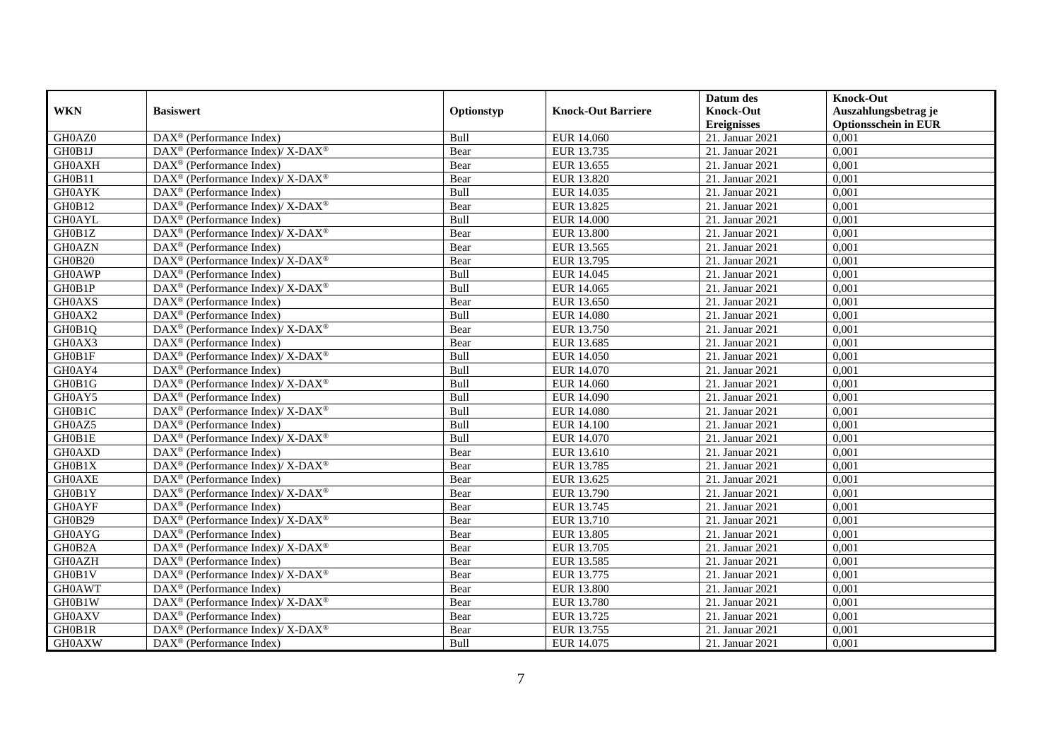|               |                                                             |             |                           | Datum des          | <b>Knock-Out</b>            |
|---------------|-------------------------------------------------------------|-------------|---------------------------|--------------------|-----------------------------|
| <b>WKN</b>    | <b>Basiswert</b>                                            | Optionstyp  | <b>Knock-Out Barriere</b> | <b>Knock-Out</b>   | Auszahlungsbetrag je        |
|               |                                                             |             |                           | <b>Ereignisses</b> | <b>Optionsschein in EUR</b> |
| GH0AZ0        | DAX <sup>®</sup> (Performance Index)                        | Bull        | EUR 14.060                | 21. Januar 2021    | 0,001                       |
| GH0B1J        | DAX <sup>®</sup> (Performance Index)/X-DAX <sup>®</sup>     | Bear        | EUR 13.735                | 21. Januar 2021    | 0,001                       |
| <b>GH0AXH</b> | $DAX^{\circledR}$ (Performance Index)                       | Bear        | EUR 13.655                | 21. Januar 2021    | 0,001                       |
| GH0B11        | DAX <sup>®</sup> (Performance Index)/ X-DAX <sup>®</sup>    | Bear        | EUR 13.820                | 21. Januar 2021    | 0,001                       |
| <b>GH0AYK</b> | $\overline{\text{DAX}}^{\textcirc}$ (Performance Index)     | Bull        | EUR 14.035                | 21. Januar 2021    | 0,001                       |
| GH0B12        | DAX <sup>®</sup> (Performance Index)/X-DAX <sup>®</sup>     | Bear        | EUR 13.825                | 21. Januar 2021    | 0,001                       |
| <b>GH0AYL</b> | $DAX^{\circledR}$ (Performance Index)                       | <b>Bull</b> | <b>EUR 14.000</b>         | 21. Januar 2021    | 0,001                       |
| GH0B1Z        | DAX <sup>®</sup> (Performance Index)/ X-DAX <sup>®</sup>    | Bear        | <b>EUR 13.800</b>         | 21. Januar 2021    | 0,001                       |
| <b>GH0AZN</b> | $DAX^{\circledast}$ (Performance Index)                     | Bear        | EUR 13.565                | 21. Januar 2021    | 0,001                       |
| GH0B20        | DAX <sup>®</sup> (Performance Index)/ X-DAX <sup>®</sup>    | Bear        | EUR 13.795                | 21. Januar 2021    | 0,001                       |
| <b>GH0AWP</b> | DAX <sup>®</sup> (Performance Index)                        | Bull        | EUR 14.045                | 21. Januar 2021    | 0,001                       |
| GH0B1P        | DAX <sup>®</sup> (Performance Index)/ X-DAX <sup>®</sup>    | Bull        | EUR 14.065                | 21. Januar 2021    | 0,001                       |
| <b>GH0AXS</b> | $DAX^{\circledast}$ (Performance Index)                     | Bear        | EUR 13.650                | 21. Januar 2021    | 0,001                       |
| GH0AX2        | DAX <sup>®</sup> (Performance Index)                        | <b>Bull</b> | <b>EUR 14.080</b>         | 21. Januar 2021    | 0.001                       |
| GH0B1Q        | DAX <sup>®</sup> (Performance Index)/ X-DAX <sup>®</sup>    | Bear        | EUR 13.750                | 21. Januar 2021    | 0,001                       |
| GH0AX3        | $\overline{\text{DAX}^{\otimes}}$ (Performance Index)       | Bear        | EUR 13.685                | 21. Januar 2021    | 0,001                       |
| GH0B1F        | DAX <sup>®</sup> (Performance Index)/ X-DAX <sup>®</sup>    | Bull        | <b>EUR 14.050</b>         | 21. Januar 2021    | 0,001                       |
| GH0AY4        | $DAX^{\circledast}$ (Performance Index)                     | Bull        | EUR 14.070                | 21. Januar 2021    | 0,001                       |
| GH0B1G        | DAX <sup>®</sup> (Performance Index)/ X-DAX <sup>®</sup>    | Bull        | EUR 14.060                | 21. Januar 2021    | 0,001                       |
| GH0AY5        | $DAX^{\circledast}$ (Performance Index)                     | Bull        | EUR 14.090                | 21. Januar 2021    | 0,001                       |
| GH0B1C        | DAX <sup>®</sup> (Performance Index)/ X-DAX <sup>®</sup>    | Bull        | <b>EUR 14.080</b>         | 21. Januar 2021    | 0,001                       |
| GH0AZ5        | $DAX^{\circledR}$ (Performance Index)                       | Bull        | <b>EUR 14.100</b>         | 21. Januar 2021    | 0,001                       |
| GH0B1E        | $DAX^{\circledast}$ (Performance Index)/ X-DAX <sup>®</sup> | Bull        | EUR 14.070                | 21. Januar 2021    | 0,001                       |
| <b>GH0AXD</b> | $\text{DAX}^{\textcircled{}}$ (Performance Index)           | Bear        | EUR 13.610                | 21. Januar 2021    | 0,001                       |
| GH0B1X        | DAX <sup>®</sup> (Performance Index)/ X-DAX <sup>®</sup>    | Bear        | EUR 13.785                | 21. Januar 2021    | 0,001                       |
| <b>GH0AXE</b> | DAX <sup>®</sup> (Performance Index)                        | Bear        | EUR 13.625                | 21. Januar 2021    | 0,001                       |
| GH0B1Y        | DAX <sup>®</sup> (Performance Index)/ X-DAX <sup>®</sup>    | Bear        | EUR 13.790                | 21. Januar 2021    | 0,001                       |
| <b>GH0AYF</b> | DAX <sup>®</sup> (Performance Index)                        | Bear        | EUR 13.745                | 21. Januar 2021    | 0,001                       |
| <b>GH0B29</b> | DAX <sup>®</sup> (Performance Index)/ X-DAX <sup>®</sup>    | Bear        | EUR 13.710                | 21. Januar 2021    | 0,001                       |
| <b>GH0AYG</b> | $DAX^{\circledast}$ (Performance Index)                     | Bear        | EUR 13.805                | 21. Januar 2021    | 0,001                       |
| GH0B2A        | DAX <sup>®</sup> (Performance Index)/ X-DAX <sup>®</sup>    | Bear        | EUR 13.705                | 21. Januar 2021    | 0,001                       |
| <b>GH0AZH</b> | $DAX^{\circledast}$ (Performance Index)                     | Bear        | EUR 13.585                | 21. Januar 2021    | 0,001                       |
| GH0B1V        | DAX <sup>®</sup> (Performance Index)/X-DAX <sup>®</sup>     | Bear        | EUR 13.775                | 21. Januar 2021    | 0,001                       |
| <b>GH0AWT</b> | DAX <sup>®</sup> (Performance Index)                        | Bear        | <b>EUR 13.800</b>         | 21. Januar 2021    | 0,001                       |
| GH0B1W        | $DAX^{\circledast}$ (Performance Index)/ X-DAX <sup>®</sup> | Bear        | EUR 13.780                | 21. Januar 2021    | 0,001                       |
| <b>GH0AXV</b> | $DAX^{\circledast}$ (Performance Index)                     | Bear        | EUR 13.725                | 21. Januar 2021    | 0,001                       |
| GH0B1R        | DAX <sup>®</sup> (Performance Index)/ X-DAX <sup>®</sup>    | Bear        | EUR 13.755                | 21. Januar 2021    | 0,001                       |
| <b>GH0AXW</b> | $\text{DAX}^{\textcircled{}}$ (Performance Index)           | Bull        | EUR 14.075                | 21. Januar 2021    | 0,001                       |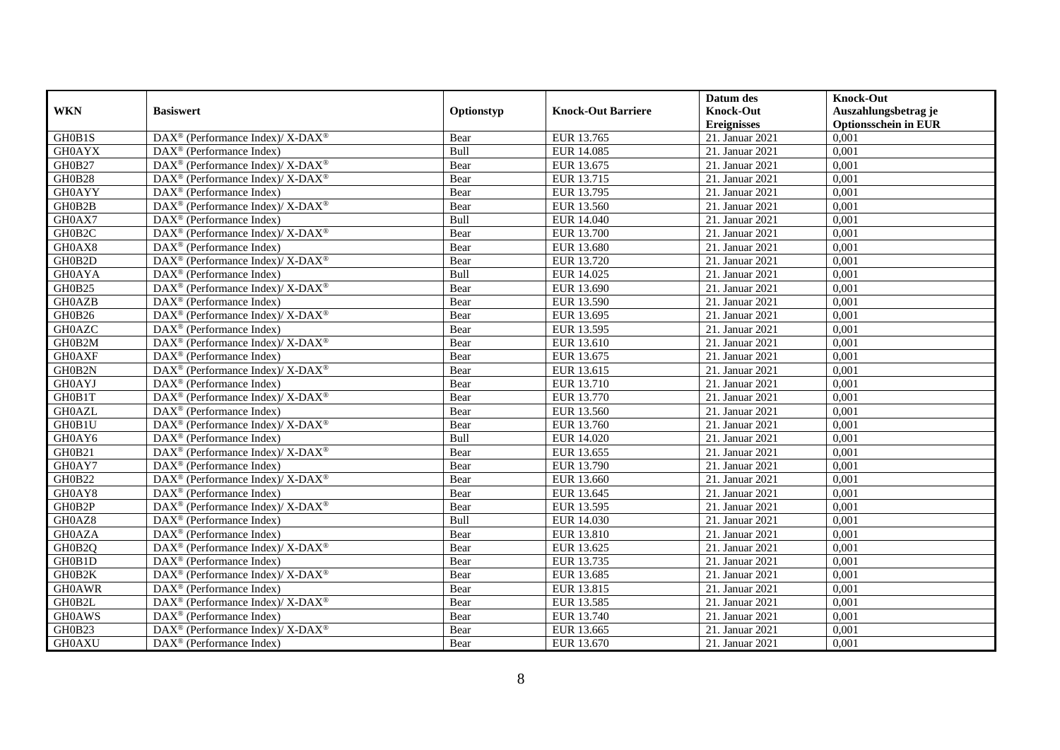|               |                                                                           |             |                           | Datum des          | <b>Knock-Out</b>            |
|---------------|---------------------------------------------------------------------------|-------------|---------------------------|--------------------|-----------------------------|
| <b>WKN</b>    | <b>Basiswert</b>                                                          | Optionstyp  | <b>Knock-Out Barriere</b> | <b>Knock-Out</b>   | Auszahlungsbetrag je        |
|               |                                                                           |             |                           | <b>Ereignisses</b> | <b>Optionsschein in EUR</b> |
| GH0B1S        | DAX <sup>®</sup> (Performance Index)/ X-DAX <sup>®</sup>                  | Bear        | EUR 13.765                | 21. Januar 2021    | 0,001                       |
| <b>GH0AYX</b> | $\text{DAX}^{\textcircled{n}}$ (Performance Index)                        | Bull        | <b>EUR 14.085</b>         | 21. Januar 2021    | 0,001                       |
| GH0B27        | DAX <sup>®</sup> (Performance Index)/ X-DAX <sup>®</sup>                  | Bear        | EUR 13.675                | 21. Januar 2021    | 0,001                       |
| GH0B28        | $DAX^{\circledast}$ (Performance Index)/ X-DAX <sup>®</sup>               | Bear        | EUR 13.715                | 21. Januar 2021    | 0,001                       |
| <b>GH0AYY</b> | $\overline{\text{DAX}}^{\textcirc}$ (Performance Index)                   | Bear        | EUR 13.795                | 21. Januar 2021    | 0,001                       |
| GH0B2B        | DAX <sup>®</sup> (Performance Index)/X-DAX <sup>®</sup>                   | Bear        | EUR 13.560                | 21. Januar 2021    | 0,001                       |
| GH0AX7        | $DAX^{\circledR}$ (Performance Index)                                     | <b>Bull</b> | EUR 14.040                | 21. Januar 2021    | 0,001                       |
| GH0B2C        | DAX <sup>®</sup> (Performance Index)/ X-DAX <sup>®</sup>                  | Bear        | <b>EUR 13.700</b>         | 21. Januar 2021    | 0,001                       |
| GH0AX8        | $DAX^{\circledast}$ (Performance Index)                                   | Bear        | EUR 13.680                | 21. Januar 2021    | 0,001                       |
| GH0B2D        | DAX <sup>®</sup> (Performance Index)/ X-DAX <sup>®</sup>                  | Bear        | EUR 13.720                | 21. Januar 2021    | 0,001                       |
| <b>GH0AYA</b> | DAX <sup>®</sup> (Performance Index)                                      | Bull        | EUR 14.025                | 21. Januar 2021    | 0,001                       |
| GH0B25        | DAX <sup>®</sup> (Performance Index)/ X-DAX <sup>®</sup>                  | Bear        | EUR 13.690                | 21. Januar 2021    | 0,001                       |
| <b>GH0AZB</b> | $DAX^{\circledast}$ (Performance Index)                                   | Bear        | EUR 13.590                | 21. Januar 2021    | 0,001                       |
| GH0B26        | $DAX^{\circledcirc}$ (Performance Index)/X-DAX <sup>®</sup>               | Bear        | EUR 13.695                | 21. Januar 2021    | 0.001                       |
| <b>GH0AZC</b> | $DAX^{\circledR}$ (Performance Index)                                     | Bear        | EUR 13.595                | 21. Januar 2021    | 0,001                       |
| GH0B2M        | DAX <sup>®</sup> (Performance Index)/ X-DAX <sup>®</sup>                  | Bear        | EUR 13.610                | 21. Januar 2021    | 0,001                       |
| <b>GH0AXF</b> | $\text{DAX}^{\textcircled{}}$ (Performance Index)                         | Bear        | EUR 13.675                | 21. Januar 2021    | 0,001                       |
| GH0B2N        | DAX <sup>®</sup> (Performance Index)/ X-DAX <sup>®</sup>                  | Bear        | EUR 13.615                | 21. Januar 2021    | 0,001                       |
| <b>GH0AYJ</b> | $DAX^{\circledast}$ (Performance Index)                                   | Bear        | EUR 13.710                | 21. Januar 2021    | 0,001                       |
| GH0B1T        | DAX <sup>®</sup> (Performance Index)/ X-DAX <sup>®</sup>                  | Bear        | EUR 13.770                | 21. Januar 2021    | 0,001                       |
| <b>GH0AZL</b> | $DAX^{\circledast}$ (Performance Index)                                   | Bear        | EUR 13.560                | 21. Januar 2021    | 0,001                       |
| GH0B1U        | $DAX^{\circledast}$ (Performance Index)/ $\overline{X-DAX^{\circledast}}$ | Bear        | EUR 13.760                | 21. Januar 2021    | 0,001                       |
| GH0AY6        | $\text{DAX}^{\textcircled{}}$ (Performance Index)                         | Bull        | EUR 14.020                | 21. Januar 2021    | 0,001                       |
| GH0B21        | DAX <sup>®</sup> (Performance Index)/ X-DAX <sup>®</sup>                  | Bear        | EUR 13.655                | 21. Januar 2021    | 0,001                       |
| GH0AY7        | $DAX^{\circledR}$ (Performance Index)                                     | Bear        | EUR 13.790                | 21. Januar 2021    | 0,001                       |
| <b>GH0B22</b> | DAX <sup>®</sup> (Performance Index)/ X-DAX <sup>®</sup>                  | Bear        | EUR 13.660                | 21. Januar 2021    | 0,001                       |
| GH0AY8        | DAX <sup>®</sup> (Performance Index)                                      | Bear        | EUR 13.645                | 21. Januar 2021    | 0,001                       |
| GH0B2P        | DAX <sup>®</sup> (Performance Index)/ X-DAX <sup>®</sup>                  | Bear        | EUR 13.595                | 21. Januar 2021    | 0,001                       |
| GH0AZ8        | $DAX^{\circledast}$ (Performance Index)                                   | Bull        | EUR 14.030                | 21. Januar 2021    | 0,001                       |
| <b>GH0AZA</b> | $DAX^{\circledast}$ (Performance Index)                                   | Bear        | EUR 13.810                | 21. Januar 2021    | 0,001                       |
| GH0B2Q        | DAX <sup>®</sup> (Performance Index)/ X-DAX <sup>®</sup>                  | Bear        | EUR 13.625                | 21. Januar 2021    | 0,001                       |
| GH0B1D        | $DAX^{\circledast}$ (Performance Index)                                   | Bear        | EUR 13.735                | 21. Januar 2021    | 0,001                       |
| GH0B2K        | DAX <sup>®</sup> (Performance Index)/X-DAX <sup>®</sup>                   | Bear        | EUR 13.685                | 21. Januar 2021    | 0,001                       |
| <b>GH0AWR</b> | DAX <sup>®</sup> (Performance Index)                                      | Bear        | EUR 13.815                | 21. Januar 2021    | 0,001                       |
| GH0B2L        | $DAX^{\circledast}$ (Performance Index)/ X-DAX <sup>®</sup>               | Bear        | EUR 13.585                | 21. Januar 2021    | 0,001                       |
| <b>GH0AWS</b> | $DAX^{\circledast}$ (Performance Index)                                   | Bear        | EUR 13.740                | 21. Januar 2021    | 0,001                       |
| GH0B23        | DAX <sup>®</sup> (Performance Index)/ X-DAX <sup>®</sup>                  | Bear        | EUR 13.665                | 21. Januar 2021    | 0,001                       |
| <b>GH0AXU</b> | $\text{DAX}^{\textcircled{}}$ (Performance Index)                         | Bear        | EUR 13.670                | 21. Januar 2021    | 0,001                       |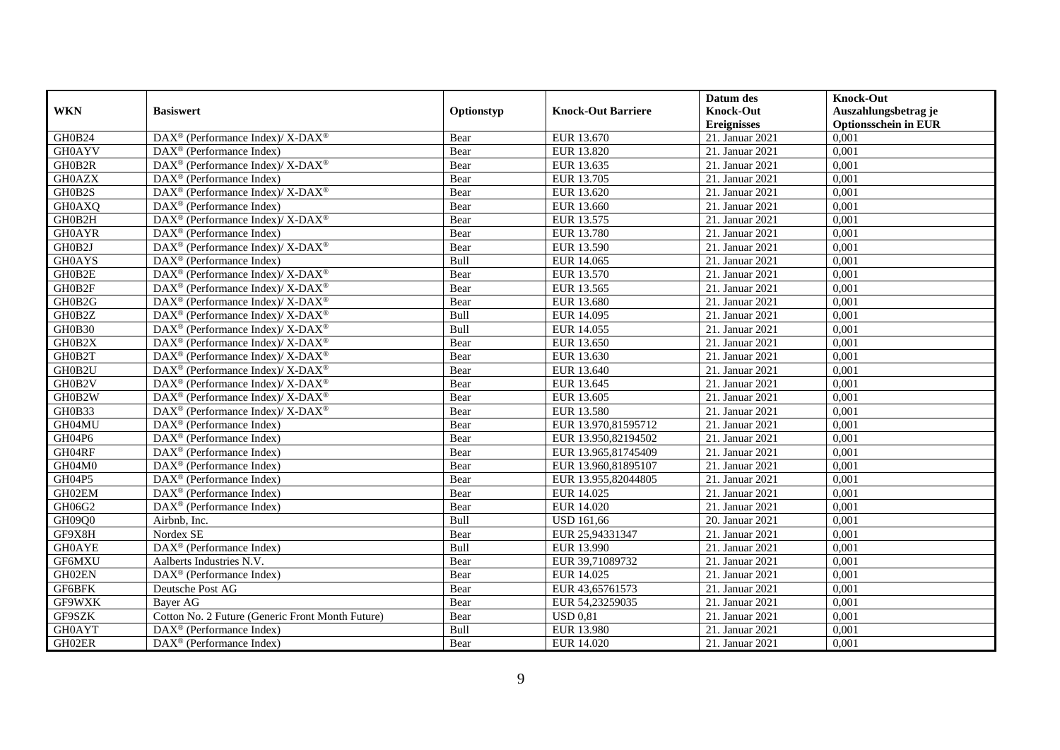|               |                                                                  |             |                           | Datum des          | <b>Knock-Out</b>            |
|---------------|------------------------------------------------------------------|-------------|---------------------------|--------------------|-----------------------------|
| <b>WKN</b>    | <b>Basiswert</b>                                                 | Optionstyp  | <b>Knock-Out Barriere</b> | <b>Knock-Out</b>   | Auszahlungsbetrag je        |
|               |                                                                  |             |                           | <b>Ereignisses</b> | <b>Optionsschein in EUR</b> |
| GH0B24        | DAX <sup>®</sup> (Performance Index)/ X-DAX <sup>®</sup>         | Bear        | EUR 13.670                | 21. Januar 2021    | 0,001                       |
| <b>GH0AYV</b> | $DAX^{\circledast}$ (Performance Index)                          | Bear        | EUR 13.820                | 21. Januar 2021    | 0,001                       |
| GH0B2R        | DAX <sup>®</sup> (Performance Index)/ X-DAX <sup>®</sup>         | Bear        | EUR 13.635                | 21. Januar 2021    | 0,001                       |
| <b>GH0AZX</b> | $DAX^{\circledast}$ (Performance Index)                          | Bear        | EUR 13.705                | 21. Januar 2021    | 0,001                       |
| GH0B2S        | DAX <sup>®</sup> (Performance Index)/ X-DAX <sup>®</sup>         | Bear        | EUR 13.620                | 21. Januar 2021    | 0,001                       |
| <b>GH0AXQ</b> | $\text{DAX}^{\textcircled{}}$ (Performance Index)                | Bear        | EUR 13.660                | 21. Januar 2021    | 0,001                       |
| GH0B2H        | DAX <sup>®</sup> (Performance Index)/ X-DAX <sup>®</sup>         | Bear        | EUR 13.575                | 21. Januar 2021    | 0,001                       |
| <b>GH0AYR</b> | $DAX^{\circledcirc}$ (Performance Index)                         | Bear        | EUR 13.780                | 21. Januar 2021    | 0,001                       |
| GH0B2J        | DAX <sup>®</sup> (Performance Index)/ X-DAX <sup>®</sup>         | Bear        | EUR 13.590                | 21. Januar 2021    | 0,001                       |
| <b>GH0AYS</b> | DAX <sup>®</sup> (Performance Index)                             | Bull        | EUR 14.065                | 21. Januar 2021    | 0,001                       |
| GH0B2E        | DAX <sup>®</sup> (Performance Index)/ X-DAX <sup>®</sup>         | Bear        | EUR 13.570                | 21. Januar 2021    | 0,001                       |
| GH0B2F        | $\text{DAX}^{\circledR}$ (Performance Index)/ X-DAX <sup>®</sup> | Bear        | EUR 13.565                | 21. Januar 2021    | 0,001                       |
| GH0B2G        | $DAX^{\circledast}$ (Performance Index)/ X-DAX <sup>®</sup>      | Bear        | EUR 13.680                | 21. Januar 2021    | 0,001                       |
| GH0B2Z        | $DAX^{\circledcirc}$ (Performance Index)/X-DAX <sup>®</sup>      | <b>Bull</b> | EUR 14.095                | 21. Januar 2021    | 0.001                       |
| <b>GH0B30</b> | $DAX^{\circledast}$ (Performance Index)/ X-DAX <sup>®</sup>      | Bull        | EUR 14.055                | 21. Januar 2021    | 0,001                       |
| GH0B2X        | DAX <sup>®</sup> (Performance Index)/ X-DAX <sup>®</sup>         | Bear        | EUR 13.650                | 21. Januar 2021    | 0,001                       |
| GH0B2T        | DAX <sup>®</sup> (Performance Index)/ X-DAX <sup>®</sup>         | Bear        | EUR 13.630                | 21. Januar 2021    | 0,001                       |
| GH0B2U        | $DAX^{\circledast}$ (Performance Index)/ X-DAX <sup>®</sup>      | Bear        | EUR 13.640                | 21. Januar 2021    | 0,001                       |
| GH0B2V        | $DAX^{\circledast}$ (Performance Index)/ X-DAX <sup>®</sup>      | Bear        | EUR 13.645                | 21. Januar 2021    | 0,001                       |
| GH0B2W        | DAX <sup>®</sup> (Performance Index)/ X-DAX <sup>®</sup>         | Bear        | EUR 13.605                | 21. Januar 2021    | 0,001                       |
| GH0B33        | DAX <sup>®</sup> (Performance Index)/ X-DAX <sup>®</sup>         | Bear        | <b>EUR 13.580</b>         | 21. Januar 2021    | 0,001                       |
| GH04MU        | $DAX^{\circledcirc}$ (Performance Index)                         | Bear        | EUR 13.970,81595712       | 21. Januar 2021    | 0,001                       |
| GH04P6        | $\text{DAX}^{\textcircled{}}$ (Performance Index)                | Bear        | EUR 13.950,82194502       | 21. Januar 2021    | 0,001                       |
| GH04RF        | $DAX^{\circledR}$ (Performance Index)                            | Bear        | EUR 13.965,81745409       | 21. Januar 2021    | 0,001                       |
| GH04M0        | $DAX^{\circledcirc}$ (Performance Index)                         | Bear        | EUR 13.960,81895107       | 21. Januar 2021    | 0,001                       |
| GH04P5        | DAX <sup>®</sup> (Performance Index)                             | Bear        | EUR 13.955,82044805       | 21. Januar 2021    | 0,001                       |
| GH02EM        | $\overline{\text{DAX}}^{\textcirc}$ (Performance Index)          | Bear        | EUR 14.025                | 21. Januar 2021    | 0,001                       |
| GH06G2        | DAX <sup>®</sup> (Performance Index)                             | Bear        | EUR 14.020                | 21. Januar 2021    | 0,001                       |
| GH09Q0        | Airbnb, Inc.                                                     | Bull        | <b>USD 161,66</b>         | 20. Januar 2021    | 0,001                       |
| GF9X8H        | Nordex SE                                                        | Bear        | EUR 25,94331347           | 21. Januar 2021    | 0,001                       |
| <b>GH0AYE</b> | DAX <sup>®</sup> (Performance Index)                             | Bull        | EUR 13.990                | 21. Januar 2021    | 0,001                       |
| GF6MXU        | Aalberts Industries N.V.                                         | Bear        | EUR 39,71089732           | 21. Januar 2021    | 0,001                       |
| GH02EN        | DAX <sup>®</sup> (Performance Index)                             | Bear        | EUR 14.025                | 21. Januar 2021    | 0,001                       |
| GF6BFK        | Deutsche Post AG                                                 | Bear        | EUR 43,65761573           | 21. Januar 2021    | 0,001                       |
| GF9WXK        | Baver AG                                                         | Bear        | EUR 54,23259035           | 21. Januar 2021    | 0,001                       |
| GF9SZK        | Cotton No. 2 Future (Generic Front Month Future)                 | Bear        | <b>USD 0.81</b>           | 21. Januar 2021    | 0,001                       |
| <b>GH0AYT</b> | DAX <sup>®</sup> (Performance Index)                             | Bull        | EUR 13.980                | 21. Januar 2021    | 0,001                       |
| GH02ER        | $\text{DAX}^{\textcircled{}}$ (Performance Index)                | Bear        | EUR 14.020                | 21. Januar 2021    | 0,001                       |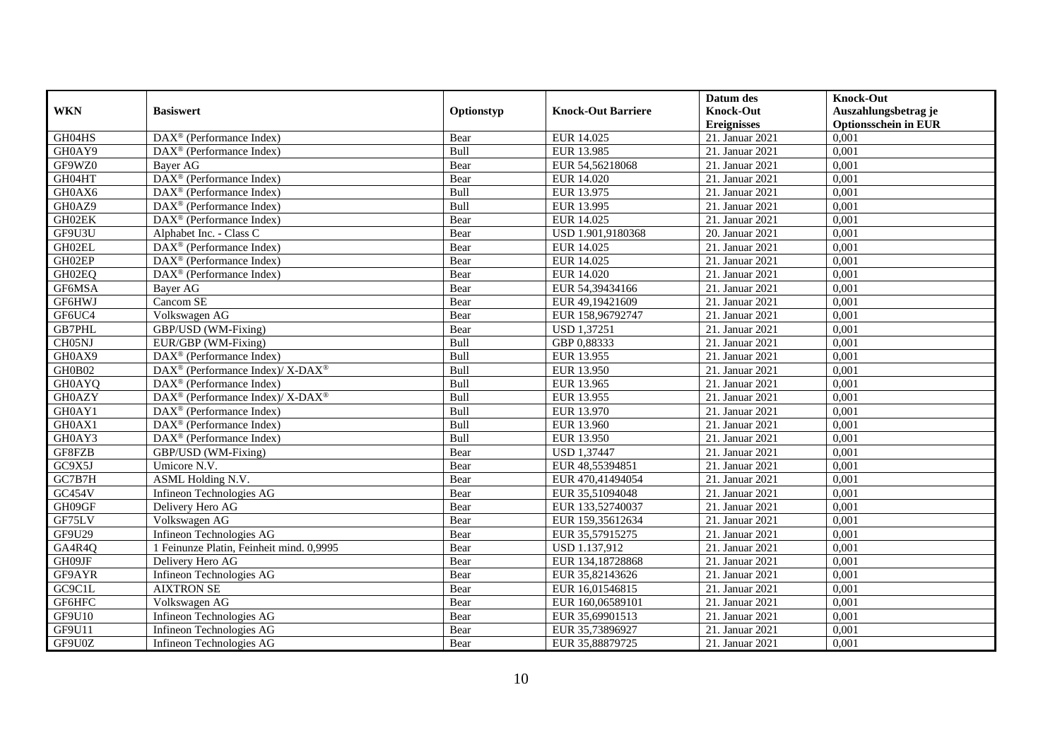|               |                                                              |            |                           | Datum des          | <b>Knock-Out</b>            |
|---------------|--------------------------------------------------------------|------------|---------------------------|--------------------|-----------------------------|
| <b>WKN</b>    | <b>Basiswert</b>                                             | Optionstyp | <b>Knock-Out Barriere</b> | <b>Knock-Out</b>   | Auszahlungsbetrag je        |
|               |                                                              |            |                           | <b>Ereignisses</b> | <b>Optionsschein in EUR</b> |
| GH04HS        | DAX <sup>®</sup> (Performance Index)                         | Bear       | EUR 14.025                | 21. Januar 2021    | 0,001                       |
| GH0AY9        | $\text{DAX}^{\textcircled{n}}$ (Performance Index)           | Bull       | EUR 13.985                | 21. Januar 2021    | 0,001                       |
| GF9WZ0        | Bayer AG                                                     | Bear       | EUR 54,56218068           | 21. Januar 2021    | 0,001                       |
| GH04HT        | DAX <sup>®</sup> (Performance Index)                         | Bear       | EUR 14.020                | 21. Januar 2021    | 0.001                       |
| GH0AX6        | $\overline{\text{DAX}}^{\textcircled{}}$ (Performance Index) | Bull       | EUR 13.975                | 21. Januar 2021    | 0,001                       |
| GH0AZ9        | $\text{DAX}^{\textcircled{D}}$ (Performance Index)           | Bull       | EUR 13.995                | 21. Januar 2021    | 0,001                       |
| GH02EK        | $\text{DAX}^{\textcircled{D}}$ (Performance Index)           | Bear       | EUR 14.025                | 21. Januar 2021    | 0,001                       |
| GF9U3U        | Alphabet Inc. - Class C                                      | Bear       | USD 1.901,9180368         | 20. Januar 2021    | 0,001                       |
| GH02EL        | DAX <sup>®</sup> (Performance Index)                         | Bear       | EUR 14.025                | 21. Januar 2021    | 0,001                       |
| GH02EP        | DAX <sup>®</sup> (Performance Index)                         | Bear       | EUR 14.025                | 21. Januar 2021    | 0.001                       |
| GH02EQ        | $\text{DAX}^{\textcircled{n}}$ (Performance Index)           | Bear       | EUR 14.020                | 21. Januar 2021    | 0,001                       |
| GF6MSA        | Bayer AG                                                     | Bear       | EUR 54,39434166           | 21. Januar 2021    | 0,001                       |
| GF6HWJ        | Cancom SE                                                    | Bear       | EUR 49,19421609           | 21. Januar 2021    | 0,001                       |
| GF6UC4        | Volkswagen AG                                                | Bear       | EUR 158,96792747          | 21. Januar 2021    | 0,001                       |
| GB7PHL        | GBP/USD (WM-Fixing)                                          | Bear       | <b>USD 1,37251</b>        | 21. Januar 2021    | 0,001                       |
| CH05NJ        | EUR/GBP (WM-Fixing)                                          | Bull       | GBP 0,88333               | 21. Januar 2021    | 0,001                       |
| GH0AX9        | DAX <sup>®</sup> (Performance Index)                         | Bull       | EUR 13.955                | 21. Januar 2021    | 0,001                       |
| GH0B02        | $DAX^{\circledcirc}$ (Performance Index)/X-DAX <sup>®</sup>  | Bull       | EUR 13.950                | 21. Januar 2021    | 0.001                       |
| <b>GH0AYQ</b> | $\text{DAX}^{\textcircled{p}}$ (Performance Index)           | Bull       | EUR 13.965                | 21. Januar 2021    | 0,001                       |
| GH0AZY        | DAX <sup>®</sup> (Performance Index)/ X-DAX <sup>®</sup>     | Bull       | EUR 13.955                | 21. Januar 2021    | 0,001                       |
| GH0AY1        | DAX <sup>®</sup> (Performance Index)                         | Bull       | EUR 13.970                | 21. Januar 2021    | 0,001                       |
| GH0AX1        | $\overline{\text{DAX}^{\otimes}}$ (Performance Index)        | Bull       | EUR 13.960                | 21. Januar 2021    | 0,001                       |
| GH0AY3        | DAX <sup>®</sup> (Performance Index)                         | Bull       | EUR 13.950                | 21. Januar 2021    | 0,001                       |
| GF8FZB        | GBP/USD (WM-Fixing)                                          | Bear       | <b>USD 1,37447</b>        | 21. Januar 2021    | 0,001                       |
| GC9X5J        | Umicore N.V.                                                 | Bear       | EUR 48,55394851           | 21. Januar 2021    | 0,001                       |
| GC7B7H        | ASML Holding N.V.                                            | Bear       | EUR 470,41494054          | 21. Januar 2021    | 0,001                       |
| GC454V        | Infineon Technologies AG                                     | Bear       | EUR 35,51094048           | 21. Januar 2021    | 0,001                       |
| GH09GF        | Delivery Hero AG                                             | Bear       | EUR 133,52740037          | 21. Januar 2021    | 0,001                       |
| GF75LV        | Volkswagen AG                                                | Bear       | EUR 159,35612634          | 21. Januar 2021    | 0,001                       |
| GF9U29        | Infineon Technologies AG                                     | Bear       | EUR 35,57915275           | 21. Januar 2021    | 0,001                       |
| GA4R4Q        | 1 Feinunze Platin, Feinheit mind. 0,9995                     | Bear       | USD 1.137,912             | 21. Januar 2021    | 0,001                       |
| GH09JF        | Delivery Hero AG                                             | Bear       | EUR 134,18728868          | 21. Januar 2021    | 0.001                       |
| GF9AYR        | Infineon Technologies AG                                     | Bear       | EUR 35,82143626           | 21. Januar 2021    | 0,001                       |
| GC9C1L        | <b>AIXTRON SE</b>                                            | Bear       | EUR 16,01546815           | 21. Januar 2021    | 0,001                       |
| GF6HFC        | Volkswagen AG                                                | Bear       | EUR 160,06589101          | 21. Januar 2021    | 0,001                       |
| <b>GF9U10</b> | Infineon Technologies AG                                     | Bear       | EUR 35,69901513           | 21. Januar 2021    | 0,001                       |
| GF9U11        | Infineon Technologies AG                                     | Bear       | EUR 35,73896927           | 21. Januar 2021    | 0,001                       |
| GF9U0Z        | Infineon Technologies AG                                     | Bear       | EUR 35,88879725           | 21. Januar 2021    | 0,001                       |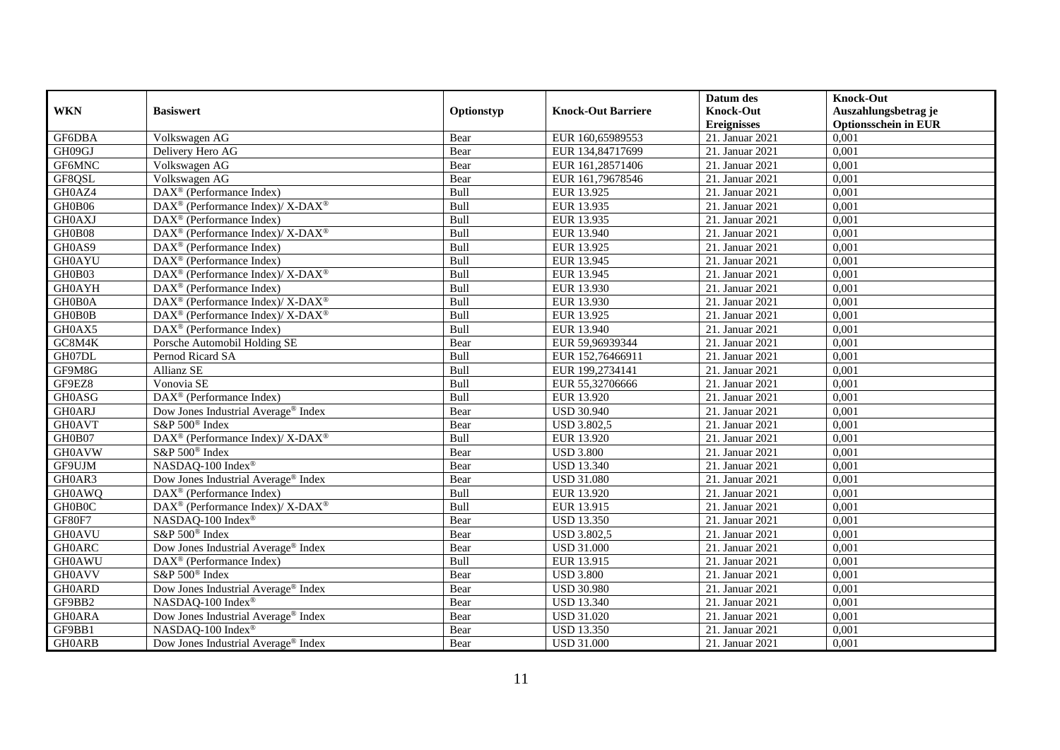|               |                                                                                         |            |                           | Datum des          | <b>Knock-Out</b>            |
|---------------|-----------------------------------------------------------------------------------------|------------|---------------------------|--------------------|-----------------------------|
| <b>WKN</b>    | <b>Basiswert</b>                                                                        | Optionstyp | <b>Knock-Out Barriere</b> | <b>Knock-Out</b>   | Auszahlungsbetrag je        |
|               |                                                                                         |            |                           | <b>Ereignisses</b> | <b>Optionsschein in EUR</b> |
| GF6DBA        | Volkswagen AG                                                                           | Bear       | EUR 160,65989553          | 21. Januar 2021    | 0,001                       |
| GH09GJ        | Delivery Hero AG                                                                        | Bear       | EUR 134,84717699          | 21. Januar 2021    | 0,001                       |
| GF6MNC        | Volkswagen AG                                                                           | Bear       | EUR 161,28571406          | 21. Januar 2021    | 0,001                       |
| GF8QSL        | Volkswagen AG                                                                           | Bear       | EUR 161,79678546          | 21. Januar 2021    | 0,001                       |
| GH0AZ4        | DAX <sup>®</sup> (Performance Index)                                                    | Bull       | EUR 13.925                | 21. Januar 2021    | 0,001                       |
| GH0B06        | $\text{DAX}^{\textcircled{\tiny{\textcircled{\tiny \dag}}}}$ (Performance Index)/X-DAX® | Bull       | EUR 13.935                | 21. Januar 2021    | 0,001                       |
| <b>GH0AXJ</b> | $\overline{\text{DAX}}^{\textcirc}$ (Performance Index)                                 | Bull       | EUR 13.935                | 21. Januar 2021    | 0,001                       |
| GH0B08        | $DAX^{\circledast}$ (Performance Index)/ $\overline{X-DAX^{\circledast}}$               | Bull       | EUR 13.940                | 21. Januar 2021    | 0,001                       |
| GH0AS9        | $DAX^{\circledR}$ (Performance Index)                                                   | Bull       | EUR 13.925                | 21. Januar 2021    | 0,001                       |
| <b>GH0AYU</b> | DAX <sup>®</sup> (Performance Index)                                                    | Bull       | EUR 13.945                | 21. Januar 2021    | 0,001                       |
| GH0B03        | DAX <sup>®</sup> (Performance Index)/ X-DAX <sup>®</sup>                                | Bull       | EUR 13.945                | 21. Januar 2021    | 0,001                       |
| <b>GH0AYH</b> | DAX <sup>®</sup> (Performance Index)                                                    | Bull       | EUR 13.930                | 21. Januar 2021    | 0,001                       |
| GH0B0A        | $\text{DAX}^{\circledast}$ (Performance Index)/ X-DAX <sup>®</sup>                      | Bull       | EUR 13.930                | 21. Januar 2021    | 0,001                       |
| GH0B0B        | $\text{DAX}^{\circledast}$ (Performance Index)/ X-DAX <sup>®</sup>                      | Bull       | EUR 13.925                | 21. Januar 2021    | 0,001                       |
| GH0AX5        | DAX <sup>®</sup> (Performance Index)                                                    | Bull       | EUR 13.940                | 21. Januar 2021    | 0,001                       |
| GC8M4K        | Porsche Automobil Holding SE                                                            | Bear       | EUR 59,96939344           | 21. Januar 2021    | 0,001                       |
| GH07DL        | Pernod Ricard SA                                                                        | Bull       | EUR 152,76466911          | 21. Januar 2021    | 0,001                       |
| GF9M8G        | Allianz SE                                                                              | Bull       | EUR 199,2734141           | 21. Januar 2021    | 0,001                       |
| GF9EZ8        | Vonovia SE                                                                              | Bull       | EUR 55,32706666           | 21. Januar 2021    | 0,001                       |
| <b>GH0ASG</b> | DAX <sup>®</sup> (Performance Index)                                                    | Bull       | EUR 13.920                | 21. Januar 2021    | 0,001                       |
| <b>GH0ARJ</b> | Dow Jones Industrial Average <sup>®</sup> Index                                         | Bear       | <b>USD 30.940</b>         | 21. Januar 2021    | 0,001                       |
| <b>GH0AVT</b> | S&P 500 <sup>®</sup> Index                                                              | Bear       | <b>USD 3.802,5</b>        | 21. Januar 2021    | 0,001                       |
| GH0B07        | DAX <sup>®</sup> (Performance Index)/X-DAX <sup>®</sup>                                 | Bull       | EUR 13.920                | 21. Januar 2021    | 0,001                       |
| <b>GH0AVW</b> | S&P 500 <sup>®</sup> Index                                                              | Bear       | <b>USD 3.800</b>          | 21. Januar 2021    | 0,001                       |
| GF9UJM        | NASDAQ-100 Index®                                                                       | Bear       | <b>USD 13.340</b>         | 21. Januar 2021    | 0,001                       |
| GH0AR3        | Dow Jones Industrial Average® Index                                                     | Bear       | <b>USD 31.080</b>         | 21. Januar 2021    | 0,001                       |
| <b>GH0AWQ</b> | DAX <sup>®</sup> (Performance Index)                                                    | Bull       | EUR 13.920                | 21. Januar 2021    | 0,001                       |
| GH0B0C        | DAX <sup>®</sup> (Performance Index)/ X-DAX <sup>®</sup>                                | Bull       | EUR 13.915                | 21. Januar 2021    | 0,001                       |
| GF80F7        | NASDAQ-100 Index®                                                                       | Bear       | <b>USD 13.350</b>         | 21. Januar 2021    | 0,001                       |
| <b>GH0AVU</b> | S&P 500 <sup>®</sup> Index                                                              | Bear       | <b>USD 3.802,5</b>        | 21. Januar 2021    | 0,001                       |
| <b>GH0ARC</b> | Dow Jones Industrial Average® Index                                                     | Bear       | <b>USD 31.000</b>         | 21. Januar 2021    | 0,001                       |
| <b>GH0AWU</b> | DAX <sup>®</sup> (Performance Index)                                                    | Bull       | EUR 13.915                | 21. Januar 2021    | 0,001                       |
| <b>GH0AVV</b> | S&P 500 <sup>®</sup> Index                                                              | Bear       | <b>USD 3.800</b>          | 21. Januar 2021    | 0,001                       |
| <b>GH0ARD</b> | Dow Jones Industrial Average® Index                                                     | Bear       | <b>USD 30.980</b>         | 21. Januar 2021    | 0,001                       |
| GF9BB2        | NASDAQ-100 Index®                                                                       | Bear       | <b>USD 13.340</b>         | 21. Januar 2021    | 0,001                       |
| <b>GH0ARA</b> | Dow Jones Industrial Average® Index                                                     | Bear       | <b>USD 31.020</b>         | 21. Januar 2021    | 0,001                       |
| GF9BB1        | NASDAQ-100 Index®                                                                       | Bear       | <b>USD 13.350</b>         | 21. Januar 2021    | 0,001                       |
| <b>GH0ARB</b> | Dow Jones Industrial Average <sup>®</sup> Index                                         | Bear       | <b>USD 31.000</b>         | 21. Januar 2021    | 0,001                       |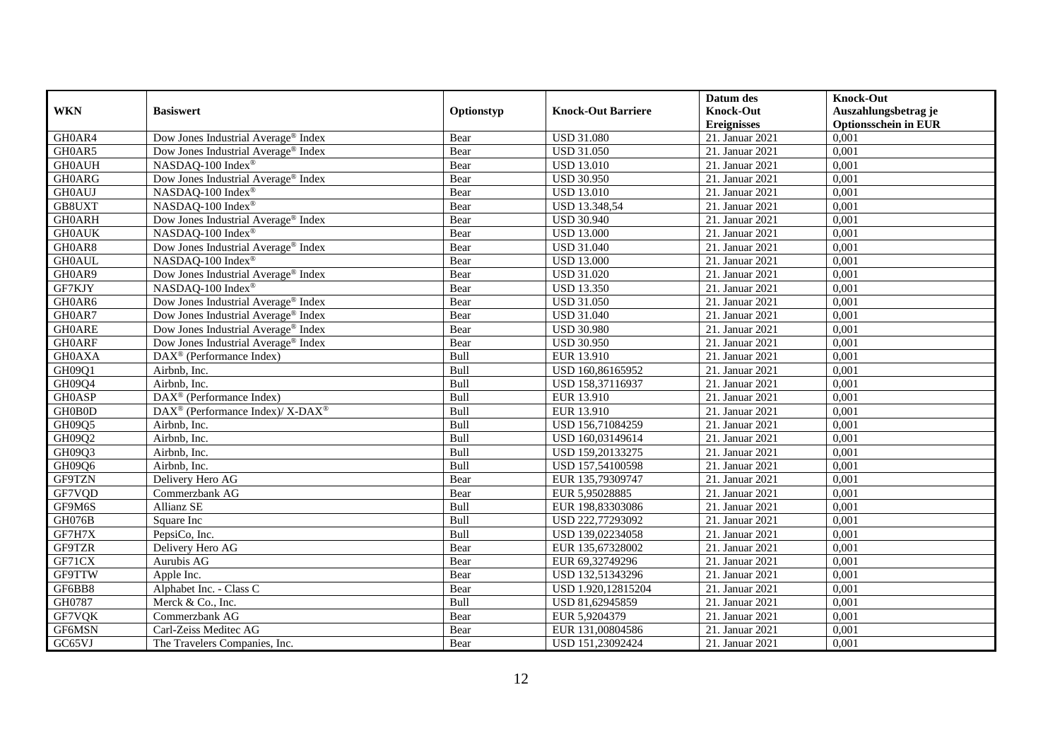|               |                                                          |            |                           | Datum des          | <b>Knock-Out</b>            |
|---------------|----------------------------------------------------------|------------|---------------------------|--------------------|-----------------------------|
| <b>WKN</b>    | <b>Basiswert</b>                                         | Optionstyp | <b>Knock-Out Barriere</b> | <b>Knock-Out</b>   | Auszahlungsbetrag je        |
|               |                                                          |            |                           | <b>Ereignisses</b> | <b>Optionsschein in EUR</b> |
| GH0AR4        | Dow Jones Industrial Average® Index                      | Bear       | <b>USD 31.080</b>         | 21. Januar 2021    | 0,001                       |
| GH0AR5        | Dow Jones Industrial Average <sup>®</sup> Index          | Bear       | <b>USD 31.050</b>         | 21. Januar 2021    | 0,001                       |
| <b>GH0AUH</b> | NASDAQ-100 Index <sup>®</sup>                            | Bear       | <b>USD 13.010</b>         | 21. Januar 2021    | 0,001                       |
| <b>GH0ARG</b> | Dow Jones Industrial Average <sup>®</sup> Index          | Bear       | <b>USD 30.950</b>         | 21. Januar 2021    | 0,001                       |
| <b>GH0AUJ</b> | NASDAQ-100 Index®                                        | Bear       | <b>USD 13.010</b>         | 21. Januar 2021    | 0,001                       |
| GB8UXT        | NASDAQ-100 Index®                                        | Bear       | USD 13.348,54             | 21. Januar 2021    | 0,001                       |
| <b>GH0ARH</b> | Dow Jones Industrial Average <sup>®</sup> Index          | Bear       | <b>USD 30.940</b>         | 21. Januar 2021    | 0,001                       |
| <b>GH0AUK</b> | NASDAQ-100 Index®                                        | Bear       | <b>USD 13.000</b>         | 21. Januar 2021    | 0,001                       |
| GH0AR8        | Dow Jones Industrial Average® Index                      | Bear       | <b>USD 31.040</b>         | 21. Januar 2021    | 0,001                       |
| <b>GH0AUL</b> | NASDAQ-100 Index®                                        | Bear       | <b>USD 13.000</b>         | 21. Januar 2021    | 0,001                       |
| GH0AR9        | Dow Jones Industrial Average® Index                      | Bear       | <b>USD 31.020</b>         | 21. Januar 2021    | 0,001                       |
| GF7KJY        | NASDAQ-100 Index®                                        | Bear       | <b>USD 13.350</b>         | 21. Januar 2021    | 0,001                       |
| GH0AR6        | Dow Jones Industrial Average <sup>®</sup> Index          | Bear       | <b>USD 31.050</b>         | 21. Januar 2021    | 0,001                       |
| GH0AR7        | Dow Jones Industrial Average <sup>®</sup> Index          | Bear       | <b>USD 31.040</b>         | 21. Januar 2021    | 0,001                       |
| <b>GH0ARE</b> | Dow Jones Industrial Average® Index                      | Bear       | <b>USD 30.980</b>         | 21. Januar 2021    | 0,001                       |
| <b>GH0ARF</b> | Dow Jones Industrial Average® Index                      | Bear       | <b>USD 30.950</b>         | 21. Januar 2021    | 0,001                       |
| <b>GH0AXA</b> | DAX <sup>®</sup> (Performance Index)                     | Bull       | EUR 13.910                | 21. Januar 2021    | 0,001                       |
| GH09Q1        | Airbnb, Inc.                                             | Bull       | USD 160,86165952          | 21. Januar 2021    | 0,001                       |
| GH09Q4        | Airbnb, Inc.                                             | Bull       | USD 158,37116937          | 21. Januar 2021    | 0,001                       |
| <b>GH0ASP</b> | DAX <sup>®</sup> (Performance Index)                     | Bull       | EUR 13.910                | 21. Januar 2021    | 0,001                       |
| GH0B0D        | DAX <sup>®</sup> (Performance Index)/ X-DAX <sup>®</sup> | Bull       | EUR 13.910                | 21. Januar 2021    | 0,001                       |
| GH09Q5        | Airbnb, Inc.                                             | Bull       | USD 156,71084259          | 21. Januar 2021    | 0,001                       |
| GH09Q2        | Airbnb, Inc.                                             | Bull       | USD 160,03149614          | 21. Januar 2021    | 0,001                       |
| GH09Q3        | Airbnb, Inc.                                             | Bull       | USD 159,20133275          | 21. Januar 2021    | 0,001                       |
| GH09Q6        | Airbnb. Inc.                                             | Bull       | USD 157,54100598          | 21. Januar 2021    | 0,001                       |
| GF9TZN        | Delivery Hero AG                                         | Bear       | EUR 135,79309747          | 21. Januar 2021    | 0,001                       |
| GF7VQD        | Commerzbank AG                                           | Bear       | EUR 5,95028885            | 21. Januar 2021    | 0,001                       |
| GF9M6S        | Allianz SE                                               | Bull       | EUR 198,83303086          | 21. Januar 2021    | 0,001                       |
| GH076B        | Square Inc                                               | Bull       | USD 222,77293092          | 21. Januar 2021    | 0,001                       |
| GF7H7X        | PepsiCo, Inc.                                            | Bull       | USD 139,02234058          | 21. Januar 2021    | 0,001                       |
| GF9TZR        | Delivery Hero AG                                         | Bear       | EUR 135,67328002          | 21. Januar 2021    | 0,001                       |
| GF71CX        | Aurubis AG                                               | Bear       | EUR 69,32749296           | 21. Januar 2021    | 0,001                       |
| <b>GF9TTW</b> | Apple Inc.                                               | Bear       | USD 132,51343296          | 21. Januar 2021    | 0,001                       |
| GF6BB8        | Alphabet Inc. - Class C                                  | Bear       | USD 1.920,12815204        | 21. Januar 2021    | 0,001                       |
| GH0787        | Merck & Co., Inc.                                        | Bull       | USD 81,62945859           | 21. Januar 2021    | 0,001                       |
| GF7VQK        | Commerzbank AG                                           | Bear       | EUR 5,9204379             | 21. Januar 2021    | 0,001                       |
| GF6MSN        | Carl-Zeiss Meditec AG                                    | Bear       | EUR 131,00804586          | 21. Januar 2021    | 0,001                       |
| GC65VJ        | The Travelers Companies, Inc.                            | Bear       | USD 151,23092424          | 21. Januar 2021    | 0,001                       |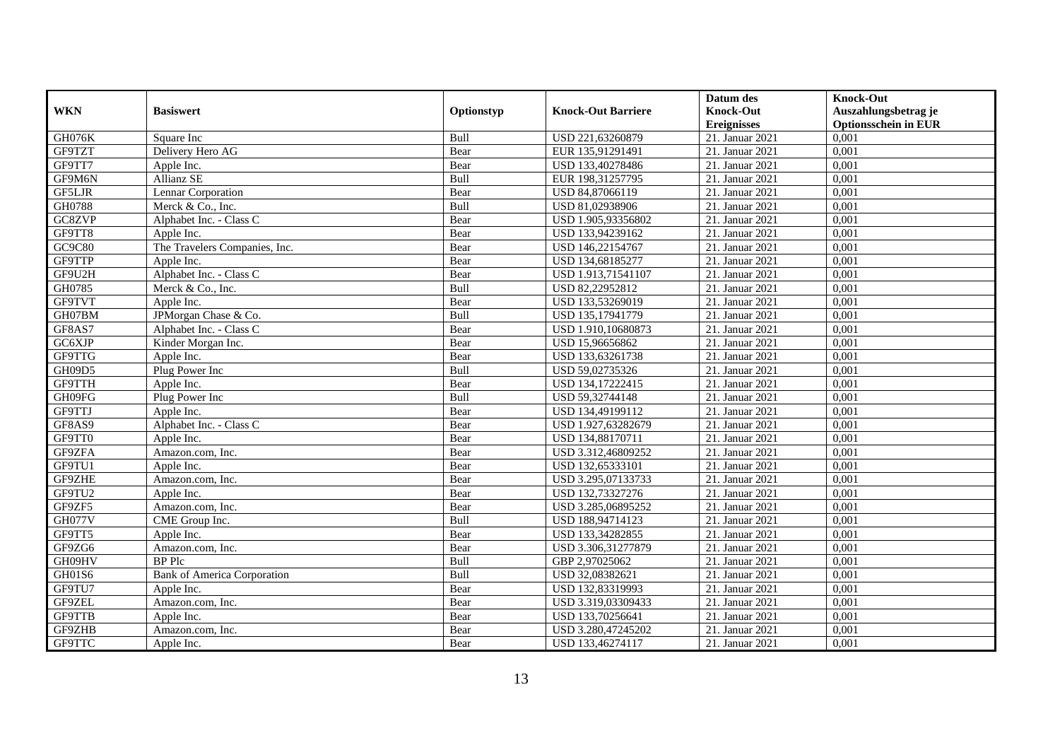|               |                                    |             |                           | Datum des          | <b>Knock-Out</b>            |
|---------------|------------------------------------|-------------|---------------------------|--------------------|-----------------------------|
| <b>WKN</b>    | <b>Basiswert</b>                   | Optionstyp  | <b>Knock-Out Barriere</b> | <b>Knock-Out</b>   | Auszahlungsbetrag je        |
|               |                                    |             |                           | <b>Ereignisses</b> | <b>Optionsschein in EUR</b> |
| GH076K        | Square Inc                         | Bull        | USD 221,63260879          | 21. Januar 2021    | 0,001                       |
| GF9TZT        | Delivery Hero AG                   | Bear        | EUR 135,91291491          | 21. Januar 2021    | 0,001                       |
| GF9TT7        | Apple Inc.                         | Bear        | USD 133,40278486          | 21. Januar 2021    | 0,001                       |
| GF9M6N        | Allianz SE                         | Bull        | EUR 198,31257795          | 21. Januar 2021    | 0,001                       |
| GF5LJR        | Lennar Corporation                 | Bear        | USD 84,87066119           | 21. Januar 2021    | 0,001                       |
| GH0788        | Merck & Co., Inc.                  | Bull        | USD 81,02938906           | 21. Januar 2021    | 0,001                       |
| GC8ZVP        | Alphabet Inc. - Class C            | Bear        | USD 1.905,93356802        | 21. Januar 2021    | 0,001                       |
| GF9TT8        | Apple Inc.                         | Bear        | USD 133,94239162          | 21. Januar 2021    | 0,001                       |
| GC9C80        | The Travelers Companies, Inc.      | Bear        | USD 146,22154767          | 21. Januar 2021    | 0,001                       |
| <b>GF9TTP</b> | Apple Inc.                         | Bear        | USD 134,68185277          | 21. Januar 2021    | 0,001                       |
| GF9U2H        | Alphabet Inc. - Class C            | Bear        | USD 1.913,71541107        | 21. Januar 2021    | 0,001                       |
| GH0785        | Merck & Co., Inc.                  | Bull        | USD 82,22952812           | 21. Januar 2021    | 0,001                       |
| GF9TVT        | Apple Inc.                         | Bear        | USD 133,53269019          | 21. Januar 2021    | 0,001                       |
| GH07BM        | JPMorgan Chase & Co.               | Bull        | USD 135,17941779          | 21. Januar 2021    | 0,001                       |
| GF8AS7        | Alphabet Inc. - Class C            | Bear        | USD 1.910,10680873        | 21. Januar 2021    | 0,001                       |
| GC6XJP        | Kinder Morgan Inc.                 | Bear        | USD 15,96656862           | 21. Januar 2021    | 0,001                       |
| GF9TTG        | Apple Inc.                         | Bear        | USD 133,63261738          | 21. Januar 2021    | 0,001                       |
| GH09D5        | Plug Power Inc                     | <b>Bull</b> | USD 59,02735326           | 21. Januar 2021    | 0,001                       |
| GF9TTH        | Apple Inc.                         | Bear        | USD 134,17222415          | 21. Januar 2021    | 0,001                       |
| GH09FG        | Plug Power Inc                     | Bull        | USD 59,32744148           | 21. Januar 2021    | 0,001                       |
| GF9TTJ        | Apple Inc.                         | Bear        | USD 134,49199112          | 21. Januar 2021    | 0,001                       |
| GF8AS9        | Alphabet Inc. - Class C            | Bear        | USD 1.927,63282679        | 21. Januar 2021    | 0,001                       |
| GF9TT0        | Apple Inc.                         | Bear        | USD 134,88170711          | 21. Januar 2021    | 0,001                       |
| GF9ZFA        | Amazon.com, Inc.                   | Bear        | USD 3.312,46809252        | 21. Januar 2021    | 0,001                       |
| GF9TU1        | Apple Inc.                         | Bear        | USD 132,65333101          | 21. Januar 2021    | 0,001                       |
| GF9ZHE        | Amazon.com, Inc.                   | Bear        | USD 3.295,07133733        | 21. Januar 2021    | 0,001                       |
| GF9TU2        | Apple Inc.                         | Bear        | USD 132,73327276          | 21. Januar 2021    | 0,001                       |
| GF9ZF5        | Amazon.com. Inc.                   | Bear        | USD 3.285,06895252        | 21. Januar 2021    | 0,001                       |
| <b>GH077V</b> | CME Group Inc.                     | <b>Bull</b> | USD 188,94714123          | 21. Januar 2021    | 0,001                       |
| GF9TT5        | Apple Inc.                         | Bear        | USD 133,34282855          | 21. Januar 2021    | 0,001                       |
| GF9ZG6        | Amazon.com, Inc.                   | Bear        | USD 3.306,31277879        | 21. Januar 2021    | 0,001                       |
| GH09HV        | <b>BP</b> Plc                      | Bull        | GBP 2,97025062            | 21. Januar 2021    | 0,001                       |
| GH01S6        | <b>Bank of America Corporation</b> | Bull        | USD 32,08382621           | 21. Januar 2021    | 0,001                       |
| GF9TU7        | Apple Inc.                         | Bear        | USD 132,83319993          | 21. Januar 2021    | 0,001                       |
| GF9ZEL        | Amazon.com, Inc.                   | Bear        | USD 3.319,03309433        | 21. Januar 2021    | 0,001                       |
| GF9TTB        | Apple Inc.                         | Bear        | USD 133,70256641          | 21. Januar 2021    | 0,001                       |
| GF9ZHB        | Amazon.com, Inc.                   | Bear        | USD 3.280,47245202        | 21. Januar 2021    | 0,001                       |
| GF9TTC        | Apple Inc.                         | Bear        | USD 133,46274117          | 21. Januar 2021    | 0,001                       |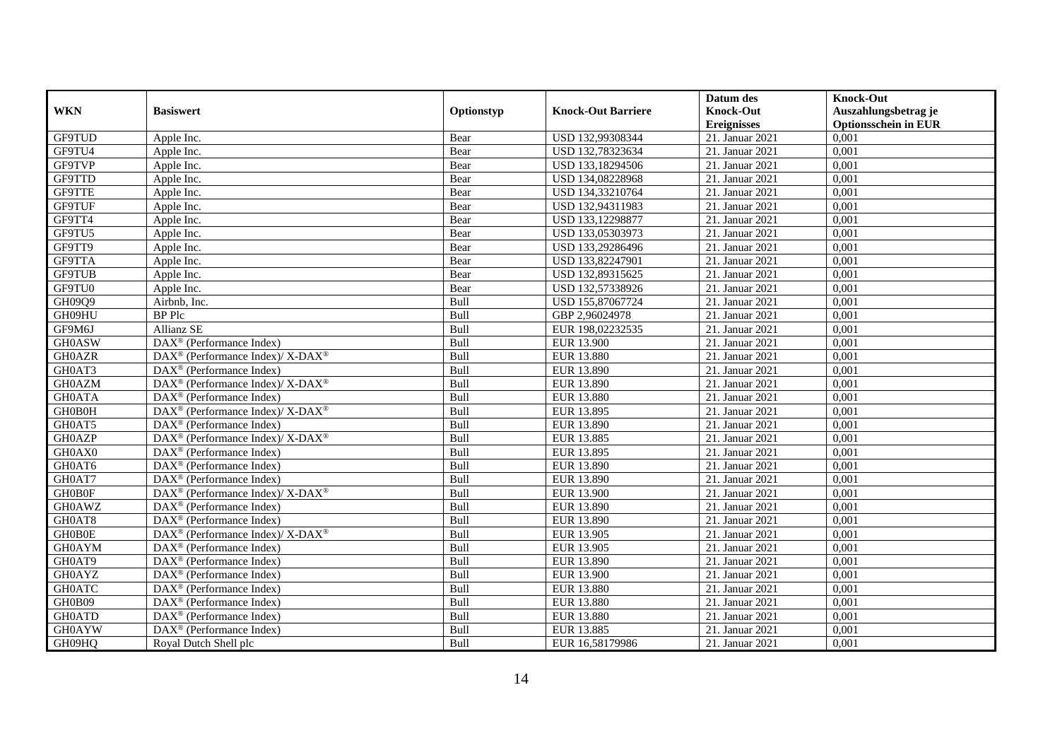|               |                                                          |            |                           | Datum des          | <b>Knock-Out</b>            |
|---------------|----------------------------------------------------------|------------|---------------------------|--------------------|-----------------------------|
| <b>WKN</b>    | <b>Basiswert</b>                                         | Optionstyp | <b>Knock-Out Barriere</b> | <b>Knock-Out</b>   | Auszahlungsbetrag je        |
|               |                                                          |            |                           | <b>Ereignisses</b> | <b>Optionsschein in EUR</b> |
| GF9TUD        | Apple Inc.                                               | Bear       | USD 132,99308344          | 21. Januar 2021    | 0,001                       |
| GF9TU4        | Apple Inc.                                               | Bear       | USD 132,78323634          | 21. Januar 2021    | 0,001                       |
| GF9TVP        | Apple Inc.                                               | Bear       | USD 133,18294506          | 21. Januar 2021    | 0,001                       |
| GF9TTD        | Apple Inc.                                               | Bear       | USD 134,08228968          | 21. Januar 2021    | 0,001                       |
| <b>GF9TTE</b> | Apple Inc.                                               | Bear       | USD 134,33210764          | 21. Januar 2021    | 0,001                       |
| GF9TUF        | Apple Inc.                                               | Bear       | USD 132,94311983          | 21. Januar 2021    | 0,001                       |
| GF9TT4        | Apple Inc.                                               | Bear       | USD 133,12298877          | 21. Januar 2021    | 0,001                       |
| GF9TU5        | Apple Inc.                                               | Bear       | USD 133,05303973          | 21. Januar 2021    | 0,001                       |
| GF9TT9        | Apple Inc.                                               | Bear       | USD 133,29286496          | 21. Januar 2021    | 0,001                       |
| GF9TTA        | Apple Inc.                                               | Bear       | USD 133,82247901          | 21. Januar 2021    | 0,001                       |
| <b>GF9TUB</b> | Apple Inc.                                               | Bear       | USD 132,89315625          | 21. Januar 2021    | 0,001                       |
| GF9TU0        | Apple Inc.                                               | Bear       | USD 132,57338926          | 21. Januar 2021    | 0,001                       |
| GH09Q9        | Airbnb, Inc.                                             | Bull       | USD 155,87067724          | 21. Januar 2021    | 0,001                       |
| GH09HU        | <b>BP</b> Plc                                            | Bull       | GBP 2,96024978            | 21. Januar 2021    | 0,001                       |
| GF9M6J        | Allianz SE                                               | Bull       | EUR 198,02232535          | 21. Januar 2021    | 0,001                       |
| <b>GH0ASW</b> | $\overline{\text{DAX}^{\otimes}}$ (Performance Index)    | Bull       | <b>EUR 13.900</b>         | 21. Januar 2021    | 0,001                       |
| <b>GH0AZR</b> | DAX <sup>®</sup> (Performance Index)/X-DAX <sup>®</sup>  | Bull       | EUR 13.880                | 21. Januar 2021    | 0,001                       |
| GH0AT3        | $DAX^{\circledcirc}$ (Performance Index)                 | Bull       | EUR 13.890                | 21. Januar 2021    | 0,001                       |
| <b>GH0AZM</b> | DAX <sup>®</sup> (Performance Index)/ X-DAX <sup>®</sup> | Bull       | <b>EUR 13.890</b>         | 21. Januar 2021    | 0,001                       |
| <b>GH0ATA</b> | $\overline{\text{DAX}^{\otimes}}$ (Performance Index)    | Bull       | <b>EUR 13.880</b>         | 21. Januar 2021    | 0,001                       |
| GH0B0H        | DAX <sup>®</sup> (Performance Index)/ X-DAX <sup>®</sup> | Bull       | EUR 13.895                | 21. Januar 2021    | 0,001                       |
| GH0AT5        | $DAX^{\circledR}$ (Performance Index)                    | Bull       | EUR 13.890                | 21. Januar 2021    | 0,001                       |
| <b>GH0AZP</b> | DAX <sup>®</sup> (Performance Index)/ X-DAX <sup>®</sup> | Bull       | EUR 13.885                | 21. Januar 2021    | 0,001                       |
| GH0AX0        | $DAX^{\circledast}$ (Performance Index)                  | Bull       | EUR 13.895                | 21. Januar 2021    | 0,001                       |
| GH0AT6        | $\text{DAX}^{\otimes}$ (Performance Index)               | Bull       | EUR 13.890                | 21. Januar 2021    | 0,001                       |
| GH0AT7        | DAX <sup>®</sup> (Performance Index)                     | Bull       | EUR 13.890                | 21. Januar 2021    | 0,001                       |
| <b>GH0B0F</b> | DAX <sup>®</sup> (Performance Index)/ X-DAX <sup>®</sup> | Bull       | EUR 13.900                | 21. Januar 2021    | 0,001                       |
| <b>GH0AWZ</b> | $DAX^{\circledR}$ (Performance Index)                    | Bull       | <b>EUR 13.890</b>         | 21. Januar 2021    | 0,001                       |
| GH0AT8        | DAX <sup>®</sup> (Performance Index)                     | Bull       | EUR 13.890                | 21. Januar 2021    | 0,001                       |
| <b>GHOBOE</b> | DAX <sup>®</sup> (Performance Index)/ X-DAX <sup>®</sup> | Bull       | EUR 13.905                | 21. Januar 2021    | 0,001                       |
| <b>GH0AYM</b> | DAX <sup>®</sup> (Performance Index)                     | Bull       | EUR 13.905                | 21. Januar 2021    | 0,001                       |
| GH0AT9        | DAX <sup>®</sup> (Performance Index)                     | Bull       | EUR 13.890                | 21. Januar 2021    | 0,001                       |
| <b>GH0AYZ</b> | $\overline{\text{DAX}^{\otimes}}$ (Performance Index)    | Bull       | <b>EUR 13.900</b>         | 21. Januar 2021    | 0,001                       |
| <b>GH0ATC</b> | DAX <sup>®</sup> (Performance Index)                     | Bull       | <b>EUR 13.880</b>         | 21. Januar 2021    | 0,001                       |
| GH0B09        | $DAX^{\circledast}$ (Performance Index)                  | Bull       | <b>EUR 13.880</b>         | 21. Januar 2021    | 0,001                       |
| <b>GH0ATD</b> | $DAX^{\circledast}$ (Performance Index)                  | Bull       | EUR 13.880                | 21. Januar 2021    | 0,001                       |
| <b>GH0AYW</b> | DAX <sup>®</sup> (Performance Index)                     | Bull       | EUR 13.885                | 21. Januar 2021    | 0,001                       |
| GH09HQ        | Royal Dutch Shell plc                                    | Bull       | EUR 16,58179986           | 21. Januar 2021    | 0,001                       |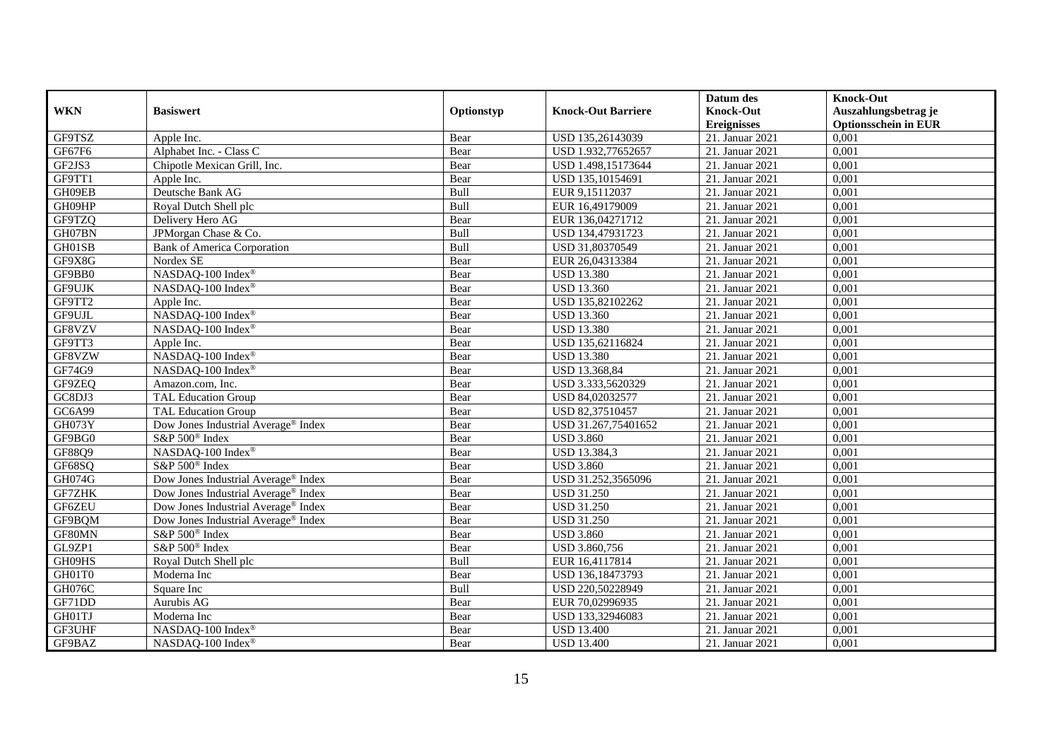|               |                                                 |            |                           | Datum des          | <b>Knock-Out</b>            |
|---------------|-------------------------------------------------|------------|---------------------------|--------------------|-----------------------------|
| <b>WKN</b>    | <b>Basiswert</b>                                | Optionstyp | <b>Knock-Out Barriere</b> | <b>Knock-Out</b>   | Auszahlungsbetrag je        |
|               |                                                 |            |                           | <b>Ereignisses</b> | <b>Optionsschein in EUR</b> |
| GF9TSZ        | Apple Inc.                                      | Bear       | USD 135,26143039          | 21. Januar 2021    | 0,001                       |
| GF67F6        | Alphabet Inc. - Class C                         | Bear       | USD 1.932,77652657        | 21. Januar 2021    | 0,001                       |
| GF2JS3        | Chipotle Mexican Grill, Inc.                    | Bear       | USD 1.498,15173644        | 21. Januar 2021    | 0,001                       |
| GF9TT1        | Apple Inc.                                      | Bear       | USD 135,10154691          | 21. Januar 2021    | 0,001                       |
| GH09EB        | Deutsche Bank AG                                | Bull       | EUR 9,15112037            | 21. Januar 2021    | 0,001                       |
| GH09HP        | Royal Dutch Shell plc                           | Bull       | EUR 16,49179009           | 21. Januar 2021    | 0,001                       |
| GF9TZQ        | Delivery Hero AG                                | Bear       | EUR 136,04271712          | 21. Januar 2021    | 0,001                       |
| GH07BN        | JPMorgan Chase & Co.                            | Bull       | USD 134,47931723          | 21. Januar 2021    | 0,001                       |
| GH01SB        | <b>Bank of America Corporation</b>              | Bull       | USD 31,80370549           | 21. Januar 2021    | 0,001                       |
| GF9X8G        | Nordex SE                                       | Bear       | EUR 26,04313384           | 21. Januar 2021    | $\overline{0,001}$          |
| GF9BB0        | NASDAQ-100 Index®                               | Bear       | <b>USD 13.380</b>         | 21. Januar 2021    | 0,001                       |
| GF9UJK        | NASDAQ-100 Index®                               | Bear       | <b>USD 13.360</b>         | 21. Januar 2021    | 0,001                       |
| GF9TT2        | Apple Inc.                                      | Bear       | USD 135,82102262          | 21. Januar 2021    | 0,001                       |
| GF9UJL        | NASDAQ-100 Index®                               | Bear       | <b>USD 13.360</b>         | 21. Januar 2021    | 0,001                       |
| GF8VZV        | NASDAQ-100 Index®                               | Bear       | <b>USD 13.380</b>         | 21. Januar 2021    | 0,001                       |
| GF9TT3        | Apple Inc.                                      | Bear       | USD 135,62116824          | 21. Januar 2021    | 0,001                       |
| GF8VZW        | NASDAQ-100 Index®                               | Bear       | <b>USD 13.380</b>         | 21. Januar 2021    | 0,001                       |
| GF74G9        | NASDAO-100 Index®                               | Bear       | <b>USD 13.368.84</b>      | 21. Januar 2021    | 0,001                       |
| GF9ZEQ        | Amazon.com, Inc.                                | Bear       | USD 3.333,5620329         | 21. Januar 2021    | 0,001                       |
| GC8DJ3        | <b>TAL Education Group</b>                      | Bear       | USD 84,02032577           | 21. Januar 2021    | 0,001                       |
| GC6A99        | <b>TAL Education Group</b>                      | Bear       | USD 82,37510457           | 21. Januar 2021    | 0,001                       |
| GH073Y        | Dow Jones Industrial Average® Index             | Bear       | USD 31.267,75401652       | 21. Januar 2021    | 0,001                       |
| GF9BG0        | S&P 500 <sup>®</sup> Index                      | Bear       | <b>USD 3.860</b>          | 21. Januar 2021    | 0,001                       |
| GF88Q9        | NASDAQ-100 Index®                               | Bear       | USD 13.384,3              | 21. Januar 2021    | 0,001                       |
| GF68SQ        | S&P 500 <sup>®</sup> Index                      | Bear       | <b>USD 3.860</b>          | 21. Januar 2021    | 0.001                       |
| GH074G        | Dow Jones Industrial Average <sup>®</sup> Index | Bear       | USD 31.252,3565096        | 21. Januar 2021    | 0,001                       |
| <b>GF7ZHK</b> | Dow Jones Industrial Average® Index             | Bear       | <b>USD 31.250</b>         | 21. Januar 2021    | 0,001                       |
| GF6ZEU        | Dow Jones Industrial Average <sup>®</sup> Index | Bear       | <b>USD 31.250</b>         | 21. Januar 2021    | 0,001                       |
| GF9BQM        | Dow Jones Industrial Average® Index             | Bear       | <b>USD 31.250</b>         | 21. Januar 2021    | 0,001                       |
| GF80MN        | S&P 500 <sup>®</sup> Index                      | Bear       | <b>USD 3.860</b>          | 21. Januar 2021    | 0,001                       |
| GL9ZP1        | S&P 500 <sup>®</sup> Index                      | Bear       | USD 3.860,756             | 21. Januar 2021    | 0,001                       |
| GH09HS        | Royal Dutch Shell plc                           | Bull       | EUR 16,4117814            | 21. Januar 2021    | 0,001                       |
| GH01T0        | Moderna Inc                                     | Bear       | USD 136,18473793          | 21. Januar 2021    | 0,001                       |
| GH076C        | Square Inc                                      | Bull       | USD 220,50228949          | 21. Januar 2021    | 0,001                       |
| GF71DD        | Aurubis AG                                      | Bear       | EUR 70,02996935           | 21. Januar 2021    | 0,001                       |
| GH01TJ        | Moderna Inc                                     | Bear       | USD 133,32946083          | 21. Januar 2021    | 0,001                       |
| GF3UHF        | NASDAQ-100 Index®                               | Bear       | <b>USD 13.400</b>         | 21. Januar 2021    | 0,001                       |
| GF9BAZ        | NASDAQ-100 Index®                               | Bear       | <b>USD 13.400</b>         | 21. Januar 2021    | 0,001                       |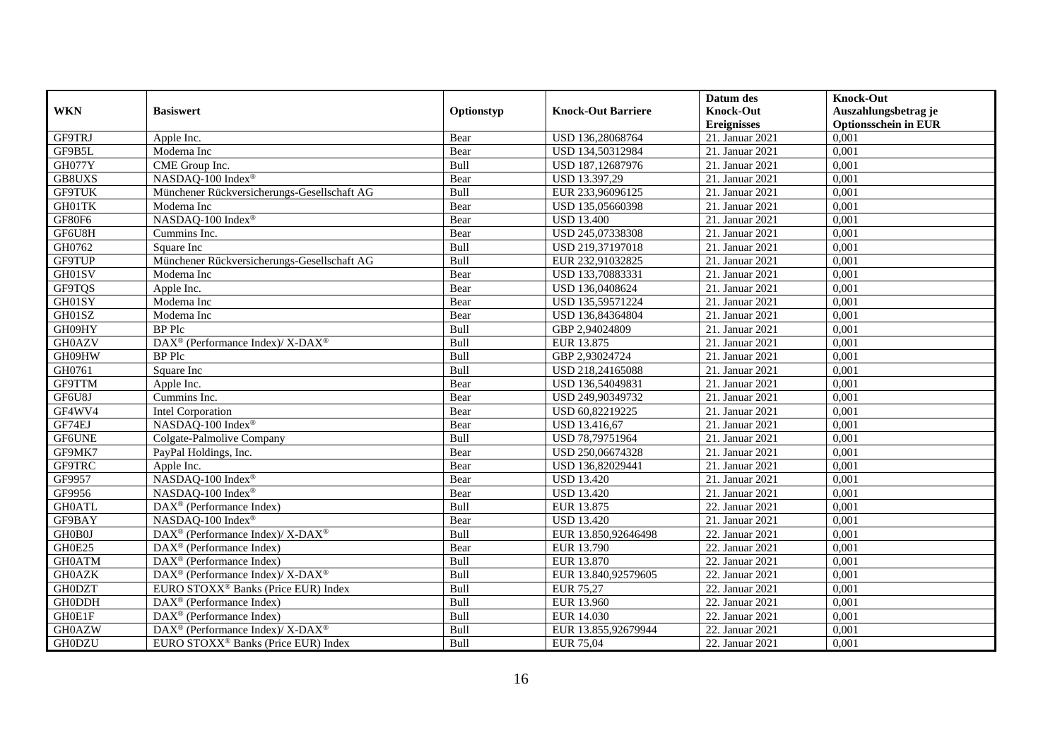|               |                                                                                         |             |                           | Datum des          | <b>Knock-Out</b>            |
|---------------|-----------------------------------------------------------------------------------------|-------------|---------------------------|--------------------|-----------------------------|
| <b>WKN</b>    | <b>Basiswert</b>                                                                        | Optionstyp  | <b>Knock-Out Barriere</b> | <b>Knock-Out</b>   | Auszahlungsbetrag je        |
|               |                                                                                         |             |                           | <b>Ereignisses</b> | <b>Optionsschein in EUR</b> |
| <b>GF9TRJ</b> | Apple Inc.                                                                              | Bear        | USD 136,28068764          | 21. Januar 2021    | 0,001                       |
| GF9B5L        | Moderna Inc                                                                             | Bear        | USD 134,50312984          | 21. Januar 2021    | 0,001                       |
| GH077Y        | CME Group Inc.                                                                          | Bull        | USD 187,12687976          | 21. Januar 2021    | 0,001                       |
| GB8UXS        | NASDAQ-100 Index®                                                                       | Bear        | USD 13.397,29             | 21. Januar 2021    | 0,001                       |
| <b>GF9TUK</b> | Münchener Rückversicherungs-Gesellschaft AG                                             | Bull        | EUR 233,96096125          | 21. Januar 2021    | 0,001                       |
| GH01TK        | Moderna Inc                                                                             | Bear        | USD 135,05660398          | 21. Januar 2021    | 0,001                       |
| GF80F6        | NASDAQ-100 Index®                                                                       | Bear        | <b>USD 13.400</b>         | 21. Januar 2021    | 0,001                       |
| GF6U8H        | Cummins Inc.                                                                            | Bear        | USD 245,07338308          | 21. Januar 2021    | 0,001                       |
| GH0762        | Square Inc                                                                              | Bull        | USD 219,37197018          | 21. Januar 2021    | 0,001                       |
| <b>GF9TUP</b> | Münchener Rückversicherungs-Gesellschaft AG                                             | Bull        | EUR 232,91032825          | 21. Januar 2021    | 0,001                       |
| GH01SV        | Moderna Inc                                                                             | Bear        | USD 133,70883331          | 21. Januar 2021    | 0,001                       |
| GF9TQS        | Apple Inc.                                                                              | Bear        | USD 136,0408624           | 21. Januar 2021    | 0,001                       |
| GH01SY        | Moderna Inc                                                                             | Bear        | USD 135,59571224          | 21. Januar 2021    | 0,001                       |
| GH01SZ        | Moderna Inc                                                                             | Bear        | USD 136,84364804          | 21. Januar 2021    | 0,001                       |
| GH09HY        | <b>BP</b> Plc                                                                           | Bull        | GBP 2,94024809            | 21. Januar 2021    | 0,001                       |
| <b>GH0AZV</b> | $\text{DAX}^{\circledR}$ (Performance Index)/ X-DAX <sup>®</sup>                        | Bull        | EUR 13.875                | 21. Januar 2021    | 0,001                       |
| GH09HW        | <b>BP</b> Plc                                                                           | Bull        | GBP 2,93024724            | 21. Januar 2021    | 0,001                       |
| GH0761        | Square Inc                                                                              | Bull        | USD 218,24165088          | 21. Januar 2021    | 0,001                       |
| <b>GF9TTM</b> | Apple Inc.                                                                              | Bear        | USD 136,54049831          | 21. Januar 2021    | 0,001                       |
| GF6U8J        | Cummins Inc.                                                                            | Bear        | USD 249,90349732          | 21. Januar 2021    | 0,001                       |
| GF4WV4        | Intel Corporation                                                                       | Bear        | USD 60,82219225           | 21. Januar 2021    | 0,001                       |
| GF74EJ        | NASDAQ-100 Index®                                                                       | Bear        | USD 13.416,67             | 21. Januar 2021    | 0,001                       |
| GF6UNE        | Colgate-Palmolive Company                                                               | Bull        | USD 78,79751964           | 21. Januar 2021    | 0,001                       |
| GF9MK7        | PayPal Holdings, Inc.                                                                   | Bear        | USD 250,06674328          | 21. Januar 2021    | 0,001                       |
| GF9TRC        | Apple Inc.                                                                              | Bear        | USD 136,82029441          | 21. Januar 2021    | 0,001                       |
| GF9957        | NASDAQ-100 Index®                                                                       | Bear        | <b>USD 13.420</b>         | 21. Januar 2021    | 0,001                       |
| GF9956        | NASDAQ-100 Index®                                                                       | Bear        | <b>USD 13.420</b>         | 21. Januar 2021    | 0,001                       |
| <b>GH0ATL</b> | $\text{DAX}^{\textcircled{p}}$ (Performance Index)                                      | <b>Bull</b> | EUR 13.875                | 22. Januar 2021    | 0,001                       |
| GF9BAY        | NASDAQ-100 Index®                                                                       | Bear        | <b>USD 13.420</b>         | 21. Januar 2021    | 0,001                       |
| GH0B0J        | $\text{DAX}^{\circledast}$ (Performance Index)/ $\overline{\text{X-DAX}^{\circledast}}$ | Bull        | EUR 13.850,92646498       | 22. Januar 2021    | 0,001                       |
| GH0E25        | $\text{DAX}^{\textcircled{p}}$ (Performance Index)                                      | Bear        | EUR 13.790                | 22. Januar 2021    | 0,001                       |
| <b>GH0ATM</b> | $\text{DAX}^{\textcircled{p}}$ (Performance Index)                                      | Bull        | EUR 13.870                | 22. Januar 2021    | 0,001                       |
| <b>GH0AZK</b> | $\text{DAX}^{\circledast}$ (Performance Index)/ $\overline{\text{X-DAX}^{\circledast}}$ | Bull        | EUR 13.840,92579605       | 22. Januar 2021    | 0,001                       |
| <b>GH0DZT</b> | EURO STOXX <sup>®</sup> Banks (Price EUR) Index                                         | Bull        | EUR 75,27                 | 22. Januar 2021    | 0,001                       |
| <b>GH0DDH</b> | DAX <sup>®</sup> (Performance Index)                                                    | Bull        | EUR 13.960                | 22. Januar 2021    | 0,001                       |
| GH0E1F        | $\text{DAX}^{\textcircled{n}}$ (Performance Index)                                      | Bull        | EUR 14.030                | 22. Januar 2021    | 0,001                       |
| <b>GH0AZW</b> | DAX <sup>®</sup> (Performance Index)/X-DAX <sup>®</sup>                                 | Bull        | EUR 13.855,92679944       | 22. Januar 2021    | 0,001                       |
| <b>GH0DZU</b> | EURO STOXX <sup>®</sup> Banks (Price EUR) Index                                         | Bull        | <b>EUR 75,04</b>          | 22. Januar 2021    | 0,001                       |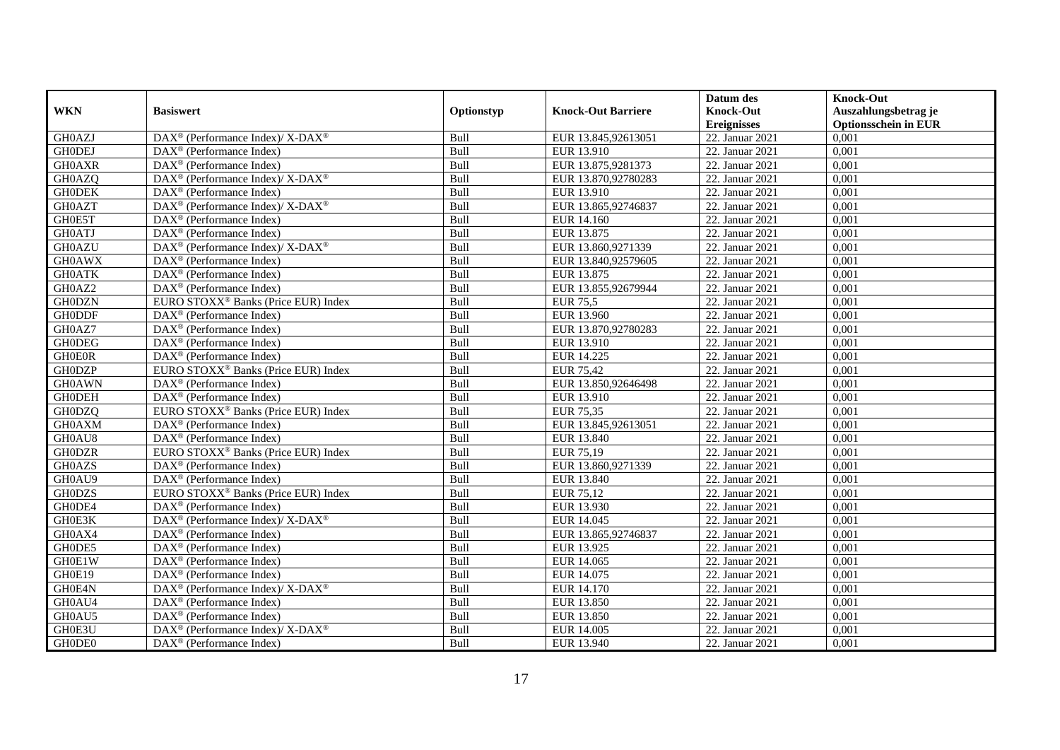|               |                                                                   |            |                           | Datum des          | <b>Knock-Out</b>            |
|---------------|-------------------------------------------------------------------|------------|---------------------------|--------------------|-----------------------------|
| <b>WKN</b>    | <b>Basiswert</b>                                                  | Optionstyp | <b>Knock-Out Barriere</b> | <b>Knock-Out</b>   | Auszahlungsbetrag je        |
|               |                                                                   |            |                           | <b>Ereignisses</b> | <b>Optionsschein in EUR</b> |
| GH0AZJ        | $\text{DAX}^{\circledR}$ (Performance Index)/ X-DAX <sup>®</sup>  | Bull       | EUR 13.845,92613051       | 22. Januar 2021    | 0,001                       |
| <b>GHODEJ</b> | $DAX^{\circledR}$ (Performance Index)                             | Bull       | EUR 13.910                | 22. Januar 2021    | 0,001                       |
| <b>GH0AXR</b> | DAX <sup>®</sup> (Performance Index)                              | Bull       | EUR 13.875,9281373        | 22. Januar 2021    | 0,001                       |
| GH0AZQ        | $\text{DAX}^{\circledast}$ (Performance Index)/X-DAX <sup>®</sup> | Bull       | EUR 13.870,92780283       | 22. Januar 2021    | 0,001                       |
| <b>GHODEK</b> | DAX <sup>®</sup> (Performance Index)                              | Bull       | EUR 13.910                | 22. Januar 2021    | 0,001                       |
| <b>GH0AZT</b> | DAX <sup>®</sup> (Performance Index)/ X-DAX <sup>®</sup>          | Bull       | EUR 13.865,92746837       | 22. Januar 2021    | 0,001                       |
| GH0E5T        | $\text{DAX}^{\textcircled{n}}$ (Performance Index)                | Bull       | EUR 14.160                | 22. Januar 2021    | 0,001                       |
| <b>GH0ATJ</b> | $\text{DAX}^{\textcircled{D}}$ (Performance Index)                | Bull       | EUR 13.875                | 22. Januar 2021    | 0,001                       |
| <b>GH0AZU</b> | DAX <sup>®</sup> (Performance Index)/ X-DAX <sup>®</sup>          | Bull       | EUR 13.860,9271339        | 22. Januar 2021    | 0,001                       |
| <b>GH0AWX</b> | $DAX^{\circledR}$ (Performance Index)                             | Bull       | EUR 13.840,92579605       | 22. Januar 2021    | 0,001                       |
| <b>GH0ATK</b> | $\overline{\text{DAX}}^{\textcircled{}}$ (Performance Index)      | Bull       | EUR 13.875                | 22. Januar 2021    | 0,001                       |
| GH0AZ2        | $\overline{\text{DAX}^{\otimes}}$ (Performance Index)             | Bull       | EUR 13.855,92679944       | 22. Januar 2021    | 0,001                       |
| <b>GH0DZN</b> | EURO STOXX <sup>®</sup> Banks (Price EUR) Index                   | Bull       | <b>EUR</b> 75,5           | 22. Januar 2021    | 0,001                       |
| <b>GH0DDF</b> | $\text{DAX}^{\textcircled{n}}$ (Performance Index)                | Bull       | EUR 13.960                | 22. Januar 2021    | 0,001                       |
| GH0AZ7        | $\text{DAX}^{\otimes}$ (Performance Index)                        | Bull       | EUR 13.870,92780283       | 22. Januar 2021    | 0,001                       |
| <b>GH0DEG</b> | DAX <sup>®</sup> (Performance Index)                              | Bull       | EUR 13.910                | 22. Januar 2021    | 0,001                       |
| <b>GH0E0R</b> | DAX <sup>®</sup> (Performance Index)                              | Bull       | EUR 14.225                | 22. Januar 2021    | 0,001                       |
| <b>GH0DZP</b> | EURO STOXX <sup>®</sup> Banks (Price EUR) Index                   | Bull       | <b>EUR 75.42</b>          | 22. Januar 2021    | 0,001                       |
| <b>GH0AWN</b> | DAX <sup>®</sup> (Performance Index)                              | Bull       | EUR 13.850,92646498       | 22. Januar 2021    | 0,001                       |
| <b>GH0DEH</b> | $\overline{\text{DAX}^{\otimes}}$ (Performance Index)             | Bull       | EUR 13.910                | 22. Januar 2021    | 0,001                       |
| <b>GH0DZQ</b> | EURO STOXX <sup>®</sup> Banks (Price EUR) Index                   | Bull       | EUR 75,35                 | 22. Januar 2021    | 0,001                       |
| <b>GH0AXM</b> | $\overline{\text{DAX}^{\otimes}}$ (Performance Index)             | Bull       | EUR 13.845,92613051       | 22. Januar 2021    | 0,001                       |
| GH0AU8        | $\text{DAX}^{\circledast}$ (Performance Index)                    | Bull       | EUR 13.840                | 22. Januar 2021    | 0,001                       |
| <b>GH0DZR</b> | EURO STOXX <sup>®</sup> Banks (Price EUR) Index                   | Bull       | EUR 75,19                 | 22. Januar 2021    | 0,001                       |
| <b>GH0AZS</b> | $\text{DAX}^{\textcircled{n}}$ (Performance Index)                | Bull       | EUR 13.860,9271339        | 22. Januar 2021    | 0,001                       |
| GH0AU9        | $\text{DAX}^{\otimes}$ (Performance Index)                        | Bull       | EUR 13.840                | 22. Januar 2021    | 0,001                       |
| <b>GH0DZS</b> | EURO STOXX <sup>®</sup> Banks (Price EUR) Index                   | Bull       | EUR 75,12                 | 22. Januar 2021    | 0,001                       |
| GH0DE4        | $DAX^{\circledR}$ (Performance Index)                             | Bull       | EUR 13.930                | 22. Januar 2021    | 0.001                       |
| GH0E3K        | $DAX^{\circledcirc}$ (Performance Index)/X-DAX <sup>®</sup>       | Bull       | EUR 14.045                | 22. Januar 2021    | 0,001                       |
| GH0AX4        | $\text{DAX}^{\textcircled{D}}$ (Performance Index)                | Bull       | EUR 13.865,92746837       | 22. Januar 2021    | 0,001                       |
| GH0DE5        | DAX <sup>®</sup> (Performance Index)                              | Bull       | EUR 13.925                | 22. Januar 2021    | 0,001                       |
| GH0E1W        | DAX <sup>®</sup> (Performance Index)                              | Bull       | EUR 14.065                | 22. Januar 2021    | 0,001                       |
| GH0E19        | $\text{DAX}^{\textcircled{D}}$ (Performance Index)                | Bull       | EUR 14.075                | 22. Januar 2021    | 0,001                       |
| GH0E4N        | $\text{DAX}^{\circledR}$ (Performance Index)/ X-DAX <sup>®</sup>  | Bull       | EUR 14.170                | 22. Januar 2021    | 0,001                       |
| GH0AU4        | $\text{DAX}^{\textcircled{n}}$ (Performance Index)                | Bull       | EUR 13.850                | 22. Januar 2021    | 0,001                       |
| GH0AU5        | DAX <sup>®</sup> (Performance Index)                              | Bull       | EUR 13.850                | 22. Januar 2021    | 0,001                       |
| GH0E3U        | DAX <sup>®</sup> (Performance Index)/ X-DAX <sup>®</sup>          | Bull       | EUR 14.005                | 22. Januar 2021    | 0,001                       |
| GH0DE0        | $\text{DAX}^{\textcircled{n}}$ (Performance Index)                | Bull       | EUR 13.940                | 22. Januar 2021    | 0,001                       |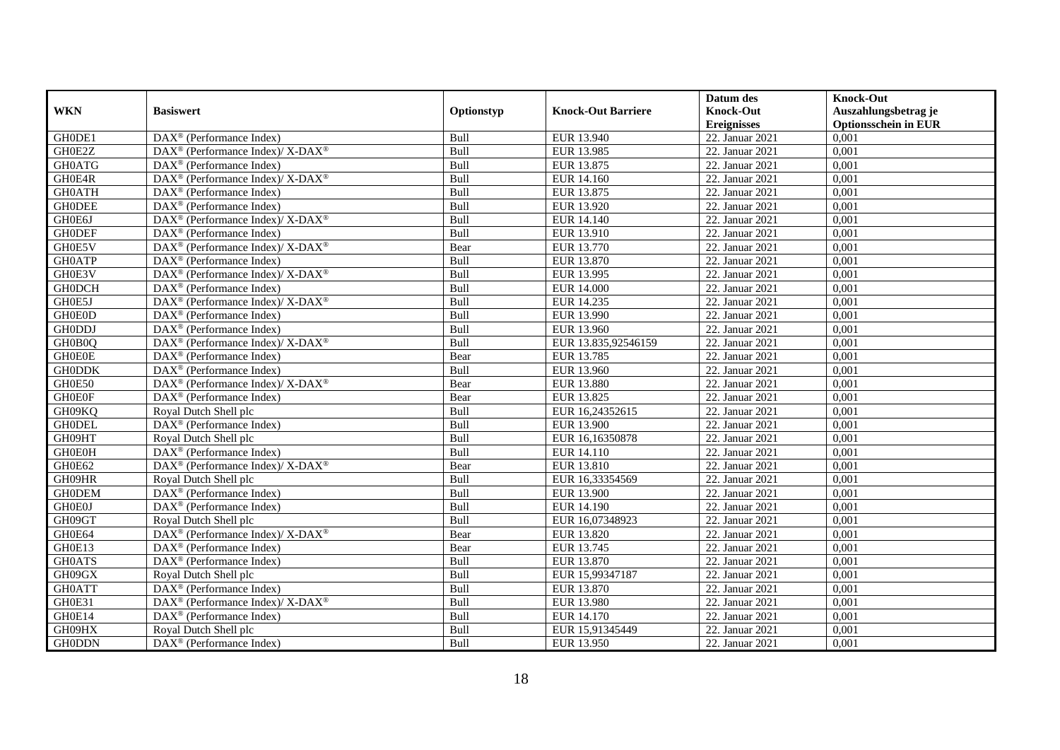|               |                                                                                                 |            |                           | Datum des          | <b>Knock-Out</b>            |
|---------------|-------------------------------------------------------------------------------------------------|------------|---------------------------|--------------------|-----------------------------|
| <b>WKN</b>    | <b>Basiswert</b>                                                                                | Optionstyp | <b>Knock-Out Barriere</b> | <b>Knock-Out</b>   | Auszahlungsbetrag je        |
|               |                                                                                                 |            |                           | <b>Ereignisses</b> | <b>Optionsschein in EUR</b> |
| GH0DE1        | $\overline{\text{DAX}}^{\textcircled{}}$ (Performance Index)                                    | Bull       | EUR 13.940                | 22. Januar 2021    | 0,001                       |
| GH0E2Z        | $DAX^{\circledcirc}$ (Performance Index)/ X-DAX <sup>®</sup>                                    | Bull       | EUR 13.985                | 22. Januar 2021    | 0,001                       |
| <b>GH0ATG</b> | $\text{DAX}^{\textcircled{p}}$ (Performance Index)                                              | Bull       | EUR 13.875                | 22. Januar 2021    | 0,001                       |
| GH0E4R        | $\overline{\text{DAX}^{\textcircled{\tiny 0}}}$ (Performance Index)/X-DAX <sup>®</sup>          | Bull       | EUR 14.160                | 22. Januar 2021    | 0,001                       |
| <b>GH0ATH</b> | $\text{DAX}^{\textcircled{n}}$ (Performance Index)                                              | Bull       | EUR 13.875                | 22. Januar 2021    | 0,001                       |
| <b>GHODEE</b> | DAX <sup>®</sup> (Performance Index)                                                            | Bull       | EUR 13.920                | 22. Januar 2021    | 0,001                       |
| GH0E6J        | $\text{DAX}^{\textcircled{p}}$ (Performance Index)/ $\overline{\text{X-DAX}^{\textcircled{p}}}$ | Bull       | EUR 14.140                | 22. Januar 2021    | 0,001                       |
| <b>GHODEF</b> | DAX <sup>®</sup> (Performance Index)                                                            | Bull       | EUR 13.910                | 22. Januar 2021    | 0,001                       |
| GH0E5V        | $\text{DAX}^{\circledR}$ (Performance Index)/ X-DAX <sup>®</sup>                                | Bear       | EUR 13.770                | 22. Januar 2021    | 0,001                       |
| <b>GH0ATP</b> | $\text{DAX}^{\textcircled{D}}$ (Performance Index)                                              | Bull       | EUR 13.870                | 22. Januar 2021    | 0,001                       |
| GH0E3V        | $DAX^{\circledcirc}$ (Performance Index)/ X-DAX <sup>®</sup>                                    | Bull       | EUR 13.995                | 22. Januar 2021    | 0,001                       |
| <b>GH0DCH</b> | $\overline{\text{DAX}^{\otimes}}$ (Performance Index)                                           | Bull       | <b>EUR 14.000</b>         | 22. Januar 2021    | 0,001                       |
| GH0E5J        | DAX <sup>®</sup> (Performance Index)/ X-DAX <sup>®</sup>                                        | Bull       | EUR 14.235                | 22. Januar 2021    | 0,001                       |
| <b>GH0E0D</b> | $DAX^{\circledR}$ (Performance Index)                                                           | Bull       | EUR 13.990                | 22. Januar 2021    | 0,001                       |
| <b>GH0DDJ</b> | $\overline{\text{DAX}^{\otimes}}$ (Performance Index)                                           | Bull       | EUR 13.960                | 22. Januar 2021    | 0,001                       |
| GH0B0Q        | DAX <sup>®</sup> (Performance Index)/ X-DAX <sup>®</sup>                                        | Bull       | EUR 13.835,92546159       | 22. Januar 2021    | 0,001                       |
| <b>GH0E0E</b> | DAX <sup>®</sup> (Performance Index)                                                            | Bear       | EUR 13.785                | 22. Januar 2021    | 0,001                       |
| <b>GH0DDK</b> | $DAX^{\circledR}$ (Performance Index)                                                           | Bull       | EUR 13.960                | 22. Januar 2021    | 0.001                       |
| GH0E50        | $DAX^{\circledcirc}$ (Performance Index)/ X-DAX <sup>®</sup>                                    | Bear       | <b>EUR 13.880</b>         | 22. Januar 2021    | 0,001                       |
| <b>GHOEOF</b> | $\text{DAX}^{\textcircled{n}}$ (Performance Index)                                              | Bear       | EUR 13.825                | 22. Januar 2021    | 0,001                       |
| GH09KQ        | Royal Dutch Shell plc                                                                           | Bull       | EUR 16,24352615           | 22. Januar 2021    | 0,001                       |
| <b>GHODEL</b> | DAX <sup>®</sup> (Performance Index)                                                            | Bull       | <b>EUR 13.900</b>         | 22. Januar 2021    | 0,001                       |
| GH09HT        | Royal Dutch Shell plc                                                                           | Bull       | EUR 16.16350878           | 22. Januar 2021    | 0,001                       |
| <b>GH0E0H</b> | $\text{DAX}^{\textcircled{n}}$ (Performance Index)                                              | Bull       | EUR 14.110                | 22. Januar 2021    | 0,001                       |
| GH0E62        | $\text{DAX}^{\circledast}$ (Performance Index)/ X-DAX <sup>®</sup>                              | Bear       | EUR 13.810                | 22. Januar 2021    | 0,001                       |
| GH09HR        | Royal Dutch Shell plc                                                                           | Bull       | EUR 16,33354569           | 22. Januar 2021    | 0,001                       |
| <b>GH0DEM</b> | DAX <sup>®</sup> (Performance Index)                                                            | Bull       | <b>EUR 13.900</b>         | 22. Januar 2021    | 0,001                       |
| <b>GH0E0J</b> | $\overline{\text{DAX}^{\otimes}}$ (Performance Index)                                           | Bull       | EUR 14.190                | 22. Januar 2021    | 0,001                       |
| GH09GT        | Royal Dutch Shell plc                                                                           | Bull       | EUR 16,07348923           | 22. Januar 2021    | 0,001                       |
| GH0E64        | $DAX^{\circledcirc}$ (Performance Index)/ X-DAX <sup>®</sup>                                    | Bear       | EUR 13.820                | 22. Januar 2021    | 0,001                       |
| GH0E13        | $\text{DAX}^{\textcircled{n}}$ (Performance Index)                                              | Bear       | EUR 13.745                | 22. Januar 2021    | 0,001                       |
| <b>GH0ATS</b> | DAX <sup>®</sup> (Performance Index)                                                            | Bull       | <b>EUR 13.870</b>         | 22. Januar 2021    | 0,001                       |
| GH09GX        | Royal Dutch Shell plc                                                                           | Bull       | EUR 15,99347187           | 22. Januar 2021    | 0,001                       |
| <b>GH0ATT</b> | $\text{DAX}^{\textcircled{D}}$ (Performance Index)                                              | Bull       | EUR 13.870                | 22. Januar 2021    | 0,001                       |
| GH0E31        | $\text{DAX}^{\circledast}$ (Performance Index)/ X-DAX <sup>®</sup>                              | Bull       | EUR 13.980                | 22. Januar 2021    | 0,001                       |
| GH0E14        | $\text{DAX}^{\textcircled{n}}$ (Performance Index)                                              | Bull       | EUR 14.170                | 22. Januar 2021    | 0,001                       |
| GH09HX        | Royal Dutch Shell plc                                                                           | Bull       | EUR 15,91345449           | 22. Januar 2021    | 0,001                       |
| <b>GH0DDN</b> | $\text{DAX}^{\textcircled{n}}$ (Performance Index)                                              | Bull       | EUR 13.950                | 22. Januar 2021    | 0,001                       |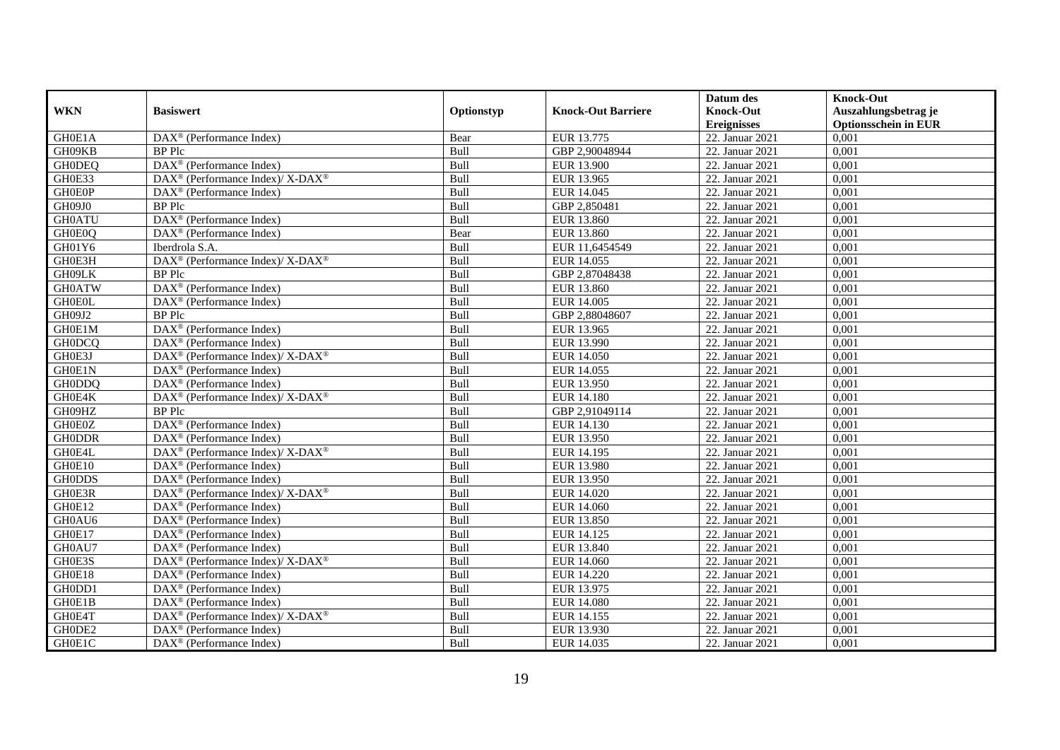|               |                                                                                         |            |                           | Datum des          | <b>Knock-Out</b>            |
|---------------|-----------------------------------------------------------------------------------------|------------|---------------------------|--------------------|-----------------------------|
| <b>WKN</b>    | <b>Basiswert</b>                                                                        | Optionstyp | <b>Knock-Out Barriere</b> | <b>Knock-Out</b>   | Auszahlungsbetrag je        |
|               |                                                                                         |            |                           | <b>Ereignisses</b> | <b>Optionsschein in EUR</b> |
| GH0E1A        | $\overline{\text{DAX}}^{\textcircled{}}$ (Performance Index)                            | Bear       | EUR 13.775                | 22. Januar 2021    | 0,001                       |
| GH09KB        | <b>BP</b> Plc                                                                           | Bull       | GBP 2,90048944            | 22. Januar 2021    | 0,001                       |
| <b>GH0DEQ</b> | $DAX^{\circledR}$ (Performance Index)                                                   | Bull       | <b>EUR 13.900</b>         | 22. Januar 2021    | 0,001                       |
| GH0E33        | DAX <sup>®</sup> (Performance Index)/ X-DAX <sup>®</sup>                                | Bull       | EUR 13.965                | 22. Januar 2021    | 0,001                       |
| <b>GH0E0P</b> | $\overline{\text{DAX}}^{\textcirc}$ (Performance Index)                                 | Bull       | EUR 14.045                | 22. Januar 2021    | 0,001                       |
| GH09J0        | <b>BP</b> Plc                                                                           | Bull       | GBP 2,850481              | 22. Januar 2021    | 0,001                       |
| <b>GH0ATU</b> | DAX <sup>®</sup> (Performance Index)                                                    | Bull       | EUR 13.860                | 22. Januar 2021    | 0,001                       |
| GH0E0Q        | DAX <sup>®</sup> (Performance Index)                                                    | Bear       | EUR 13.860                | 22. Januar 2021    | 0,001                       |
| GH01Y6        | Iberdrola S.A.                                                                          | Bull       | EUR 11,6454549            | 22. Januar 2021    | 0,001                       |
| GH0E3H        | DAX <sup>®</sup> (Performance Index)/ X-DAX <sup>®</sup>                                | Bull       | EUR 14.055                | 22. Januar 2021    | 0,001                       |
| GH09LK        | <b>BP</b> Plc                                                                           | Bull       | GBP 2,87048438            | 22. Januar 2021    | 0,001                       |
| <b>GH0ATW</b> | DAX <sup>®</sup> (Performance Index)                                                    | Bull       | EUR 13.860                | 22. Januar 2021    | 0,001                       |
| <b>GH0E0L</b> | $DAX^{\circledast}$ (Performance Index)                                                 | Bull       | EUR 14.005                | 22. Januar 2021    | 0,001                       |
| GH09J2        | <b>BP</b> Plc                                                                           | Bull       | GBP 2,88048607            | 22. Januar 2021    | 0.001                       |
| GH0E1M        | DAX <sup>®</sup> (Performance Index)                                                    | Bull       | EUR 13.965                | 22. Januar 2021    | 0,001                       |
| <b>GH0DCQ</b> | DAX <sup>®</sup> (Performance Index)                                                    | Bull       | EUR 13.990                | 22. Januar 2021    | 0,001                       |
| GH0E3J        | DAX <sup>®</sup> (Performance Index)/X-DAX <sup>®</sup>                                 | Bull       | <b>EUR 14.050</b>         | 22. Januar 2021    | 0,001                       |
| GH0E1N        | $\overline{\text{DAX}}^{\textcirc}$ (Performance Index)                                 | Bull       | EUR 14.055                | 22. Januar 2021    | 0,001                       |
| <b>GH0DDQ</b> | $DAX^{\circledast}$ (Performance Index)                                                 | Bull       | EUR 13.950                | 22. Januar 2021    | 0,001                       |
| GH0E4K        | DAX <sup>®</sup> (Performance Index)/ X-DAX <sup>®</sup>                                | Bull       | EUR 14.180                | 22. Januar 2021    | 0,001                       |
| GH09HZ        | <b>BP</b> Plc                                                                           | Bull       | GBP 2,91049114            | 22. Januar 2021    | 0,001                       |
| GH0E0Z        | DAX <sup>®</sup> (Performance Index)                                                    | Bull       | EUR 14.130                | 22. Januar 2021    | 0,001                       |
| <b>GH0DDR</b> | $\text{DAX}^{\circledast}$ (Performance Index)                                          | Bull       | EUR 13.950                | 22. Januar 2021    | 0,001                       |
| GH0E4L        | DAX <sup>®</sup> (Performance Index)/ X-DAX <sup>®</sup>                                | Bull       | EUR 14.195                | 22. Januar 2021    | 0,001                       |
| GH0E10        | $DAX^{\circledR}$ (Performance Index)                                                   | Bull       | <b>EUR 13.980</b>         | 22. Januar 2021    | 0,001                       |
| <b>GH0DDS</b> | DAX <sup>®</sup> (Performance Index)                                                    | Bull       | EUR 13.950                | 22. Januar 2021    | 0,001                       |
| GH0E3R        | DAX <sup>®</sup> (Performance Index)/ X-DAX <sup>®</sup>                                | Bull       | EUR 14.020                | 22. Januar 2021    | 0,001                       |
| GH0E12        | DAX <sup>®</sup> (Performance Index)                                                    | Bull       | EUR 14.060                | 22. Januar 2021    | 0,001                       |
| GH0AU6        | $DAX^{\circledast}$ (Performance Index)                                                 | Bull       | EUR 13.850                | 22. Januar 2021    | 0,001                       |
| GH0E17        | $DAX^{\circledast}$ (Performance Index)                                                 | Bull       | EUR 14.125                | 22. Januar 2021    | 0,001                       |
| GH0AU7        | $DAX^{\circledR}$ (Performance Index)                                                   | Bull       | EUR 13.840                | 22. Januar 2021    | 0,001                       |
| GH0E3S        | $\text{DAX}^{\circledast}$ (Performance Index)/ $\overline{\text{X-DAX}^{\circledast}}$ | Bull       | EUR 14.060                | 22. Januar 2021    | 0,001                       |
| GH0E18        | $DAX^{\circledR}$ (Performance Index)                                                   | Bull       | <b>EUR 14.220</b>         | 22. Januar 2021    | 0,001                       |
| GH0DD1        | $\overline{\text{DAX}^{\otimes}}$ (Performance Index)                                   | Bull       | EUR 13.975                | 22. Januar 2021    | 0,001                       |
| GH0E1B        | $DAX^{\circledast}$ (Performance Index)                                                 | Bull       | <b>EUR 14.080</b>         | 22. Januar 2021    | 0,001                       |
| GH0E4T        | DAX <sup>®</sup> (Performance Index)/ X-DAX <sup>®</sup>                                | Bull       | EUR 14.155                | 22. Januar 2021    | 0,001                       |
| GH0DE2        | DAX <sup>®</sup> (Performance Index)                                                    | Bull       | EUR 13.930                | 22. Januar 2021    | 0,001                       |
| GH0E1C        | $\text{DAX}^{\textcircled{}}$ (Performance Index)                                       | Bull       | EUR 14.035                | 22. Januar 2021    | 0,001                       |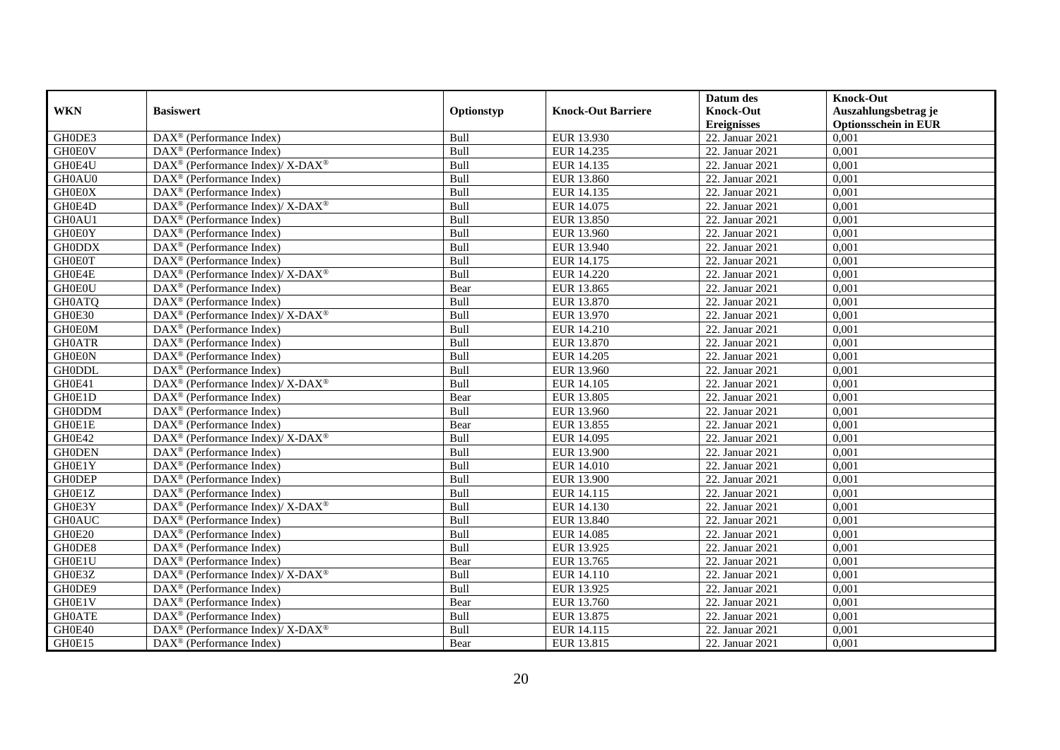|               |                                                             |            |                           | Datum des          | <b>Knock-Out</b>            |
|---------------|-------------------------------------------------------------|------------|---------------------------|--------------------|-----------------------------|
| <b>WKN</b>    | <b>Basiswert</b>                                            | Optionstyp | <b>Knock-Out Barriere</b> | <b>Knock-Out</b>   | Auszahlungsbetrag je        |
|               |                                                             |            |                           | <b>Ereignisses</b> | <b>Optionsschein in EUR</b> |
| GH0DE3        | $\overline{\text{DAX}}^{\textcirc}$ (Performance Index)     | Bull       | EUR 13.930                | 22. Januar 2021    | 0,001                       |
| <b>GH0E0V</b> | $DAX^{\circledR}$ (Performance Index)                       | Bull       | EUR 14.235                | 22. Januar 2021    | 0,001                       |
| GH0E4U        | $DAX^{\circledast}$ (Performance Index)/ X-DAX <sup>®</sup> | Bull       | EUR 14.135                | 22. Januar 2021    | 0,001                       |
| GH0AU0        | $DAX^{\circledast}$ (Performance Index)                     | Bull       | EUR 13.860                | 22. Januar 2021    | 0,001                       |
| <b>GH0E0X</b> | DAX <sup>®</sup> (Performance Index)                        | Bull       | EUR 14.135                | 22. Januar 2021    | 0,001                       |
| GH0E4D        | DAX <sup>®</sup> (Performance Index)/X-DAX <sup>®</sup>     | Bull       | EUR 14.075                | 22. Januar 2021    | 0,001                       |
| GH0AU1        | $\text{DAX}^{\textcircled{}}$ (Performance Index)           | Bull       | EUR 13.850                | 22. Januar 2021    | 0,001                       |
| <b>GH0E0Y</b> | $DAX^{\circledR}$ (Performance Index)                       | Bull       | EUR 13.960                | 22. Januar 2021    | 0,001                       |
| <b>GH0DDX</b> | $DAX^{\circledR}$ (Performance Index)                       | Bull       | EUR 13.940                | 22. Januar 2021    | 0,001                       |
| <b>GH0E0T</b> | $DAX^{\circledR}$ (Performance Index)                       | Bull       | EUR 14.175                | 22. Januar 2021    | 0,001                       |
| GH0E4E        | DAX <sup>®</sup> (Performance Index)/X-DAX <sup>®</sup>     | Bull       | <b>EUR 14.220</b>         | 22. Januar 2021    | 0,001                       |
| <b>GH0E0U</b> | $\overline{\text{DAX}^{\otimes}}$ (Performance Index)       | Bear       | EUR 13.865                | 22. Januar 2021    | 0,001                       |
| <b>GH0ATQ</b> | $\overline{\text{DAX}^{\otimes}}$ (Performance Index)       | Bull       | EUR 13.870                | 22. Januar 2021    | 0,001                       |
| GH0E30        | $DAX^{\circledast}$ (Performance Index)/ X-DAX <sup>®</sup> | Bull       | EUR 13.970                | 22. Januar 2021    | 0,001                       |
| <b>GH0E0M</b> | $DAX^{\circledast}$ (Performance Index)                     | Bull       | EUR 14.210                | 22. Januar 2021    | 0,001                       |
| <b>GH0ATR</b> | $DAX^{\circledast}$ (Performance Index)                     | Bull       | EUR 13.870                | 22. Januar 2021    | 0,001                       |
| <b>GH0E0N</b> | $DAX^{\circledast}$ (Performance Index)                     | Bull       | EUR 14.205                | 22. Januar 2021    | 0,001                       |
| <b>GH0DDL</b> | $DAX^{\circledcirc}$ (Performance Index)                    | Bull       | EUR 13.960                | 22. Januar 2021    | 0,001                       |
| GH0E41        | DAX <sup>®</sup> (Performance Index)/ X-DAX <sup>®</sup>    | Bull       | EUR 14.105                | 22. Januar 2021    | 0,001                       |
| GH0E1D        | $\overline{\text{DAX}^{\otimes}}$ (Performance Index)       | Bear       | EUR 13.805                | 22. Januar 2021    | 0,001                       |
| <b>GH0DDM</b> | DAX <sup>®</sup> (Performance Index)                        | Bull       | EUR 13.960                | 22. Januar 2021    | 0,001                       |
| GH0E1E        | $DAX^{\circledR}$ (Performance Index)                       | Bear       | EUR 13.855                | 22. Januar 2021    | 0,001                       |
| GH0E42        | DAX <sup>®</sup> (Performance Index)/ X-DAX <sup>®</sup>    | Bull       | EUR 14.095                | 22. Januar 2021    | 0,001                       |
| <b>GHODEN</b> | $DAX^{\circledast}$ (Performance Index)                     | Bull       | <b>EUR 13.900</b>         | 22. Januar 2021    | 0,001                       |
| GH0E1Y        | DAX <sup>®</sup> (Performance Index)                        | Bull       | <b>EUR 14.010</b>         | 22. Januar 2021    | 0,001                       |
| <b>GH0DEP</b> | $DAX^{\circledast}$ (Performance Index)                     | Bull       | EUR 13.900                | 22. Januar 2021    | 0,001                       |
| GH0E1Z        | $DAX^{\circledast}$ (Performance Index)                     | Bull       | EUR 14.115                | 22. Januar 2021    | 0,001                       |
| GH0E3Y        | $DAX^{\circledast}$ (Performance Index)/ X-DAX <sup>®</sup> | Bull       | EUR 14.130                | 22. Januar 2021    | 0,001                       |
| <b>GH0AUC</b> | $DAX^{\circledR}$ (Performance Index)                       | Bull       | EUR 13.840                | 22. Januar 2021    | 0,001                       |
| GH0E20        | $DAX^{\circledR}$ (Performance Index)                       | Bull       | EUR 14.085                | 22. Januar 2021    | 0,001                       |
| GH0DE8        | DAX <sup>®</sup> (Performance Index)                        | Bull       | EUR 13.925                | 22. Januar 2021    | 0,001                       |
| GH0E1U        | DAX <sup>®</sup> (Performance Index)                        | Bear       | EUR 13.765                | 22. Januar 2021    | 0,001                       |
| GH0E3Z        | DAX <sup>®</sup> (Performance Index)/ X-DAX <sup>®</sup>    | Bull       | EUR 14.110                | 22. Januar 2021    | 0,001                       |
| GH0DE9        | DAX <sup>®</sup> (Performance Index)                        | Bull       | EUR 13.925                | 22. Januar 2021    | 0,001                       |
| GH0E1V        | $DAX^{\circledast}$ (Performance Index)                     | Bear       | EUR 13.760                | 22. Januar 2021    | 0,001                       |
| <b>GH0ATE</b> | DAX <sup>®</sup> (Performance Index)                        | Bull       | EUR 13.875                | 22. Januar 2021    | 0,001                       |
| GH0E40        | DAX <sup>®</sup> (Performance Index)/ X-DAX <sup>®</sup>    | Bull       | EUR 14.115                | 22. Januar 2021    | 0,001                       |
| GH0E15        | $\text{DAX}^{\textcircled{}}$ (Performance Index)           | Bear       | EUR 13.815                | 22. Januar 2021    | 0,001                       |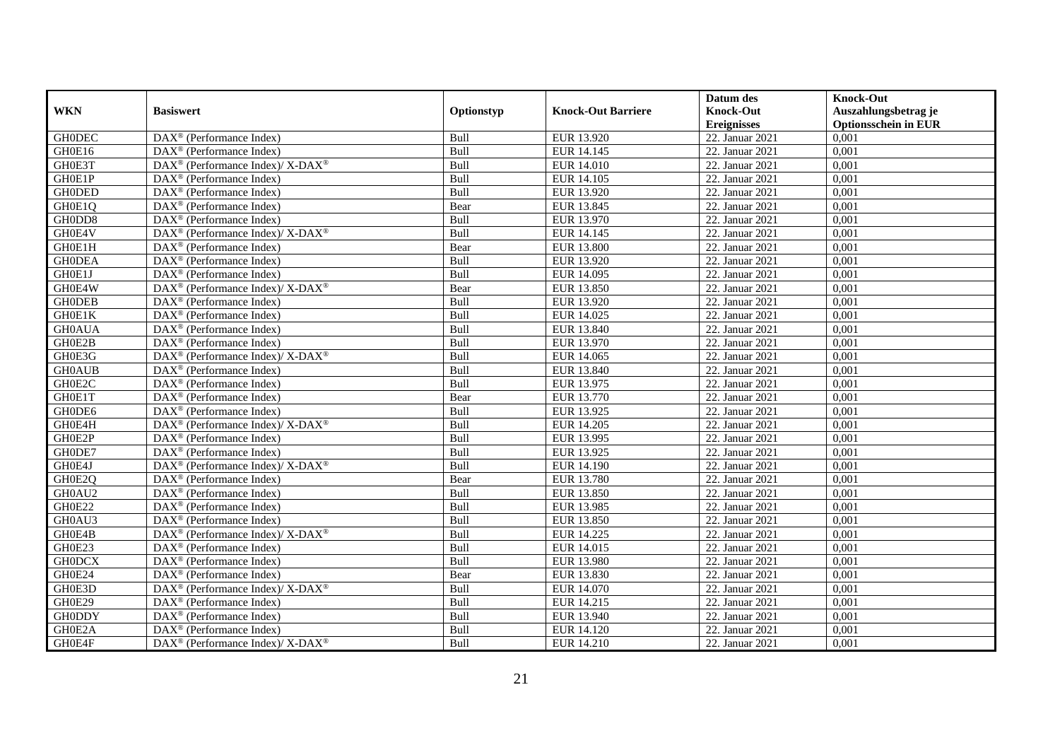|               |                                                                                                 |            |                           | Datum des          | <b>Knock-Out</b>            |
|---------------|-------------------------------------------------------------------------------------------------|------------|---------------------------|--------------------|-----------------------------|
| <b>WKN</b>    | <b>Basiswert</b>                                                                                | Optionstyp | <b>Knock-Out Barriere</b> | <b>Knock-Out</b>   | Auszahlungsbetrag je        |
|               |                                                                                                 |            |                           | <b>Ereignisses</b> | <b>Optionsschein in EUR</b> |
| <b>GHODEC</b> | DAX <sup>®</sup> (Performance Index)                                                            | Bull       | EUR 13.920                | 22. Januar 2021    | 0,001                       |
| GH0E16        | $\text{DAX}^{\textcircled{p}}$ (Performance Index)                                              | Bull       | EUR 14.145                | 22. Januar 2021    | 0,001                       |
| GH0E3T        | $\text{DAX}^{\circledast}$ (Performance Index)/ X-DAX <sup>®</sup>                              | Bull       | <b>EUR 14.010</b>         | 22. Januar 2021    | 0,001                       |
| GH0E1P        | $\text{DAX}^{\textcircled{n}}$ (Performance Index)                                              | Bull       | EUR 14.105                | 22. Januar 2021    | 0,001                       |
| <b>GH0DED</b> | DAX <sup>®</sup> (Performance Index)                                                            | Bull       | EUR 13.920                | 22. Januar 2021    | 0,001                       |
| GH0E1Q        | $\text{DAX}^{\textcircled{D}}$ (Performance Index)                                              | Bear       | EUR 13.845                | 22. Januar 2021    | 0,001                       |
| GH0DD8        | $\overline{\text{DAX}}^{\textcirc}$ (Performance Index)                                         | Bull       | EUR 13.970                | 22. Januar 2021    | 0,001                       |
| GH0E4V        | $\text{DAX}^{\textcircled{p}}$ (Performance Index)/ $\overline{\text{X-DAX}^{\textcircled{p}}}$ | Bull       | EUR 14.145                | 22. Januar 2021    | 0,001                       |
| GH0E1H        | $DAX^{\circledR}$ (Performance Index)                                                           | Bear       | <b>EUR 13.800</b>         | 22. Januar 2021    | 0,001                       |
| <b>GH0DEA</b> | DAX <sup>®</sup> (Performance Index)                                                            | Bull       | EUR 13.920                | 22. Januar 2021    | 0,001                       |
| GH0E1J        | DAX <sup>®</sup> (Performance Index)                                                            | Bull       | EUR 14.095                | 22. Januar 2021    | 0,001                       |
| GH0E4W        | $\text{DAX}^{\circledR}$ (Performance Index)/ X-DAX <sup>®</sup>                                | Bear       | EUR 13.850                | 22. Januar 2021    | 0,001                       |
| <b>GH0DEB</b> | $\text{DAX}^{\circledast}$ (Performance Index)                                                  | Bull       | EUR 13.920                | 22. Januar 2021    | 0,001                       |
| GH0E1K        | $DAX^{\circledR}$ (Performance Index)                                                           | Bull       | EUR 14.025                | 22. Januar 2021    | 0,001                       |
| <b>GH0AUA</b> | DAX <sup>®</sup> (Performance Index)                                                            | Bull       | EUR 13.840                | 22. Januar 2021    | 0,001                       |
| GH0E2B        | DAX <sup>®</sup> (Performance Index)                                                            | Bull       | EUR 13.970                | 22. Januar 2021    | 0,001                       |
| GH0E3G        | DAX <sup>®</sup> (Performance Index)/X-DAX <sup>®</sup>                                         | Bull       | EUR 14.065                | 22. Januar 2021    | 0,001                       |
| <b>GH0AUB</b> | $\overline{\text{DAX}^{\otimes}}$ (Performance Index)                                           | Bull       | EUR 13.840                | 22. Januar 2021    | 0,001                       |
| GH0E2C        | $\text{DAX}^{\textcircled{n}}$ (Performance Index)                                              | Bull       | EUR 13.975                | 22. Januar 2021    | 0,001                       |
| GH0E1T        | $\text{DAX}^{\textcircled{n}}$ (Performance Index)                                              | Bear       | EUR 13.770                | 22. Januar 2021    | 0,001                       |
| GH0DE6        | DAX <sup>®</sup> (Performance Index)                                                            | Bull       | EUR 13.925                | 22. Januar 2021    | 0,001                       |
| GH0E4H        | DAX <sup>®</sup> (Performance Index)/ X-DAX <sup>®</sup>                                        | Bull       | EUR 14.205                | 22. Januar 2021    | 0,001                       |
| GH0E2P        | DAX <sup>®</sup> (Performance Index)                                                            | Bull       | EUR 13.995                | 22. Januar 2021    | 0,001                       |
| GH0DE7        | $\text{DAX}^{\textcircled{p}}$ (Performance Index)                                              | Bull       | EUR 13.925                | 22. Januar 2021    | 0,001                       |
| GH0E4J        | $DAX^{\circledcirc}$ (Performance Index)/ X-DAX <sup>®</sup>                                    | Bull       | EUR 14.190                | 22. Januar 2021    | 0,001                       |
| GH0E2Q        | $\text{DAX}^{\textcircled{n}}$ (Performance Index)                                              | Bear       | EUR 13.780                | 22. Januar 2021    | 0,001                       |
| GH0AU2        | DAX <sup>®</sup> (Performance Index)                                                            | Bull       | EUR 13.850                | 22. Januar 2021    | 0,001                       |
| GH0E22        | $\overline{\text{DAX}^{\otimes}}$ (Performance Index)                                           | Bull       | EUR 13.985                | 22. Januar 2021    | 0,001                       |
| GH0AU3        | $\overline{\text{DAX}^{\otimes}}$ (Performance Index)                                           | Bull       | EUR 13.850                | 22. Januar 2021    | 0,001                       |
| GH0E4B        | $DAX^{\circledcirc}$ (Performance Index)/X-DAX <sup>®</sup>                                     | Bull       | EUR 14.225                | 22. Januar 2021    | 0.001                       |
| GH0E23        | $\text{DAX}^{\textcircled{D}}$ (Performance Index)                                              | Bull       | EUR 14.015                | 22. Januar 2021    | 0,001                       |
| <b>GH0DCX</b> | $\text{DAX}^{\textcircled{D}}$ (Performance Index)                                              | Bull       | EUR 13.980                | 22. Januar 2021    | 0,001                       |
| GH0E24        | $\overline{\text{DAX}^{\otimes}}$ (Performance Index)                                           | Bear       | EUR 13.830                | 22. Januar 2021    | 0,001                       |
| GH0E3D        | $\text{DAX}^{\circledR}$ (Performance Index)/ X-DAX <sup>®</sup>                                | Bull       | EUR 14.070                | 22. Januar 2021    | 0,001                       |
| GH0E29        | DAX <sup>®</sup> (Performance Index)                                                            | Bull       | EUR 14.215                | 22. Januar 2021    | 0,001                       |
| <b>GH0DDY</b> | $\text{DAX}^{\textcircled{n}}$ (Performance Index)                                              | Bull       | EUR 13.940                | 22. Januar 2021    | 0,001                       |
| GH0E2A        | $\text{DAX}^{\circledast}$ (Performance Index)                                                  | Bull       | EUR 14.120                | 22. Januar 2021    | 0,001                       |
| GH0E4F        | $\text{DAX}^{\circledR}$ (Performance Index)/ X-DAX <sup>®</sup>                                | Bull       | EUR 14.210                | 22. Januar 2021    | 0,001                       |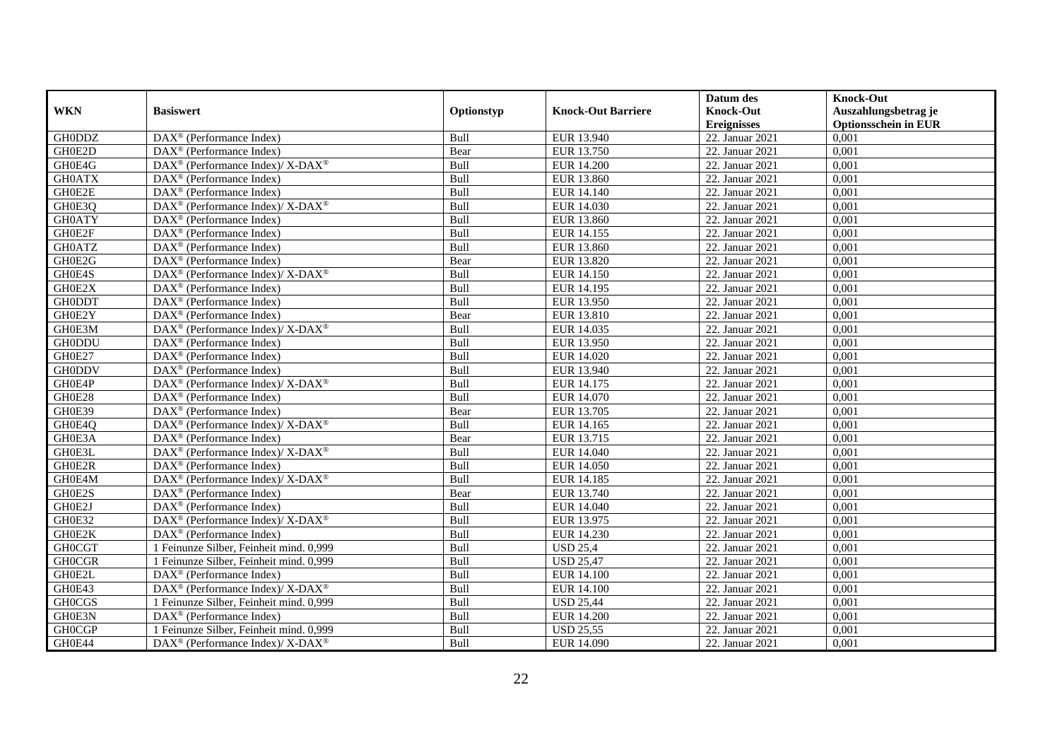|               |                                                                                         |            |                           | Datum des          | <b>Knock-Out</b>            |
|---------------|-----------------------------------------------------------------------------------------|------------|---------------------------|--------------------|-----------------------------|
| <b>WKN</b>    | <b>Basiswert</b>                                                                        | Optionstyp | <b>Knock-Out Barriere</b> | <b>Knock-Out</b>   | Auszahlungsbetrag je        |
|               |                                                                                         |            |                           | <b>Ereignisses</b> | <b>Optionsschein in EUR</b> |
| <b>GH0DDZ</b> | DAX <sup>®</sup> (Performance Index)                                                    | Bull       | EUR 13.940                | 22. Januar 2021    | 0,001                       |
| GH0E2D        | $\text{DAX}^{\textcircled{p}}$ (Performance Index)                                      | Bear       | EUR 13.750                | 22. Januar 2021    | 0,001                       |
| GH0E4G        | $\text{DAX}^{\circledast}$ (Performance Index)/ X-DAX <sup>®</sup>                      | Bull       | <b>EUR 14.200</b>         | 22. Januar 2021    | 0,001                       |
| <b>GH0ATX</b> | $\text{DAX}^{\textcircled{n}}$ (Performance Index)                                      | Bull       | EUR 13.860                | 22. Januar 2021    | 0,001                       |
| GH0E2E        | DAX <sup>®</sup> (Performance Index)                                                    | Bull       | EUR 14.140                | 22. Januar 2021    | 0,001                       |
| GH0E3Q        | $\text{DAX}^{\textcircled{\tiny{\textcircled{\tiny \dag}}}}$ (Performance Index)/X-DAX® | Bull       | EUR 14.030                | 22. Januar 2021    | 0,001                       |
| <b>GH0ATY</b> | $\text{DAX}^{\textcircled{D}}$ (Performance Index)                                      | Bull       | EUR 13.860                | 22. Januar 2021    | 0,001                       |
| GH0E2F        | $\text{DAX}^{\textcircled{D}}$ (Performance Index)                                      | Bull       | EUR 14.155                | 22. Januar 2021    | 0,001                       |
| <b>GH0ATZ</b> | $\text{DAX}^{\textcircled{D}}$ (Performance Index)                                      | Bull       | EUR 13.860                | 22. Januar 2021    | 0,001                       |
| GH0E2G        | DAX <sup>®</sup> (Performance Index)                                                    | Bear       | EUR 13.820                | 22. Januar 2021    | 0,001                       |
| GH0E4S        | $\text{DAX}^{\otimes}$ (Performance Index)/X-DAX <sup>®</sup>                           | Bull       | <b>EUR 14.150</b>         | 22. Januar 2021    | 0,001                       |
| GH0E2X        | DAX <sup>®</sup> (Performance Index)                                                    | Bull       | EUR 14.195                | 22. Januar 2021    | 0,001                       |
| <b>GH0DDT</b> | $\text{DAX}^{\circledast}$ (Performance Index)                                          | Bull       | EUR 13.950                | 22. Januar 2021    | 0,001                       |
| GH0E2Y        | DAX <sup>®</sup> (Performance Index)                                                    | Bear       | EUR 13.810                | 22. Januar 2021    | 0,001                       |
| GH0E3M        | $\text{DAX}^{\circledR}$ (Performance Index)/ X-DAX <sup>®</sup>                        | Bull       | EUR 14.035                | 22. Januar 2021    | 0,001                       |
| <b>GH0DDU</b> | DAX <sup>®</sup> (Performance Index)                                                    | Bull       | EUR 13.950                | 22. Januar 2021    | 0,001                       |
| GH0E27        | DAX <sup>®</sup> (Performance Index)                                                    | Bull       | EUR 14.020                | 22. Januar 2021    | 0,001                       |
| <b>GH0DDV</b> | $\overline{\text{DAX}^{\otimes}}$ (Performance Index)                                   | Bull       | EUR 13.940                | 22. Januar 2021    | 0,001                       |
| GH0E4P        | $\text{DAX}^{\circledast}$ (Performance Index)/ X-DAX <sup>®</sup>                      | Bull       | EUR 14.175                | 22. Januar 2021    | 0,001                       |
| GH0E28        | $\text{DAX}^{\textcircled{n}}$ (Performance Index)                                      | Bull       | EUR 14.070                | 22. Januar 2021    | 0,001                       |
| GH0E39        | DAX <sup>®</sup> (Performance Index)                                                    | Bear       | EUR 13.705                | 22. Januar 2021    | 0,001                       |
| GH0E4Q        | DAX <sup>®</sup> (Performance Index)/ X-DAX <sup>®</sup>                                | Bull       | EUR 14.165                | 22. Januar 2021    | 0,001                       |
| GH0E3A        | DAX <sup>®</sup> (Performance Index)                                                    | Bear       | EUR 13.715                | 22. Januar 2021    | 0,001                       |
| GH0E3L        | $DAX^{\circledcirc}$ (Performance Index)/X-DAX <sup>®</sup>                             | Bull       | EUR 14.040                | 22. Januar 2021    | 0,001                       |
| GH0E2R        | $\text{DAX}^{\textcircled{p}}$ (Performance Index)                                      | Bull       | <b>EUR 14.050</b>         | 22. Januar 2021    | 0,001                       |
| GH0E4M        | $\text{DAX}^{\circledR}$ (Performance Index)/ X-DAX <sup>®</sup>                        | Bull       | EUR 14.185                | 22. Januar 2021    | 0,001                       |
| GH0E2S        | DAX <sup>®</sup> (Performance Index)                                                    | Bear       | EUR 13.740                | 22. Januar 2021    | 0,001                       |
| GH0E2J        | $\overline{\text{DAX}^{\otimes}}$ (Performance Index)                                   | Bull       | EUR 14.040                | 22. Januar 2021    | 0,001                       |
| GH0E32        | $\text{DAX}^{\circledR}$ (Performance Index)/ X-DAX <sup>®</sup>                        | Bull       | EUR 13.975                | 22. Januar 2021    | 0,001                       |
| GH0E2K        | $DAX^{\circledR}$ (Performance Index)                                                   | Bull       | EUR 14.230                | 22. Januar 2021    | 0.001                       |
| <b>GHOCGT</b> | 1 Feinunze Silber, Feinheit mind. 0,999                                                 | Bull       | <b>USD 25,4</b>           | 22. Januar 2021    | 0,001                       |
| <b>GHOCGR</b> | 1 Feinunze Silber, Feinheit mind. 0,999                                                 | Bull       | <b>USD 25,47</b>          | 22. Januar 2021    | 0,001                       |
| GH0E2L        | DAX <sup>®</sup> (Performance Index)                                                    | Bull       | <b>EUR 14.100</b>         | 22. Januar 2021    | 0,001                       |
| GH0E43        | DAX <sup>®</sup> (Performance Index)/ X-DAX <sup>®</sup>                                | Bull       | <b>EUR 14.100</b>         | 22. Januar 2021    | 0,001                       |
| <b>GHOCGS</b> | 1 Feinunze Silber, Feinheit mind. 0,999                                                 | Bull       | <b>USD 25,44</b>          | 22. Januar 2021    | 0,001                       |
| GH0E3N        | $\text{DAX}^{\textcircled{p}}$ (Performance Index)                                      | Bull       | <b>EUR 14.200</b>         | 22. Januar 2021    | 0,001                       |
| <b>GHOCGP</b> | 1 Feinunze Silber, Feinheit mind. 0,999                                                 | Bull       | <b>USD 25,55</b>          | 22. Januar 2021    | 0,001                       |
| GH0E44        | $\text{DAX}^{\circledR}$ (Performance Index)/ X-DAX <sup>®</sup>                        | Bull       | EUR 14.090                | 22. Januar 2021    | 0,001                       |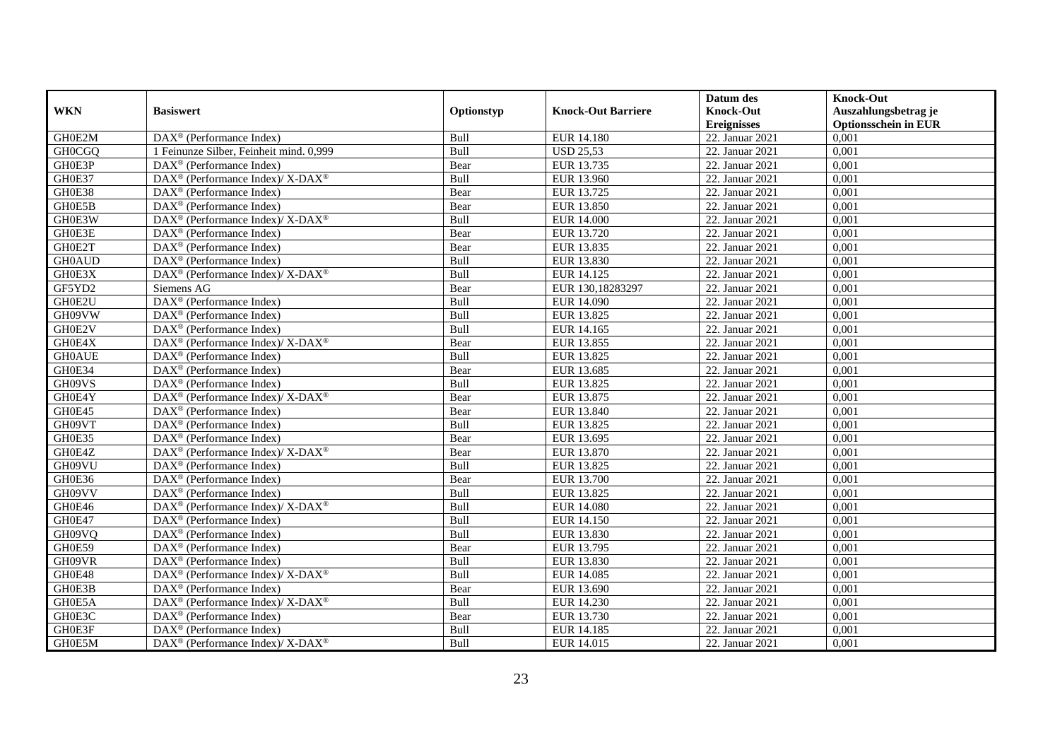|               |                                                                                         |             |                           | Datum des          | <b>Knock-Out</b>            |
|---------------|-----------------------------------------------------------------------------------------|-------------|---------------------------|--------------------|-----------------------------|
| <b>WKN</b>    | <b>Basiswert</b>                                                                        | Optionstyp  | <b>Knock-Out Barriere</b> | <b>Knock-Out</b>   | Auszahlungsbetrag je        |
|               |                                                                                         |             |                           | <b>Ereignisses</b> | <b>Optionsschein in EUR</b> |
| GH0E2M        | DAX <sup>®</sup> (Performance Index)                                                    | Bull        | EUR 14.180                | 22. Januar 2021    | 0,001                       |
| <b>GH0CGQ</b> | 1 Feinunze Silber, Feinheit mind. 0,999                                                 | Bull        | <b>USD 25,53</b>          | 22. Januar 2021    | 0,001                       |
| GH0E3P        | DAX <sup>®</sup> (Performance Index)                                                    | Bear        | EUR 13.735                | 22. Januar 2021    | 0,001                       |
| GH0E37        | $DAX^{\circledcirc}$ (Performance Index)/X-DAX <sup>®</sup>                             | Bull        | EUR 13.960                | 22. Januar 2021    | 0,001                       |
| GH0E38        | DAX <sup>®</sup> (Performance Index)                                                    | Bear        | EUR 13.725                | 22. Januar 2021    | 0,001                       |
| GH0E5B        | $\text{DAX}^{\textcircled{p}}$ (Performance Index)                                      | Bear        | <b>EUR 13.850</b>         | 22. Januar 2021    | 0,001                       |
| GH0E3W        | $DAX^{\circledcirc}$ (Performance Index)/X-DAX <sup>®</sup>                             | Bull        | EUR 14.000                | 22. Januar 2021    | 0,001                       |
| GH0E3E        | $\text{DAX}^{\textcircled{n}}$ (Performance Index)                                      | Bear        | EUR 13.720                | 22. Januar 2021    | 0,001                       |
| GH0E2T        | $\text{DAX}^{\textcircled{n}}$ (Performance Index)                                      | Bear        | EUR 13.835                | 22. Januar 2021    | 0,001                       |
| <b>GH0AUD</b> | DAX <sup>®</sup> (Performance Index)                                                    | Bull        | EUR 13.830                | 22. Januar 2021    | 0,001                       |
| GH0E3X        | DAX <sup>®</sup> (Performance Index)/X-DAX <sup>®</sup>                                 | Bull        | EUR 14.125                | 22. Januar 2021    | 0,001                       |
| GF5YD2        | Siemens AG                                                                              | Bear        | EUR 130,18283297          | 22. Januar 2021    | 0,001                       |
| GH0E2U        | DAX <sup>®</sup> (Performance Index)                                                    | Bull        | EUR 14.090                | 22. Januar 2021    | 0,001                       |
| GH09VW        | $\text{DAX}^{\textcircled{p}}$ (Performance Index)                                      | Bull        | EUR 13.825                | 22. Januar 2021    | 0,001                       |
| GH0E2V        | $\text{DAX}^{\otimes}$ (Performance Index)                                              | Bull        | EUR 14.165                | 22. Januar 2021    | 0,001                       |
| GH0E4X        | DAX <sup>®</sup> (Performance Index)/ X-DAX <sup>®</sup>                                | Bear        | EUR 13.855                | 22. Januar 2021    | 0,001                       |
| <b>GH0AUE</b> | DAX <sup>®</sup> (Performance Index)                                                    | Bull        | EUR 13.825                | 22. Januar 2021    | 0,001                       |
| GH0E34        | $\text{DAX}^{\textcircled{p}}$ (Performance Index)                                      | Bear        | EUR 13.685                | 22. Januar 2021    | 0,001                       |
| GH09VS        | DAX <sup>®</sup> (Performance Index)                                                    | Bull        | EUR 13.825                | 22. Januar 2021    | 0,001                       |
| GH0E4Y        | $\text{DAX}^{\circledR}$ (Performance Index)/ X-DAX <sup>®</sup>                        | Bear        | EUR 13.875                | 22. Januar 2021    | 0,001                       |
| GH0E45        | DAX <sup>®</sup> (Performance Index)                                                    | Bear        | EUR 13.840                | 22. Januar 2021    | 0,001                       |
| GH09VT        | $\overline{\text{DAX}^{\otimes}}$ (Performance Index)                                   | Bull        | EUR 13.825                | 22. Januar 2021    | 0,001                       |
| GH0E35        | DAX <sup>®</sup> (Performance Index)                                                    | Bear        | EUR 13.695                | 22. Januar 2021    | 0,001                       |
| GH0E4Z        | $\text{DAX}^{\circledR}$ (Performance Index)/ X-DAX <sup>®</sup>                        | Bear        | EUR 13.870                | 22. Januar 2021    | 0,001                       |
| GH09VU        | $\overline{\text{DAX}^{\otimes}}$ (Performance Index)                                   | <b>Bull</b> | EUR 13.825                | 22. Januar 2021    | 0.001                       |
| GH0E36        | DAX <sup>®</sup> (Performance Index)                                                    | Bear        | EUR 13.700                | 22. Januar 2021    | 0,001                       |
| GH09VV        | $\overline{\text{DAX}^{\otimes}}$ (Performance Index)                                   | Bull        | EUR 13.825                | 22. Januar 2021    | 0,001                       |
| GH0E46        | $\text{DAX}^{\circledR}$ (Performance Index)/ X-DAX <sup>®</sup>                        | Bull        | <b>EUR 14.080</b>         | 22. Januar 2021    | 0,001                       |
| GH0E47        | $\overline{\text{DAX}^{\otimes}}$ (Performance Index)                                   | Bull        | <b>EUR 14.150</b>         | 22. Januar 2021    | 0,001                       |
| GH09VQ        | $\text{DAX}^{\textcircled{n}}$ (Performance Index)                                      | Bull        | EUR 13.830                | 22. Januar 2021    | 0,001                       |
| GH0E59        | $\text{DAX}^{\textcircled{n}}$ (Performance Index)                                      | Bear        | EUR 13.795                | 22. Januar 2021    | 0,001                       |
| GH09VR        | $DAX^{\circledR}$ (Performance Index)                                                   | <b>Bull</b> | EUR 13.830                | 22. Januar 2021    | 0,001                       |
| GH0E48        | $\text{DAX}^{\textcircled{\tiny{\textcircled{\tiny \dag}}}}$ (Performance Index)/X-DAX® | Bull        | <b>EUR 14.085</b>         | 22. Januar 2021    | 0,001                       |
| GH0E3B        | DAX <sup>®</sup> (Performance Index)                                                    | Bear        | EUR 13.690                | 22. Januar 2021    | 0,001                       |
| GH0E5A        | $\text{DAX}^{\circledR}$ (Performance Index)/ X-DAX <sup>®</sup>                        | Bull        | EUR 14.230                | 22. Januar 2021    | 0,001                       |
| GH0E3C        | $\text{DAX}^{\textcircled{n}}$ (Performance Index)                                      | Bear        | EUR 13.730                | 22. Januar 2021    | 0,001                       |
| GH0E3F        | $\text{DAX}^{\circledast}$ (Performance Index)                                          | Bull        | EUR 14.185                | 22. Januar 2021    | 0,001                       |
| GH0E5M        | $\overline{\text{DAX}^{\textcircled{\tiny 0}}}$ (Performance Index)/X-DAX <sup>®</sup>  | Bull        | EUR 14.015                | 22. Januar 2021    | 0,001                       |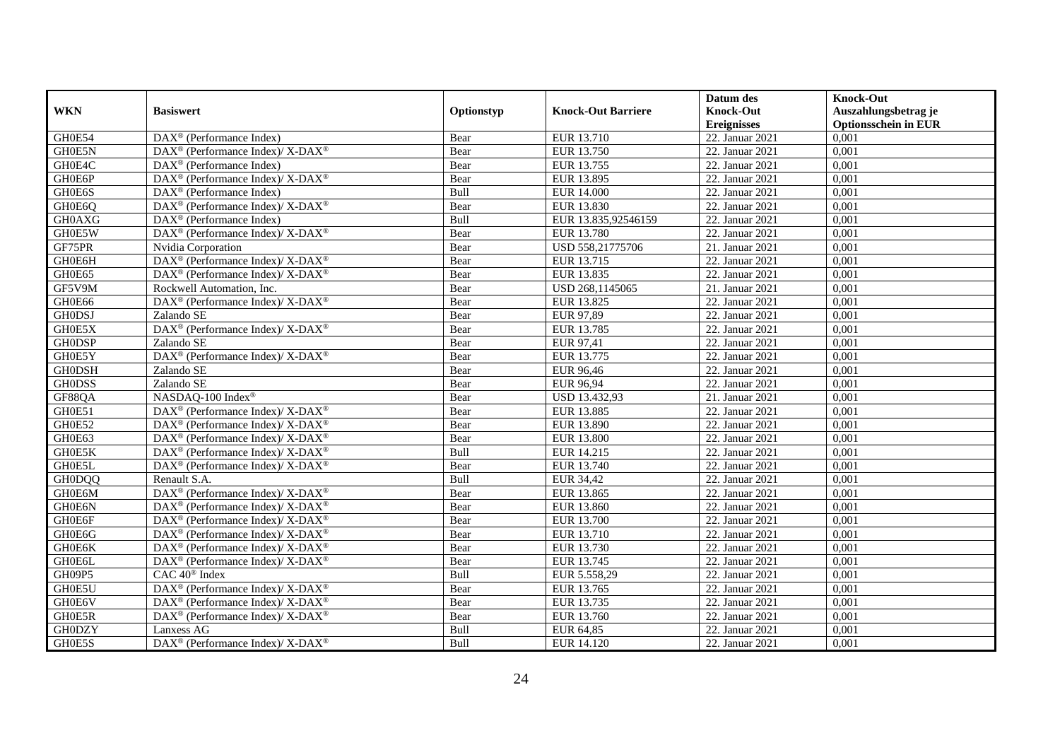|               |                                                             |            |                           | Datum des                              | <b>Knock-Out</b>                                    |
|---------------|-------------------------------------------------------------|------------|---------------------------|----------------------------------------|-----------------------------------------------------|
| <b>WKN</b>    | <b>Basiswert</b>                                            | Optionstyp | <b>Knock-Out Barriere</b> | <b>Knock-Out</b><br><b>Ereignisses</b> | Auszahlungsbetrag je<br><b>Optionsschein in EUR</b> |
| GH0E54        | $\overline{\text{DAX}^{\otimes}}$ (Performance Index)       | Bear       | EUR 13.710                | 22. Januar 2021                        | 0,001                                               |
| GH0E5N        | DAX <sup>®</sup> (Performance Index)/ X-DAX <sup>®</sup>    | Bear       | EUR 13.750                | 22. Januar 2021                        | 0,001                                               |
| GH0E4C        | $DAX^{\circledast}$ (Performance Index)                     | Bear       | EUR 13.755                | 22. Januar 2021                        | 0,001                                               |
| GH0E6P        | DAX <sup>®</sup> (Performance Index)/ X-DAX <sup>®</sup>    | Bear       | EUR 13.895                | 22. Januar 2021                        | 0,001                                               |
| GH0E6S        | DAX <sup>®</sup> (Performance Index)                        | Bull       | <b>EUR 14.000</b>         | 22. Januar 2021                        | 0,001                                               |
| GH0E6O        | DAX <sup>®</sup> (Performance Index)/X-DAX <sup>®</sup>     | Bear       | EUR 13.830                | 22. Januar 2021                        | 0,001                                               |
| <b>GH0AXG</b> | $\text{DAX}^{\circledast}$ (Performance Index)              | Bull       | EUR 13.835,92546159       | 22. Januar 2021                        | 0,001                                               |
| GH0E5W        | DAX <sup>®</sup> (Performance Index)/X-DAX <sup>®</sup>     | Bear       | EUR 13.780                | 22. Januar 2021                        | 0,001                                               |
| GF75PR        | Nvidia Corporation                                          | Bear       | USD 558,21775706          | 21. Januar 2021                        | 0,001                                               |
| GH0E6H        | DAX <sup>®</sup> (Performance Index)/ X-DAX <sup>®</sup>    | Bear       | EUR 13.715                | 22. Januar 2021                        | 0,001                                               |
| GH0E65        | $DAX^{\circledast}$ (Performance Index)/ X-DAX <sup>®</sup> | Bear       | EUR 13.835                | 22. Januar 2021                        | 0,001                                               |
| GF5V9M        | Rockwell Automation, Inc.                                   | Bear       | USD 268,1145065           | 21. Januar 2021                        | 0,001                                               |
| GH0E66        | DAX <sup>®</sup> (Performance Index)/ X-DAX <sup>®</sup>    | Bear       | EUR 13.825                | 22. Januar 2021                        | 0,001                                               |
| <b>GHODSJ</b> | Zalando SE                                                  | Bear       | EUR 97,89                 | 22. Januar 2021                        | 0,001                                               |
| GH0E5X        | DAX <sup>®</sup> (Performance Index)/ X-DAX <sup>®</sup>    | Bear       | EUR 13.785                | 22. Januar 2021                        | 0,001                                               |
| <b>GH0DSP</b> | Zalando SE                                                  | Bear       | <b>EUR 97,41</b>          | 22. Januar 2021                        | 0,001                                               |
| GH0E5Y        | DAX <sup>®</sup> (Performance Index)/ X-DAX <sup>®</sup>    | Bear       | EUR 13.775                | 22. Januar 2021                        | 0,001                                               |
| <b>GH0DSH</b> | Zalando SE                                                  | Bear       | EUR 96,46                 | 22. Januar 2021                        | 0,001                                               |
| <b>GH0DSS</b> | Zalando SE                                                  | Bear       | EUR 96,94                 | 22. Januar 2021                        | 0,001                                               |
| GF88QA        | NASDAQ-100 Index®                                           | Bear       | USD 13.432,93             | 21. Januar 2021                        | 0,001                                               |
| GH0E51        | DAX <sup>®</sup> (Performance Index)/ X-DAX <sup>®</sup>    | Bear       | EUR 13.885                | 22. Januar 2021                        | 0,001                                               |
| GH0E52        | $DAX^{\circledcirc}$ (Performance Index)/X-DAX <sup>®</sup> | Bear       | EUR 13.890                | 22. Januar 2021                        | 0,001                                               |
| GH0E63        | DAX <sup>®</sup> (Performance Index)/ X-DAX <sup>®</sup>    | Bear       | <b>EUR 13.800</b>         | 22. Januar 2021                        | 0,001                                               |
| GH0E5K        | DAX <sup>®</sup> (Performance Index)/ X-DAX <sup>®</sup>    | Bull       | EUR 14.215                | 22. Januar 2021                        | 0,001                                               |
| GH0E5L        | DAX <sup>®</sup> (Performance Index)/X-DAX <sup>®</sup>     | Bear       | EUR 13.740                | 22. Januar 2021                        | 0,001                                               |
| <b>GH0DQQ</b> | Renault S.A.                                                | Bull       | EUR 34,42                 | 22. Januar 2021                        | 0,001                                               |
| GH0E6M        | DAX <sup>®</sup> (Performance Index)/ X-DAX <sup>®</sup>    | Bear       | EUR 13.865                | 22. Januar 2021                        | 0,001                                               |
| GH0E6N        | DAX <sup>®</sup> (Performance Index)/ X-DAX <sup>®</sup>    | Bear       | EUR 13.860                | 22. Januar 2021                        | 0,001                                               |
| GH0E6F        | $DAX^{\circledast}$ (Performance Index)/ X-DAX <sup>®</sup> | Bear       | EUR 13.700                | 22. Januar 2021                        | 0,001                                               |
| GH0E6G        | $DAX^{\circledcirc}$ (Performance Index)/X-DAX <sup>®</sup> | Bear       | EUR 13.710                | 22. Januar 2021                        | 0.001                                               |
| GH0E6K        | DAX <sup>®</sup> (Performance Index)/X-DAX <sup>®</sup>     | Bear       | EUR 13.730                | 22. Januar 2021                        | 0,001                                               |
| GH0E6L        | DAX <sup>®</sup> (Performance Index)/ X-DAX <sup>®</sup>    | Bear       | EUR 13.745                | 22. Januar 2021                        | 0,001                                               |
| GH09P5        | $\overline{CAC 40^{\circledast} \text{ Index}}$             | Bull       | EUR 5.558,29              | 22. Januar 2021                        | 0,001                                               |
| GH0E5U        | DAX <sup>®</sup> (Performance Index)/ X-DAX <sup>®</sup>    | Bear       | EUR 13.765                | 22. Januar 2021                        | 0,001                                               |
| GH0E6V        | DAX <sup>®</sup> (Performance Index)/ X-DAX <sup>®</sup>    | Bear       | EUR 13.735                | 22. Januar 2021                        | 0,001                                               |
| GH0E5R        | $DAX^{\circledast}$ (Performance Index)/ X-DAX <sup>®</sup> | Bear       | EUR 13.760                | 22. Januar 2021                        | 0,001                                               |
| <b>GH0DZY</b> | Lanxess AG                                                  | Bull       | EUR 64,85                 | 22. Januar 2021                        | 0,001                                               |
| GH0E5S        | DAX <sup>®</sup> (Performance Index)/ X-DAX <sup>®</sup>    | Bull       | EUR 14.120                | 22. Januar 2021                        | 0,001                                               |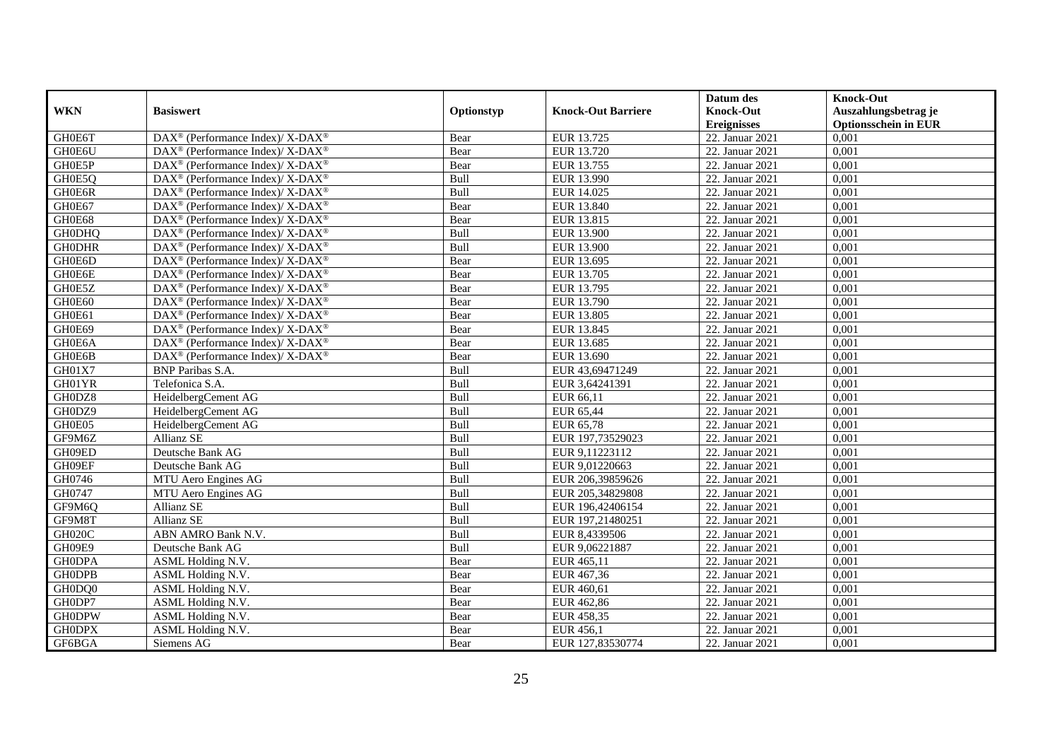|               |                                                                          |            |                           | Datum des          | <b>Knock-Out</b>            |
|---------------|--------------------------------------------------------------------------|------------|---------------------------|--------------------|-----------------------------|
| <b>WKN</b>    | <b>Basiswert</b>                                                         | Optionstyp | <b>Knock-Out Barriere</b> | <b>Knock-Out</b>   | Auszahlungsbetrag je        |
|               |                                                                          |            |                           | <b>Ereignisses</b> | <b>Optionsschein in EUR</b> |
| GH0E6T        | DAX <sup>®</sup> (Performance Index)/ X-DAX <sup>®</sup>                 | Bear       | EUR 13.725                | 22. Januar 2021    | 0,001                       |
| GH0E6U        | $DAX^{\circledcirc}$ (Performance Index)/ X-DAX <sup>®</sup>             | Bear       | EUR 13.720                | 22. Januar 2021    | 0,001                       |
| GH0E5P        | $\text{DAX}^{\circledast}$ (Performance Index)/ X-DAX <sup>®</sup>       | Bear       | EUR 13.755                | 22. Januar 2021    | 0,001                       |
| GH0E5Q        | $\text{DAX}^{\circledast}$ (Performance Index)/ X-DAX <sup>®</sup>       | Bull       | EUR 13.990                | 22. Januar 2021    | 0,001                       |
| GH0E6R        | DAX <sup>®</sup> (Performance Index)/ X-DAX <sup>®</sup>                 | Bull       | EUR 14.025                | 22. Januar 2021    | 0,001                       |
| GH0E67        | $\text{DAX}^{\circledR}$ (Performance Index)/ X-DAX <sup>®</sup>         | Bear       | EUR 13.840                | 22. Januar 2021    | 0,001                       |
| GH0E68        | $\text{DAX}^{\circledast}$ (Performance Index)/ X-DAX <sup>®</sup>       | Bear       | EUR 13.815                | 22. Januar 2021    | 0,001                       |
| <b>GH0DHO</b> | DAX <sup>®</sup> (Performance Index)/X-DAX <sup>®</sup>                  | Bull       | EUR 13.900                | 22. Januar 2021    | 0,001                       |
| <b>GH0DHR</b> | $\text{DAX}^{\circledast}$ (Performance Index)/ X-DAX <sup>®</sup>       | Bull       | <b>EUR 13.900</b>         | 22. Januar 2021    | 0,001                       |
| GH0E6D        | $DAX^{\circledcirc}$ (Performance Index)/X-DAX <sup>®</sup>              | Bear       | EUR 13.695                | 22. Januar 2021    | 0,001                       |
| GH0E6E        | $\overline{\text{DAX}^{\otimes}}$ (Performance Index)/X-DAX <sup>®</sup> | Bear       | EUR 13.705                | 22. Januar 2021    | 0,001                       |
| GH0E5Z        | $\text{DAX}^{\circledast}$ (Performance Index)/ X-DAX <sup>®</sup>       | Bear       | EUR 13.795                | 22. Januar 2021    | 0,001                       |
| GH0E60        | $\text{DAX}^{\circledR}$ (Performance Index)/ X-DAX <sup>®</sup>         | Bear       | EUR 13.790                | 22. Januar 2021    | 0,001                       |
| GH0E61        | $\text{DAX}^{\circledast}$ (Performance Index)/ X-DAX <sup>®</sup>       | Bear       | EUR 13.805                | 22. Januar 2021    | 0,001                       |
| GH0E69        | DAX <sup>®</sup> (Performance Index)/X-DAX <sup>®</sup>                  | Bear       | EUR 13.845                | 22. Januar 2021    | 0,001                       |
| GH0E6A        | $\text{DAX}^{\circledast}$ (Performance Index)/ X-DAX <sup>®</sup>       | Bear       | EUR 13.685                | 22. Januar 2021    | 0,001                       |
| GH0E6B        | DAX <sup>®</sup> (Performance Index)/ X-DAX <sup>®</sup>                 | Bear       | EUR 13.690                | 22. Januar 2021    | 0,001                       |
| GH01X7        | <b>BNP</b> Paribas S.A.                                                  | Bull       | EUR 43,69471249           | 22. Januar 2021    | 0.001                       |
| GH01YR        | Telefonica S.A.                                                          | Bull       | EUR 3,64241391            | 22. Januar 2021    | 0,001                       |
| GH0DZ8        | HeidelbergCement AG                                                      | Bull       | EUR 66,11                 | 22. Januar 2021    | 0,001                       |
| GH0DZ9        | HeidelbergCement AG                                                      | Bull       | EUR 65,44                 | 22. Januar 2021    | 0,001                       |
| GH0E05        | HeidelbergCement AG                                                      | Bull       | EUR 65,78                 | 22. Januar 2021    | 0,001                       |
| GF9M6Z        | Allianz SE                                                               | Bull       | EUR 197,73529023          | 22. Januar 2021    | 0,001                       |
| GH09ED        | Deutsche Bank AG                                                         | Bull       | EUR 9,11223112            | 22. Januar 2021    | 0,001                       |
| GH09EF        | Deutsche Bank AG                                                         | Bull       | EUR 9,01220663            | 22. Januar 2021    | 0,001                       |
| GH0746        | MTU Aero Engines AG                                                      | Bull       | EUR 206,39859626          | 22. Januar 2021    | 0,001                       |
| GH0747        | MTU Aero Engines AG                                                      | Bull       | EUR 205,34829808          | 22. Januar 2021    | 0,001                       |
| GF9M6Q        | Allianz SE                                                               | Bull       | EUR 196,42406154          | 22. Januar 2021    | 0,001                       |
| GF9M8T        | Allianz SE                                                               | Bull       | EUR 197,21480251          | 22. Januar 2021    | 0,001                       |
| GH020C        | ABN AMRO Bank N.V.                                                       | Bull       | EUR 8,4339506             | 22. Januar 2021    | 0,001                       |
| GH09E9        | Deutsche Bank AG                                                         | Bull       | EUR 9,06221887            | 22. Januar 2021    | 0,001                       |
| <b>GH0DPA</b> | ASML Holding N.V.                                                        | Bear       | EUR 465,11                | 22. Januar 2021    | 0,001                       |
| <b>GH0DPB</b> | ASML Holding N.V.                                                        | Bear       | EUR 467,36                | 22. Januar 2021    | 0,001                       |
| GH0DQ0        | ASML Holding N.V.                                                        | Bear       | EUR 460,61                | 22. Januar 2021    | 0,001                       |
| GH0DP7        | ASML Holding N.V.                                                        | Bear       | EUR 462,86                | 22. Januar 2021    | 0,001                       |
| <b>GH0DPW</b> | ASML Holding N.V.                                                        | Bear       | EUR 458,35                | 22. Januar 2021    | 0,001                       |
| <b>GH0DPX</b> | ASML Holding N.V.                                                        | Bear       | EUR 456,1                 | 22. Januar 2021    | 0,001                       |
| GF6BGA        | Siemens AG                                                               | Bear       | EUR 127,83530774          | 22. Januar 2021    | 0,001                       |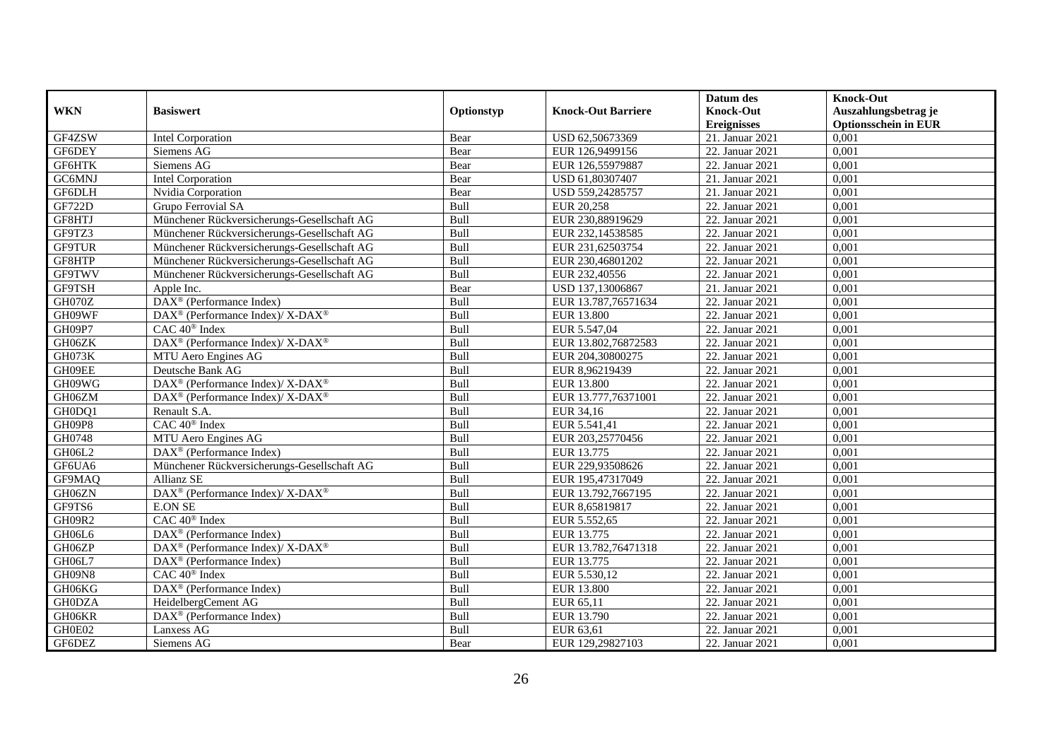|               |                                                          |            |                           | Datum des          | <b>Knock-Out</b>            |
|---------------|----------------------------------------------------------|------------|---------------------------|--------------------|-----------------------------|
| <b>WKN</b>    | <b>Basiswert</b>                                         | Optionstyp | <b>Knock-Out Barriere</b> | <b>Knock-Out</b>   | Auszahlungsbetrag je        |
|               |                                                          |            |                           | <b>Ereignisses</b> | <b>Optionsschein in EUR</b> |
| GF4ZSW        | <b>Intel Corporation</b>                                 | Bear       | USD 62,50673369           | 21. Januar 2021    | 0,001                       |
| GF6DEY        | Siemens AG                                               | Bear       | EUR 126,9499156           | 22. Januar 2021    | 0,001                       |
| GF6HTK        | Siemens AG                                               | Bear       | EUR 126,55979887          | 22. Januar 2021    | 0,001                       |
| GC6MNJ        | <b>Intel Corporation</b>                                 | Bear       | USD 61,80307407           | 21. Januar 2021    | 0,001                       |
| GF6DLH        | Nvidia Corporation                                       | Bear       | USD 559,24285757          | 21. Januar 2021    | 0,001                       |
| GF722D        | Grupo Ferrovial SA                                       | Bull       | EUR 20,258                | 22. Januar 2021    | 0,001                       |
| GF8HTJ        | Münchener Rückversicherungs-Gesellschaft AG              | Bull       | EUR 230,88919629          | 22. Januar 2021    | 0,001                       |
| GF9TZ3        | Münchener Rückversicherungs-Gesellschaft AG              | Bull       | EUR 232,14538585          | 22. Januar 2021    | 0,001                       |
| <b>GF9TUR</b> | Münchener Rückversicherungs-Gesellschaft AG              | Bull       | EUR 231,62503754          | 22. Januar 2021    | 0,001                       |
| GF8HTP        | Münchener Rückversicherungs-Gesellschaft AG              | Bull       | EUR 230,46801202          | 22. Januar 2021    | 0,001                       |
| <b>GF9TWV</b> | Münchener Rückversicherungs-Gesellschaft AG              | Bull       | EUR 232,40556             | 22. Januar 2021    | 0,001                       |
| GF9TSH        | Apple Inc.                                               | Bear       | USD 137,13006867          | 21. Januar 2021    | 0,001                       |
| GH070Z        | DAX <sup>®</sup> (Performance Index)                     | Bull       | EUR 13.787,76571634       | 22. Januar 2021    | 0,001                       |
| GH09WF        | DAX <sup>®</sup> (Performance Index)/ X-DAX <sup>®</sup> | Bull       | <b>EUR 13.800</b>         | 22. Januar 2021    | 0,001                       |
| GH09P7        | CAC 40 <sup>®</sup> Index                                | Bull       | EUR 5.547,04              | 22. Januar 2021    | 0,001                       |
| GH06ZK        | DAX <sup>®</sup> (Performance Index)/ X-DAX <sup>®</sup> | Bull       | EUR 13.802,76872583       | 22. Januar 2021    | 0,001                       |
| GH073K        | MTU Aero Engines AG                                      | Bull       | EUR 204,30800275          | 22. Januar 2021    | 0,001                       |
| GH09EE        | Deutsche Bank AG                                         | Bull       | EUR 8.96219439            | 22. Januar 2021    | 0,001                       |
| GH09WG        | DAX <sup>®</sup> (Performance Index)/X-DAX <sup>®</sup>  | Bull       | <b>EUR 13.800</b>         | 22. Januar 2021    | 0,001                       |
| GH06ZM        | DAX <sup>®</sup> (Performance Index)/ X-DAX <sup>®</sup> | Bull       | EUR 13.777,76371001       | 22. Januar 2021    | 0,001                       |
| GH0DQ1        | Renault S.A.                                             | Bull       | EUR 34,16                 | 22. Januar 2021    | 0,001                       |
| GH09P8        | CAC 40 <sup>®</sup> Index                                | Bull       | EUR 5.541,41              | 22. Januar 2021    | 0,001                       |
| GH0748        | MTU Aero Engines AG                                      | Bull       | EUR 203,25770456          | 22. Januar 2021    | 0,001                       |
| GH06L2        | DAX <sup>®</sup> (Performance Index)                     | Bull       | EUR 13.775                | 22. Januar 2021    | 0,001                       |
| GF6UA6        | Münchener Rückversicherungs-Gesellschaft AG              | Bull       | EUR 229,93508626          | 22. Januar 2021    | 0,001                       |
| GF9MAQ        | Allianz SE                                               | Bull       | EUR 195,47317049          | 22. Januar 2021    | 0,001                       |
| GH06ZN        | DAX <sup>®</sup> (Performance Index)/ X-DAX <sup>®</sup> | Bull       | EUR 13.792,7667195        | 22. Januar 2021    | 0,001                       |
| GF9TS6        | <b>E.ON SE</b>                                           | Bull       | EUR 8,65819817            | 22. Januar 2021    | 0,001                       |
| <b>GH09R2</b> | CAC 40 <sup>®</sup> Index                                | Bull       | EUR 5.552,65              | 22. Januar 2021    | 0,001                       |
| GH06L6        | $DAX^{\circledR}$ (Performance Index)                    | Bull       | EUR 13.775                | 22. Januar 2021    | 0,001                       |
| GH06ZP        | DAX <sup>®</sup> (Performance Index)/ X-DAX <sup>®</sup> | Bull       | EUR 13.782,76471318       | 22. Januar 2021    | 0,001                       |
| GH06L7        | DAX <sup>®</sup> (Performance Index)                     | Bull       | EUR 13.775                | 22. Januar 2021    | 0,001                       |
| GH09N8        | CAC 40 <sup>®</sup> Index                                | Bull       | EUR 5.530,12              | 22. Januar 2021    | 0,001                       |
| GH06KG        | DAX <sup>®</sup> (Performance Index)                     | Bull       | <b>EUR 13.800</b>         | 22. Januar 2021    | 0,001                       |
| <b>GH0DZA</b> | HeidelbergCement AG                                      | Bull       | EUR 65,11                 | 22. Januar 2021    | 0,001                       |
| GH06KR        | DAX <sup>®</sup> (Performance Index)                     | Bull       | EUR 13.790                | 22. Januar 2021    | 0,001                       |
| GH0E02        | Lanxess AG                                               | Bull       | EUR 63,61                 | 22. Januar 2021    | 0,001                       |
| GF6DEZ        | Siemens AG                                               | Bear       | EUR 129,29827103          | 22. Januar 2021    | 0,001                       |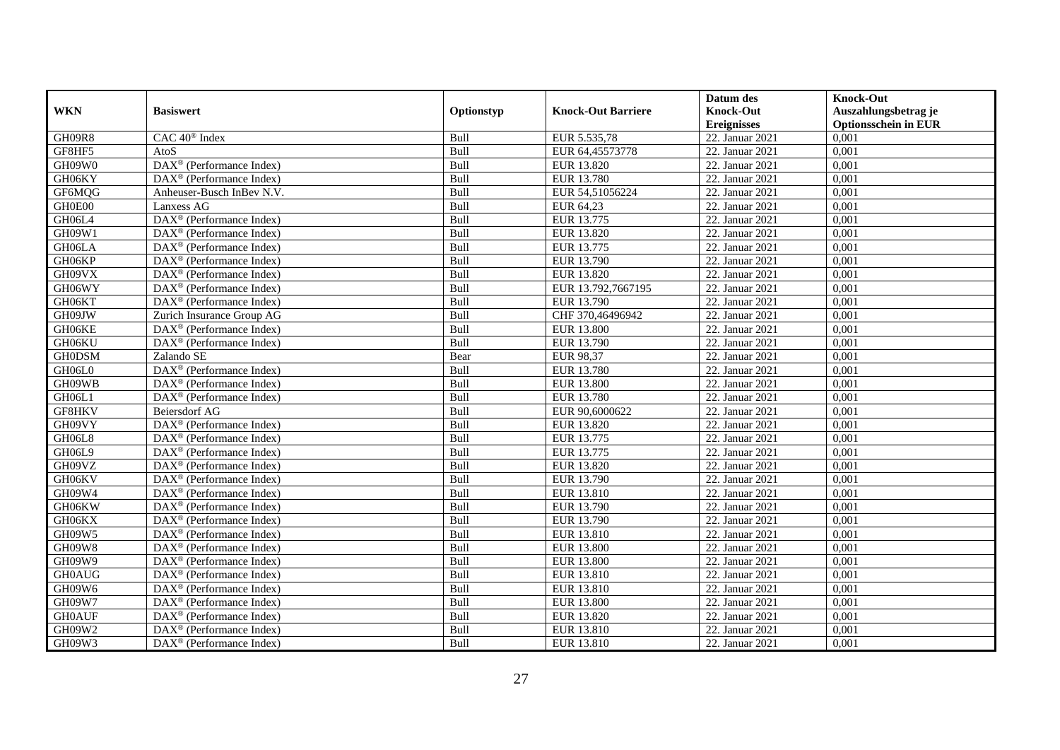|               |                                                              |             |                           | Datum des          | <b>Knock-Out</b>            |
|---------------|--------------------------------------------------------------|-------------|---------------------------|--------------------|-----------------------------|
| <b>WKN</b>    | <b>Basiswert</b>                                             | Optionstyp  | <b>Knock-Out Barriere</b> | <b>Knock-Out</b>   | Auszahlungsbetrag je        |
|               |                                                              |             |                           | <b>Ereignisses</b> | <b>Optionsschein in EUR</b> |
| GH09R8        | CAC 40 <sup>®</sup> Index                                    | Bull        | EUR 5.535,78              | 22. Januar 2021    | 0,001                       |
| GF8HF5        | AtoS                                                         | Bull        | EUR 64,45573778           | 22. Januar 2021    | 0,001                       |
| GH09W0        | $\text{DAX}^{\textcircled{D}}$ (Performance Index)           | Bull        | EUR 13.820                | 22. Januar 2021    | 0,001                       |
| GH06KY        | $\text{DAX}^{\otimes}$ (Performance Index)                   | <b>Bull</b> | EUR 13.780                | 22. Januar 2021    | 0,001                       |
| GF6MQG        | Anheuser-Busch InBev N.V.                                    | Bull        | EUR 54,51056224           | 22. Januar 2021    | 0,001                       |
| GH0E00        | Lanxess AG                                                   | Bull        | EUR 64,23                 | 22. Januar 2021    | 0,001                       |
| GH06L4        | $\overline{\text{DAX}}^{\textcirc}$ (Performance Index)      | Bull        | EUR 13.775                | 22. Januar 2021    | 0,001                       |
| GH09W1        | $\overline{\text{DAX}}^{\textcirc}$ (Performance Index)      | Bull        | <b>EUR 13.820</b>         | 22. Januar 2021    | 0,001                       |
| GH06LA        | DAX <sup>®</sup> (Performance Index)                         | Bull        | EUR 13.775                | 22. Januar 2021    | 0,001                       |
| GH06KP        | $\text{DAX}^{\textcircled{}}$ (Performance Index)            | Bull        | EUR 13.790                | 22. Januar 2021    | 0,001                       |
| GH09VX        | $\overline{\text{DAX}^{\otimes}}$ (Performance Index)        | Bull        | EUR 13.820                | 22. Januar 2021    | 0,001                       |
| GH06WY        | DAX <sup>®</sup> (Performance Index)                         | Bull        | EUR 13.792,7667195        | 22. Januar 2021    | 0,001                       |
| GH06KT        | $\overline{\text{DAX}}^{\textcirc}$ (Performance Index)      | Bull        | EUR 13.790                | 22. Januar 2021    | 0,001                       |
| GH09JW        | Zurich Insurance Group AG                                    | <b>Bull</b> | CHF 370,46496942          | 22. Januar 2021    | 0.001                       |
| GH06KE        | $DAX^{\otimes}$ (Performance Index)                          | Bull        | <b>EUR 13.800</b>         | 22. Januar 2021    | 0,001                       |
| GH06KU        | DAX <sup>®</sup> (Performance Index)                         | Bull        | EUR 13.790                | 22. Januar 2021    | 0,001                       |
| <b>GH0DSM</b> | Zalando SE                                                   | Bear        | EUR 98,37                 | 22. Januar 2021    | 0,001                       |
| GH06L0        | DAX <sup>®</sup> (Performance Index)                         | Bull        | <b>EUR 13.780</b>         | 22. Januar 2021    | 0,001                       |
| GH09WB        | $\text{DAX}^{\otimes}$ (Performance Index)                   | Bull        | <b>EUR 13.800</b>         | 22. Januar 2021    | 0,001                       |
| GH06L1        | DAX <sup>®</sup> (Performance Index)                         | Bull        | EUR 13.780                | 22. Januar 2021    | 0,001                       |
| GF8HKV        | <b>Beiersdorf AG</b>                                         | Bull        | EUR 90,6000622            | 22. Januar 2021    | 0,001                       |
| GH09VY        | $\text{DAX}^{\textcircled{p}}$ (Performance Index)           | Bull        | EUR 13.820                | 22. Januar 2021    | 0,001                       |
| GH06L8        | $\text{DAX}^{\textcircled{D}}$ (Performance Index)           | Bull        | EUR 13.775                | 22. Januar 2021    | 0,001                       |
| GH06L9        | $\text{DAX}^{\textcircled{D}}$ (Performance Index)           | Bull        | EUR 13.775                | 22. Januar 2021    | 0,001                       |
| GH09VZ        | $DAX^{\circledR}$ (Performance Index)                        | Bull        | EUR 13.820                | 22. Januar 2021    | 0,001                       |
| GH06KV        | DAX <sup>®</sup> (Performance Index)                         | Bull        | EUR 13.790                | 22. Januar 2021    | 0,001                       |
| GH09W4        | DAX <sup>®</sup> (Performance Index)                         | Bull        | EUR 13.810                | 22. Januar 2021    | 0,001                       |
| GH06KW        | DAX <sup>®</sup> (Performance Index)                         | Bull        | EUR 13.790                | 22. Januar 2021    | 0,001                       |
| GH06KX        | $\text{DAX}^{\textcircled{n}}$ (Performance Index)           | Bull        | EUR 13.790                | 22. Januar 2021    | 0,001                       |
| GH09W5        | $\text{DAX}^{\textcircled{n}}$ (Performance Index)           | Bull        | EUR 13.810                | 22. Januar 2021    | 0,001                       |
| GH09W8        | $DAX^{\otimes}$ (Performance Index)                          | Bull        | <b>EUR 13.800</b>         | 22. Januar 2021    | 0,001                       |
| GH09W9        | DAX <sup>®</sup> (Performance Index)                         | Bull        | <b>EUR 13.800</b>         | 22. Januar 2021    | 0,001                       |
| <b>GH0AUG</b> | $\overline{\text{DAX}^{\otimes}}$ (Performance Index)        | Bull        | EUR 13.810                | 22. Januar 2021    | 0,001                       |
| GH09W6        | $\overline{\text{DAX}^{\otimes}(\text{Performance Index})}$  | Bull        | EUR 13.810                | 22. Januar 2021    | 0,001                       |
| GH09W7        | $\text{DAX}^{\textcircled{n}}$ (Performance Index)           | Bull        | <b>EUR 13.800</b>         | 22. Januar 2021    | 0,001                       |
| <b>GH0AUF</b> | DAX <sup>®</sup> (Performance Index)                         | Bull        | EUR 13.820                | 22. Januar 2021    | 0,001                       |
| GH09W2        | $\text{DAX}^{\otimes}$ (Performance Index)                   | Bull        | EUR 13.810                | 22. Januar 2021    | 0,001                       |
| GH09W3        | $\overline{\text{DAX}}^{\textcircled{}}$ (Performance Index) | Bull        | EUR 13.810                | 22. Januar 2021    | 0,001                       |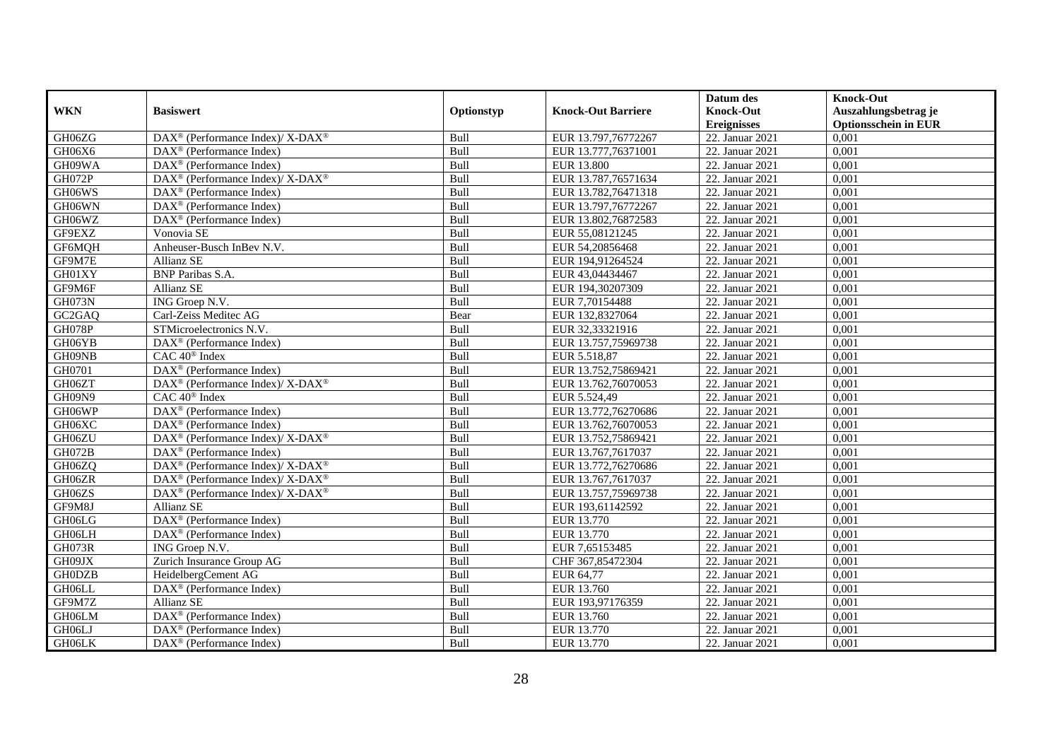|                                 |                                                                          |            |                           | Datum des          | <b>Knock-Out</b>            |
|---------------------------------|--------------------------------------------------------------------------|------------|---------------------------|--------------------|-----------------------------|
| <b>WKN</b>                      | <b>Basiswert</b>                                                         | Optionstyp | <b>Knock-Out Barriere</b> | <b>Knock-Out</b>   | Auszahlungsbetrag je        |
|                                 |                                                                          |            |                           | <b>Ereignisses</b> | <b>Optionsschein in EUR</b> |
| GH06ZG                          | DAX <sup>®</sup> (Performance Index)/ X-DAX <sup>®</sup>                 | Bull       | EUR 13.797,76772267       | 22. Januar 2021    | 0,001                       |
| GH06X6                          | $DAX^{\circledast}$ (Performance Index)                                  | Bull       | EUR 13.777,76371001       | 22. Januar 2021    | 0,001                       |
| GH09WA                          | $DAX^{\circledR}$ (Performance Index)                                    | Bull       | <b>EUR 13.800</b>         | 22. Januar 2021    | 0,001                       |
| GH072P                          | DAX <sup>®</sup> (Performance Index)/ X-DAX <sup>®</sup>                 | Bull       | EUR 13.787,76571634       | 22. Januar 2021    | 0,001                       |
| GH06WS                          | $DAX^{\circledast}$ (Performance Index)                                  | Bull       | EUR 13.782,76471318       | 22. Januar 2021    | 0,001                       |
| GH06WN                          | DAX <sup>®</sup> (Performance Index)                                     | Bull       | EUR 13.797,76772267       | 22. Januar 2021    | 0,001                       |
| GH06WZ                          | DAX <sup>®</sup> (Performance Index)                                     | Bull       | EUR 13.802,76872583       | 22. Januar 2021    | 0,001                       |
| GF9EXZ                          | Vonovia SE                                                               | Bull       | EUR 55,08121245           | 22. Januar 2021    | 0,001                       |
| GF6MQH                          | Anheuser-Busch InBev N.V.                                                | Bull       | EUR 54,20856468           | 22. Januar 2021    | 0,001                       |
| GF9M7E                          | <b>Allianz SE</b>                                                        | Bull       | EUR 194,91264524          | 22. Januar 2021    | 0,001                       |
| GH01XY                          | <b>BNP</b> Paribas S.A.                                                  | Bull       | EUR 43,04434467           | 22. Januar 2021    | 0,001                       |
| GF9M6F                          | Allianz SE                                                               | Bull       | EUR 194,30207309          | 22. Januar 2021    | 0,001                       |
| GH073N                          | ING Groep N.V.                                                           | Bull       | EUR 7,70154488            | 22. Januar 2021    | 0,001                       |
| GC <sub>2</sub> G <sub>AQ</sub> | Carl-Zeiss Meditec AG                                                    | Bear       | EUR 132,8327064           | 22. Januar 2021    | 0,001                       |
| <b>GH078P</b>                   | STMicroelectronics N.V.                                                  | Bull       | EUR 32,33321916           | 22. Januar 2021    | 0,001                       |
| GH06YB                          | $DAX^{\circledast}$ (Performance Index)                                  | Bull       | EUR 13.757,75969738       | 22. Januar 2021    | 0,001                       |
| GH09NB                          | CAC 40 <sup>®</sup> Index                                                | Bull       | EUR 5.518,87              | 22. Januar 2021    | 0,001                       |
| GH0701                          | $DAX^{\circledR}$ (Performance Index)                                    | Bull       | EUR 13.752,75869421       | 22. Januar 2021    | 0,001                       |
| GH06ZT                          | DAX <sup>®</sup> (Performance Index)/X-DAX <sup>®</sup>                  | Bull       | EUR 13.762,76070053       | 22. Januar 2021    | 0,001                       |
| GH09N9                          | $CAC 40^{\circledast}$ Index                                             | Bull       | EUR 5.524,49              | 22. Januar 2021    | 0,001                       |
| GH06WP                          | DAX <sup>®</sup> (Performance Index)                                     | Bull       | EUR 13.772,76270686       | 22. Januar 2021    | 0,001                       |
| GH06XC                          | $\text{DAX}^{\circledast}$ (Performance Index)                           | Bull       | EUR 13.762,76070053       | 22. Januar 2021    | 0,001                       |
| GH06ZU                          | DAX <sup>®</sup> (Performance Index)/ X-DAX <sup>®</sup>                 | Bull       | EUR 13.752,75869421       | 22. Januar 2021    | 0,001                       |
| <b>GH072B</b>                   | $DAX^{\circledR}$ (Performance Index)                                    | Bull       | EUR 13.767,7617037        | 22. Januar 2021    | 0,001                       |
| GH06ZQ                          | $\overline{\text{DAX}^{\otimes}}$ (Performance Index)/X-DAX <sup>®</sup> | Bull       | EUR 13.772,76270686       | 22. Januar 2021    | 0,001                       |
| GH06ZR                          | DAX <sup>®</sup> (Performance Index)/ X-DAX <sup>®</sup>                 | Bull       | EUR 13.767,7617037        | 22. Januar 2021    | 0,001                       |
| GH06ZS                          | DAX <sup>®</sup> (Performance Index)/X-DAX <sup>®</sup>                  | Bull       | EUR 13.757,75969738       | 22. Januar 2021    | 0,001                       |
| GF9M8J                          | <b>Allianz SE</b>                                                        | Bull       | EUR 193,61142592          | 22. Januar 2021    | 0,001                       |
| GH06LG                          | DAX <sup>®</sup> (Performance Index)                                     | Bull       | EUR 13.770                | 22. Januar 2021    | 0,001                       |
| GH06LH                          | DAX <sup>®</sup> (Performance Index)                                     | Bull       | EUR 13.770                | 22. Januar 2021    | 0,001                       |
| GH073R                          | ING Groep N.V.                                                           | Bull       | EUR 7,65153485            | 22. Januar 2021    | 0,001                       |
| GH09JX                          | Zurich Insurance Group AG                                                | Bull       | CHF 367,85472304          | 22. Januar 2021    | 0,001                       |
| <b>GH0DZB</b>                   | HeidelbergCement AG                                                      | Bull       | EUR 64,77                 | 22. Januar 2021    | 0,001                       |
| GH06LL                          | DAX <sup>®</sup> (Performance Index)                                     | Bull       | EUR 13.760                | 22. Januar 2021    | 0,001                       |
| GF9M7Z                          | Allianz SE                                                               | Bull       | EUR 193,97176359          | 22. Januar 2021    | 0,001                       |
| GH06LM                          | DAX <sup>®</sup> (Performance Index)                                     | Bull       | EUR 13.760                | 22. Januar 2021    | 0,001                       |
| GH06LJ                          | DAX <sup>®</sup> (Performance Index)                                     | Bull       | EUR 13.770                | 22. Januar 2021    | 0,001                       |
| GH06LK                          | $DAX^{\circledast}$ (Performance Index)                                  | Bull       | EUR 13.770                | 22. Januar 2021    | 0,001                       |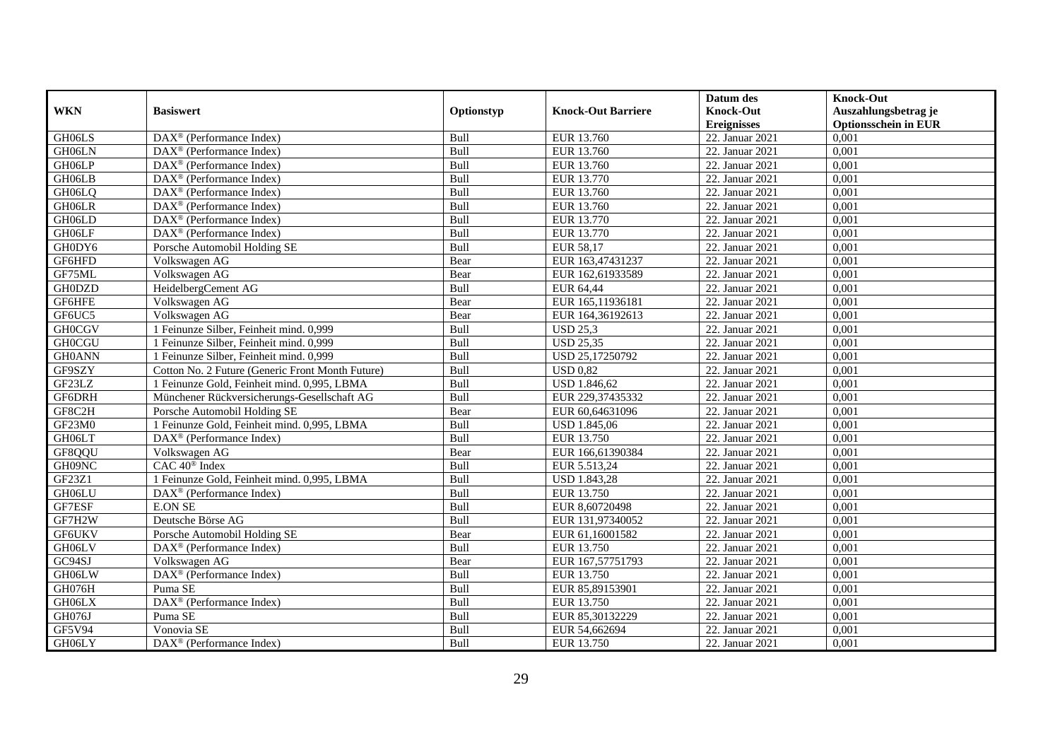|               |                                                              |            |                           | Datum des          | <b>Knock-Out</b>            |
|---------------|--------------------------------------------------------------|------------|---------------------------|--------------------|-----------------------------|
| <b>WKN</b>    | <b>Basiswert</b>                                             | Optionstyp | <b>Knock-Out Barriere</b> | <b>Knock-Out</b>   | Auszahlungsbetrag je        |
|               |                                                              |            |                           | <b>Ereignisses</b> | <b>Optionsschein in EUR</b> |
| GH06LS        | $\overline{\text{DAX}^{\otimes}}$ (Performance Index)        | Bull       | EUR 13.760                | 22. Januar 2021    | 0,001                       |
| GH06LN        | $\text{DAX}^{\textcircled{D}}$ (Performance Index)           | Bull       | EUR 13.760                | 22. Januar 2021    | 0,001                       |
| GH06LP        | DAX <sup>®</sup> (Performance Index)                         | Bull       | EUR 13.760                | 22. Januar 2021    | 0,001                       |
| GH06LB        | $\text{DAX}^{\textcircled{n}}$ (Performance Index)           | Bull       | EUR 13.770                | 22. Januar 2021    | 0,001                       |
| GH06LQ        | DAX <sup>®</sup> (Performance Index)                         | Bull       | EUR 13.760                | 22. Januar 2021    | 0,001                       |
| GH06LR        | $\overline{\text{DAX}}^{\textcircled{}}$ (Performance Index) | Bull       | EUR 13.760                | 22. Januar 2021    | 0,001                       |
| GH06LD        | $\text{DAX}^{\textcircled{n}}$ (Performance Index)           | Bull       | EUR 13.770                | 22. Januar 2021    | 0,001                       |
| GH06LF        | $DAX^{\otimes}$ (Performance Index)                          | Bull       | EUR 13.770                | 22. Januar 2021    | 0,001                       |
| GH0DY6        | Porsche Automobil Holding SE                                 | Bull       | EUR 58,17                 | 22. Januar 2021    | 0,001                       |
| GF6HFD        | Volkswagen AG                                                | Bear       | EUR 163,47431237          | 22. Januar 2021    | 0,001                       |
| GF75ML        | Volkswagen AG                                                | Bear       | EUR 162,61933589          | 22. Januar 2021    | 0,001                       |
| <b>GH0DZD</b> | HeidelbergCement AG                                          | Bull       | EUR 64,44                 | 22. Januar 2021    | 0,001                       |
| GF6HFE        | Volkswagen AG                                                | Bear       | EUR 165,11936181          | 22. Januar 2021    | 0,001                       |
| GF6UC5        | Volkswagen AG                                                | Bear       | EUR 164,36192613          | 22. Januar 2021    | 0,001                       |
| <b>GH0CGV</b> | 1 Feinunze Silber, Feinheit mind. 0,999                      | Bull       | <b>USD 25,3</b>           | 22. Januar 2021    | 0,001                       |
| <b>GH0CGU</b> | 1 Feinunze Silber, Feinheit mind. 0,999                      | Bull       | <b>USD 25,35</b>          | 22. Januar 2021    | 0,001                       |
| <b>GH0ANN</b> | 1 Feinunze Silber, Feinheit mind. 0,999                      | Bull       | USD 25,17250792           | 22. Januar 2021    | 0,001                       |
| GF9SZY        | Cotton No. 2 Future (Generic Front Month Future)             | Bull       | <b>USD 0.82</b>           | 22. Januar 2021    | 0,001                       |
| GF23LZ        | 1 Feinunze Gold, Feinheit mind. 0,995, LBMA                  | Bull       | <b>USD 1.846,62</b>       | 22. Januar 2021    | 0,001                       |
| GF6DRH        | Münchener Rückversicherungs-Gesellschaft AG                  | Bull       | EUR 229,37435332          | 22. Januar 2021    | 0,001                       |
| GF8C2H        | Porsche Automobil Holding SE                                 | Bear       | EUR 60,64631096           | 22. Januar 2021    | 0,001                       |
| GF23M0        | 1 Feinunze Gold, Feinheit mind. 0,995, LBMA                  | Bull       | <b>USD 1.845,06</b>       | 22. Januar 2021    | 0,001                       |
| GH06LT        | DAX <sup>®</sup> (Performance Index)                         | Bull       | EUR 13.750                | 22. Januar 2021    | 0,001                       |
| GF8QQU        | Volkswagen AG                                                | Bear       | EUR 166,61390384          | 22. Januar 2021    | 0,001                       |
| GH09NC        | CAC 40 <sup>®</sup> Index                                    | Bull       | EUR 5.513,24              | 22. Januar 2021    | 0,001                       |
| GF23Z1        | 1 Feinunze Gold, Feinheit mind. 0,995, LBMA                  | Bull       | <b>USD 1.843,28</b>       | 22. Januar 2021    | 0,001                       |
| GH06LU        | DAX <sup>®</sup> (Performance Index)                         | Bull       | EUR 13.750                | 22. Januar 2021    | 0,001                       |
| GF7ESF        | <b>E.ON SE</b>                                               | Bull       | EUR 8,60720498            | 22. Januar 2021    | 0.001                       |
| GF7H2W        | Deutsche Börse AG                                            | Bull       | EUR 131,97340052          | 22. Januar 2021    | 0,001                       |
| <b>GF6UKV</b> | Porsche Automobil Holding SE                                 | Bear       | EUR 61,16001582           | 22. Januar 2021    | 0,001                       |
| GH06LV        | $DAX^{\otimes}$ (Performance Index)                          | Bull       | EUR 13.750                | 22. Januar 2021    | 0,001                       |
| GC94SJ        | Volkswagen AG                                                | Bear       | EUR 167,57751793          | 22. Januar 2021    | 0,001                       |
| GH06LW        | DAX <sup>®</sup> (Performance Index)                         | Bull       | EUR 13.750                | 22. Januar 2021    | 0,001                       |
| GH076H        | Puma SE                                                      | Bull       | EUR 85,89153901           | 22. Januar 2021    | 0,001                       |
| GH06LX        | DAX <sup>®</sup> (Performance Index)                         | Bull       | EUR 13.750                | 22. Januar 2021    | 0,001                       |
| GH076J        | Puma SE                                                      | Bull       | EUR 85,30132229           | 22. Januar 2021    | 0,001                       |
| GF5V94        | Vonovia SE                                                   | Bull       | EUR 54,662694             | 22. Januar 2021    | 0,001                       |
| GH06LY        | DAX <sup>®</sup> (Performance Index)                         | Bull       | EUR 13.750                | 22. Januar 2021    | 0,001                       |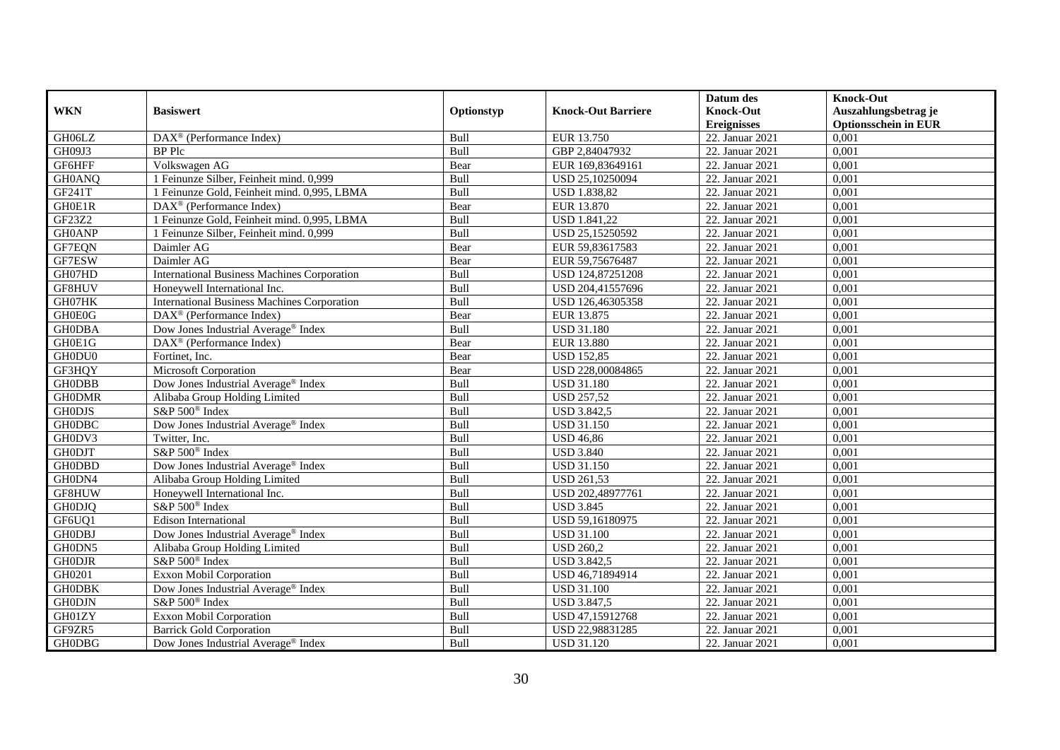|               |                                                    |            |                           | Datum des          | <b>Knock-Out</b>            |
|---------------|----------------------------------------------------|------------|---------------------------|--------------------|-----------------------------|
| <b>WKN</b>    | <b>Basiswert</b>                                   | Optionstyp | <b>Knock-Out Barriere</b> | <b>Knock-Out</b>   | Auszahlungsbetrag je        |
|               |                                                    |            |                           | <b>Ereignisses</b> | <b>Optionsschein in EUR</b> |
| GH06LZ        | DAX <sup>®</sup> (Performance Index)               | Bull       | EUR 13.750                | 22. Januar 2021    | 0,001                       |
| GH09J3        | <b>BP</b> Plc                                      | Bull       | GBP 2,84047932            | 22. Januar 2021    | 0,001                       |
| GF6HFF        | Volkswagen AG                                      | Bear       | EUR 169,83649161          | 22. Januar 2021    | 0,001                       |
| GH0ANQ        | 1 Feinunze Silber, Feinheit mind. 0,999            | Bull       | USD 25,10250094           | 22. Januar 2021    | 0,001                       |
| GF241T        | 1 Feinunze Gold, Feinheit mind. 0,995, LBMA        | Bull       | <b>USD 1.838,82</b>       | 22. Januar 2021    | 0,001                       |
| GH0E1R        | $\text{DAX}^{\textcircled{D}}$ (Performance Index) | Bear       | EUR 13.870                | 22. Januar 2021    | 0,001                       |
| GF23Z2        | 1 Feinunze Gold, Feinheit mind. 0,995, LBMA        | Bull       | <b>USD 1.841,22</b>       | 22. Januar 2021    | 0,001                       |
| <b>GH0ANP</b> | 1 Feinunze Silber, Feinheit mind. 0,999            | Bull       | USD 25,15250592           | 22. Januar 2021    | 0,001                       |
| GF7EQN        | Daimler AG                                         | Bear       | EUR 59,83617583           | 22. Januar 2021    | 0,001                       |
| GF7ESW        | Daimler AG                                         | Bear       | EUR 59,75676487           | 22. Januar 2021    | 0,001                       |
| GH07HD        | <b>International Business Machines Corporation</b> | Bull       | USD 124,87251208          | 22. Januar 2021    | 0,001                       |
| GF8HUV        | Honeywell International Inc.                       | Bull       | USD 204,41557696          | 22. Januar 2021    | 0,001                       |
| GH07HK        | <b>International Business Machines Corporation</b> | Bull       | USD 126,46305358          | 22. Januar 2021    | 0,001                       |
| GH0E0G        | $\text{DAX}^{\textcircled{D}}$ (Performance Index) | Bear       | EUR 13.875                | 22. Januar 2021    | 0,001                       |
| <b>GHODBA</b> | Dow Jones Industrial Average <sup>®</sup> Index    | Bull       | <b>USD 31.180</b>         | 22. Januar 2021    | 0,001                       |
| GH0E1G        | DAX <sup>®</sup> (Performance Index)               | Bear       | <b>EUR 13.880</b>         | 22. Januar 2021    | 0,001                       |
| GH0DU0        | Fortinet, Inc.                                     | Bear       | <b>USD 152,85</b>         | 22. Januar 2021    | 0,001                       |
| GF3HQY        | Microsoft Corporation                              | Bear       | USD 228,00084865          | 22. Januar 2021    | 0,001                       |
| <b>GH0DBB</b> | Dow Jones Industrial Average® Index                | Bull       | <b>USD 31.180</b>         | 22. Januar 2021    | 0,001                       |
| <b>GH0DMR</b> | Alibaba Group Holding Limited                      | Bull       | <b>USD 257,52</b>         | 22. Januar 2021    | 0,001                       |
| <b>GH0DJS</b> | S&P 500 <sup>®</sup> Index                         | Bull       | <b>USD 3.842,5</b>        | 22. Januar 2021    | 0,001                       |
| <b>GH0DBC</b> | Dow Jones Industrial Average® Index                | Bull       | <b>USD 31.150</b>         | 22. Januar 2021    | 0,001                       |
| GH0DV3        | Twitter, Inc.                                      | Bull       | <b>USD 46,86</b>          | 22. Januar 2021    | 0,001                       |
| <b>GH0DJT</b> | S&P 500 <sup>®</sup> Index                         | Bull       | <b>USD 3.840</b>          | 22. Januar 2021    | 0,001                       |
| <b>GH0DBD</b> | Dow Jones Industrial Average <sup>®</sup> Index    | Bull       | <b>USD 31.150</b>         | 22. Januar 2021    | 0.001                       |
| GH0DN4        | Alibaba Group Holding Limited                      | Bull       | <b>USD 261,53</b>         | 22. Januar 2021    | 0,001                       |
| GF8HUW        | Honeywell International Inc.                       | Bull       | USD 202,48977761          | 22. Januar 2021    | 0,001                       |
| <b>GH0DJQ</b> | S&P 500 <sup>®</sup> Index                         | Bull       | <b>USD 3.845</b>          | 22. Januar 2021    | 0,001                       |
| GF6UQ1        | <b>Edison International</b>                        | Bull       | USD 59,16180975           | 22. Januar 2021    | 0,001                       |
| <b>GH0DBJ</b> | Dow Jones Industrial Average® Index                | Bull       | <b>USD 31.100</b>         | 22. Januar 2021    | 0,001                       |
| GH0DN5        | Alibaba Group Holding Limited                      | Bull       | <b>USD 260,2</b>          | 22. Januar 2021    | 0,001                       |
| <b>GH0DJR</b> | S&P 500 <sup>®</sup> Index                         | Bull       | <b>USD 3.842,5</b>        | 22. Januar 2021    | 0,001                       |
| GH0201        | <b>Exxon Mobil Corporation</b>                     | Bull       | USD 46,71894914           | 22. Januar 2021    | 0,001                       |
| <b>GHODBK</b> | Dow Jones Industrial Average® Index                | Bull       | <b>USD 31.100</b>         | 22. Januar 2021    | 0,001                       |
| <b>GH0DJN</b> | S&P 500 <sup>®</sup> Index                         | Bull       | <b>USD 3.847,5</b>        | 22. Januar 2021    | 0,001                       |
| GH01ZY        | Exxon Mobil Corporation                            | Bull       | USD 47,15912768           | 22. Januar 2021    | 0,001                       |
| GF9ZR5        | <b>Barrick Gold Corporation</b>                    | Bull       | USD 22,98831285           | 22. Januar 2021    | 0,001                       |
| <b>GH0DBG</b> | Dow Jones Industrial Average <sup>®</sup> Index    | Bull       | <b>USD 31.120</b>         | 22. Januar 2021    | 0,001                       |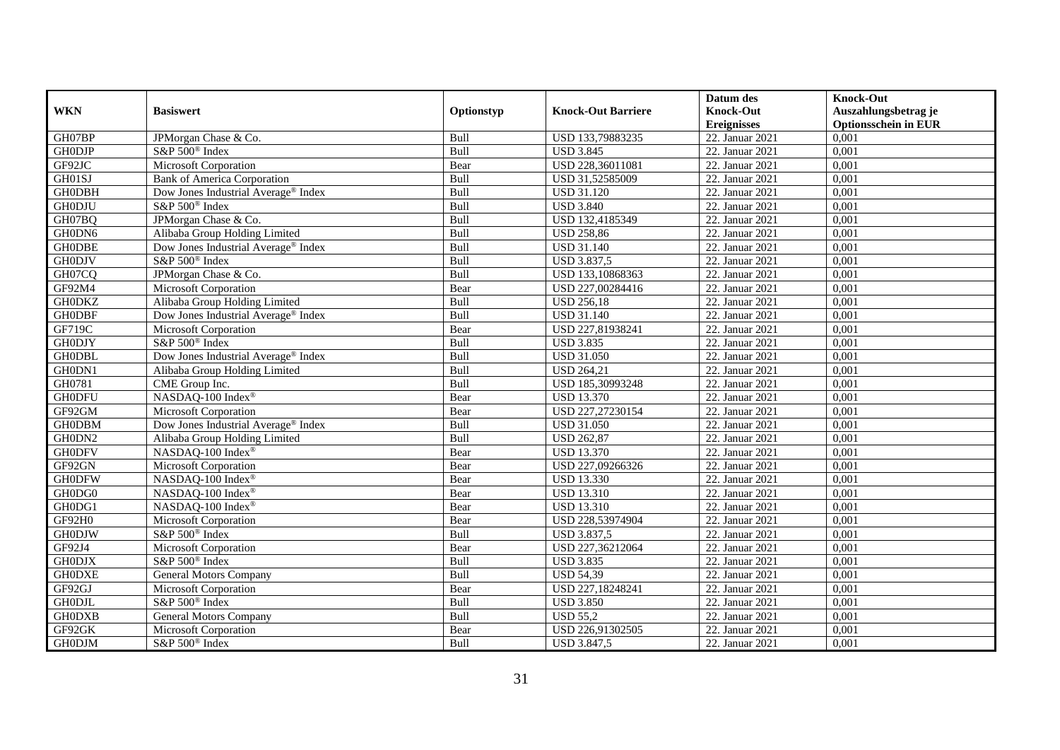|               |                                                 |             |                           | Datum des          | <b>Knock-Out</b>            |
|---------------|-------------------------------------------------|-------------|---------------------------|--------------------|-----------------------------|
| <b>WKN</b>    | <b>Basiswert</b>                                | Optionstyp  | <b>Knock-Out Barriere</b> | <b>Knock-Out</b>   | Auszahlungsbetrag je        |
|               |                                                 |             |                           | <b>Ereignisses</b> | <b>Optionsschein in EUR</b> |
| GH07BP        | JPMorgan Chase & Co.                            | Bull        | USD 133,79883235          | 22. Januar 2021    | 0,001                       |
| <b>GHODJP</b> | S&P 500 <sup>®</sup> Index                      | Bull        | <b>USD 3.845</b>          | 22. Januar 2021    | 0,001                       |
| GF92JC        | Microsoft Corporation                           | Bear        | USD 228,36011081          | 22. Januar 2021    | 0,001                       |
| GH01SJ        | <b>Bank of America Corporation</b>              | Bull        | USD 31,52585009           | 22. Januar 2021    | 0,001                       |
| <b>GH0DBH</b> | Dow Jones Industrial Average <sup>®</sup> Index | Bull        | <b>USD 31.120</b>         | 22. Januar 2021    | 0,001                       |
| <b>GH0DJU</b> | S&P 500 <sup>®</sup> Index                      | Bull        | <b>USD 3.840</b>          | 22. Januar 2021    | 0,001                       |
| GH07BQ        | JPMorgan Chase & Co.                            | Bull        | USD 132,4185349           | 22. Januar 2021    | 0,001                       |
| GH0DN6        | Alibaba Group Holding Limited                   | Bull        | <b>USD 258,86</b>         | 22. Januar 2021    | 0,001                       |
| <b>GHODBE</b> | Dow Jones Industrial Average® Index             | Bull        | <b>USD 31.140</b>         | 22. Januar 2021    | 0,001                       |
| <b>GH0DJV</b> | S&P 500 <sup>®</sup> Index                      | Bull        | <b>USD 3.837,5</b>        | 22. Januar 2021    | 0,001                       |
| GH07CQ        | JPMorgan Chase & Co.                            | Bull        | USD 133,10868363          | 22. Januar 2021    | 0,001                       |
| GF92M4        | Microsoft Corporation                           | Bear        | USD 227,00284416          | 22. Januar 2021    | 0,001                       |
| <b>GH0DKZ</b> | Alibaba Group Holding Limited                   | Bull        | <b>USD 256,18</b>         | 22. Januar 2021    | 0,001                       |
| <b>GH0DBF</b> | Dow Jones Industrial Average <sup>®</sup> Index | <b>Bull</b> | <b>USD 31.140</b>         | 22. Januar 2021    | 0.001                       |
| GF719C        | Microsoft Corporation                           | Bear        | USD 227,81938241          | 22. Januar 2021    | 0,001                       |
| <b>GH0DJY</b> | S&P 500 <sup>®</sup> Index                      | Bull        | <b>USD 3.835</b>          | 22. Januar 2021    | 0,001                       |
| <b>GH0DBL</b> | Dow Jones Industrial Average® Index             | Bull        | <b>USD 31.050</b>         | 22. Januar 2021    | 0,001                       |
| GH0DN1        | Alibaba Group Holding Limited                   | Bull        | <b>USD 264,21</b>         | 22. Januar 2021    | 0,001                       |
| GH0781        | CME Group Inc.                                  | Bull        | USD 185,30993248          | 22. Januar 2021    | 0,001                       |
| <b>GH0DFU</b> | NASDAQ-100 Index®                               | Bear        | <b>USD 13.370</b>         | 22. Januar 2021    | 0,001                       |
| GF92GM        | Microsoft Corporation                           | Bear        | USD 227,27230154          | 22. Januar 2021    | 0,001                       |
| <b>GH0DBM</b> | Dow Jones Industrial Average® Index             | <b>Bull</b> | <b>USD 31.050</b>         | 22. Januar 2021    | 0,001                       |
| GH0DN2        | Alibaba Group Holding Limited                   | Bull        | <b>USD 262,87</b>         | $22.$ Januar 2021  | 0,001                       |
| <b>GH0DFV</b> | NASDAQ-100 Index®                               | Bear        | <b>USD 13.370</b>         | 22. Januar 2021    | 0,001                       |
| GF92GN        | Microsoft Corporation                           | Bear        | USD 227,09266326          | 22. Januar 2021    | 0,001                       |
| <b>GH0DFW</b> | NASDAQ-100 Index®                               | Bear        | <b>USD 13.330</b>         | 22. Januar 2021    | 0,001                       |
| GH0DG0        | NASDAQ-100 Index®                               | Bear        | <b>USD 13.310</b>         | 22. Januar 2021    | 0,001                       |
| GH0DG1        | NASDAQ-100 Index®                               | Bear        | <b>USD 13.310</b>         | 22. Januar 2021    | 0,001                       |
| GF92H0        | Microsoft Corporation                           | Bear        | USD 228,53974904          | 22. Januar 2021    | 0,001                       |
| <b>GH0DJW</b> | S&P 500 <sup>®</sup> Index                      | Bull        | <b>USD 3.837,5</b>        | 22. Januar 2021    | 0,001                       |
| GF92J4        | Microsoft Corporation                           | Bear        | USD 227,36212064          | 22. Januar 2021    | 0,001                       |
| <b>GH0DJX</b> | S&P 500 <sup>®</sup> Index                      | Bull        | <b>USD 3.835</b>          | 22. Januar 2021    | 0,001                       |
| <b>GH0DXE</b> | <b>General Motors Company</b>                   | Bull        | <b>USD 54,39</b>          | 22. Januar 2021    | 0,001                       |
| GF92GJ        | Microsoft Corporation                           | Bear        | USD 227,18248241          | 22. Januar 2021    | 0,001                       |
| <b>GH0DJL</b> | S&P 500 <sup>®</sup> Index                      | Bull        | <b>USD 3.850</b>          | 22. Januar 2021    | 0,001                       |
| <b>GH0DXB</b> | <b>General Motors Company</b>                   | Bull        | <b>USD 55,2</b>           | 22. Januar 2021    | 0,001                       |
| GF92GK        | Microsoft Corporation                           | Bear        | USD 226,91302505          | 22. Januar 2021    | 0,001                       |
| <b>GH0DJM</b> | S&P 500 <sup>®</sup> Index                      | Bull        | <b>USD 3.847,5</b>        | 22. Januar 2021    | 0,001                       |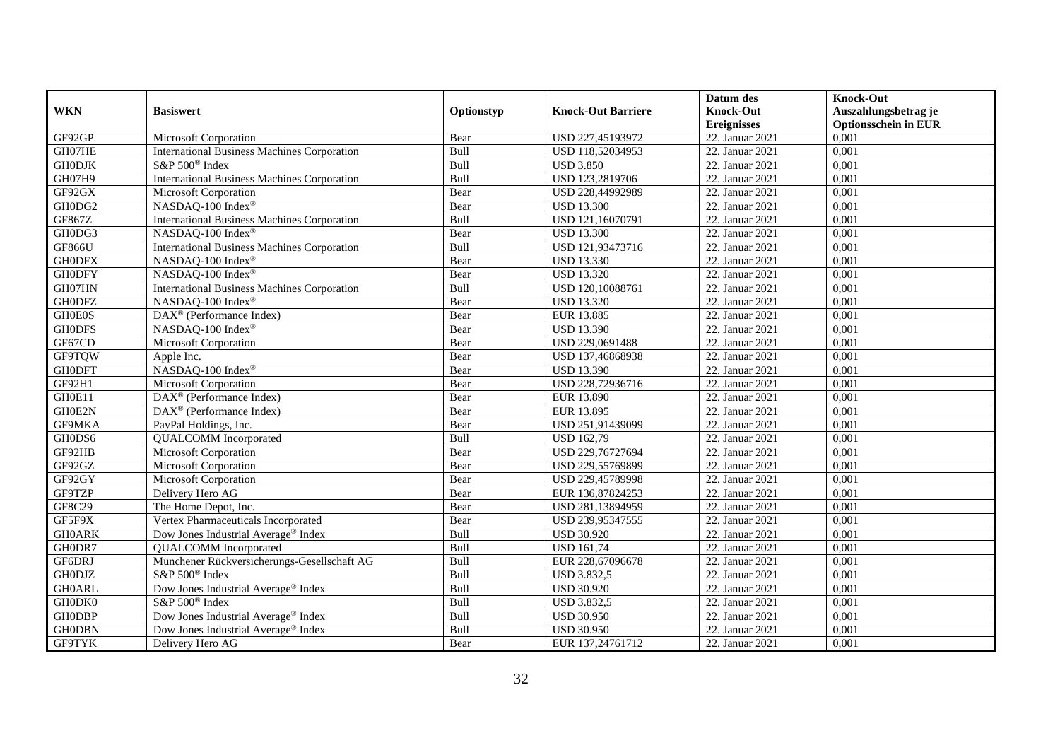|               |                                                    |            |                           | Datum des          | <b>Knock-Out</b>            |
|---------------|----------------------------------------------------|------------|---------------------------|--------------------|-----------------------------|
| <b>WKN</b>    | <b>Basiswert</b>                                   | Optionstyp | <b>Knock-Out Barriere</b> | <b>Knock-Out</b>   | Auszahlungsbetrag je        |
|               |                                                    |            |                           | <b>Ereignisses</b> | <b>Optionsschein in EUR</b> |
| GF92GP        | Microsoft Corporation                              | Bear       | USD 227,45193972          | 22. Januar 2021    | 0,001                       |
| GH07HE        | <b>International Business Machines Corporation</b> | Bull       | USD 118,52034953          | 22. Januar 2021    | 0,001                       |
| <b>GH0DJK</b> | S&P 500 <sup>®</sup> Index                         | Bull       | <b>USD 3.850</b>          | 22. Januar 2021    | 0,001                       |
| GH07H9        | <b>International Business Machines Corporation</b> | Bull       | USD 123,2819706           | 22. Januar 2021    | 0,001                       |
| GF92GX        | Microsoft Corporation                              | Bear       | USD 228,44992989          | 22. Januar 2021    | 0,001                       |
| GH0DG2        | NASDAQ-100 Index®                                  | Bear       | <b>USD 13.300</b>         | 22. Januar 2021    | 0,001                       |
| GF867Z        | <b>International Business Machines Corporation</b> | Bull       | USD 121,16070791          | 22. Januar 2021    | 0,001                       |
| GH0DG3        | NASDAQ-100 Index®                                  | Bear       | <b>USD 13.300</b>         | 22. Januar 2021    | 0,001                       |
| <b>GF866U</b> | <b>International Business Machines Corporation</b> | Bull       | USD 121,93473716          | 22. Januar 2021    | 0,001                       |
| <b>GH0DFX</b> | NASDAQ-100 Index <sup>®</sup>                      | Bear       | <b>USD 13.330</b>         | 22. Januar 2021    | 0,001                       |
| <b>GH0DFY</b> | NASDAQ-100 Index®                                  | Bear       | <b>USD 13.320</b>         | 22. Januar 2021    | 0,001                       |
| GH07HN        | <b>International Business Machines Corporation</b> | Bull       | USD 120,10088761          | 22. Januar 2021    | 0,001                       |
| <b>GH0DFZ</b> | NASDAQ-100 Index®                                  | Bear       | <b>USD 13.320</b>         | 22. Januar 2021    | 0,001                       |
| <b>GH0E0S</b> | $DAX^{\circledR}$ (Performance Index)              | Bear       | EUR 13.885                | 22. Januar 2021    | 0.001                       |
| <b>GH0DFS</b> | NASDAQ-100 Index®                                  | Bear       | <b>USD 13.390</b>         | 22. Januar 2021    | 0,001                       |
| GF67CD        | Microsoft Corporation                              | Bear       | USD 229,0691488           | 22. Januar 2021    | 0,001                       |
| <b>GF9TQW</b> | Apple Inc.                                         | Bear       | USD 137,46868938          | 22. Januar 2021    | 0,001                       |
| <b>GH0DFT</b> | NASDAQ-100 Index®                                  | Bear       | <b>USD 13.390</b>         | 22. Januar 2021    | 0,001                       |
| GF92H1        | Microsoft Corporation                              | Bear       | USD 228,72936716          | 22. Januar 2021    | 0,001                       |
| GH0E11        | $\text{DAX}^{\textcircled{n}}$ (Performance Index) | Bear       | EUR 13.890                | 22. Januar 2021    | 0,001                       |
| GH0E2N        | DAX <sup>®</sup> (Performance Index)               | Bear       | EUR 13.895                | 22. Januar 2021    | 0,001                       |
| GF9MKA        | PayPal Holdings, Inc.                              | Bear       | USD 251,91439099          | 22. Januar 2021    | 0,001                       |
| GH0DS6        | <b>QUALCOMM</b> Incorporated                       | Bull       | <b>USD 162,79</b>         | 22. Januar 2021    | 0,001                       |
| GF92HB        | Microsoft Corporation                              | Bear       | USD 229,76727694          | 22. Januar 2021    | 0,001                       |
| GF92GZ        | Microsoft Corporation                              | Bear       | USD 229,55769899          | 22. Januar 2021    | 0,001                       |
| GF92GY        | Microsoft Corporation                              | Bear       | USD 229,45789998          | 22. Januar 2021    | 0,001                       |
| GF9TZP        | Delivery Hero AG                                   | Bear       | EUR 136,87824253          | 22. Januar 2021    | 0,001                       |
| GF8C29        | The Home Depot, Inc.                               | Bear       | USD 281,13894959          | 22. Januar 2021    | 0,001                       |
| GF5F9X        | Vertex Pharmaceuticals Incorporated                | Bear       | USD 239,95347555          | 22. Januar 2021    | 0,001                       |
| <b>GH0ARK</b> | Dow Jones Industrial Average <sup>®</sup> Index    | Bull       | <b>USD 30.920</b>         | 22. Januar 2021    | 0,001                       |
| GH0DR7        | <b>QUALCOMM</b> Incorporated                       | Bull       | <b>USD 161,74</b>         | 22. Januar 2021    | 0,001                       |
| GF6DRJ        | Münchener Rückversicherungs-Gesellschaft AG        | Bull       | EUR 228,67096678          | 22. Januar 2021    | 0,001                       |
| <b>GH0DJZ</b> | S&P 500 <sup>®</sup> Index                         | Bull       | <b>USD 3.832,5</b>        | 22. Januar 2021    | 0,001                       |
| <b>GH0ARL</b> | Dow Jones Industrial Average® Index                | Bull       | <b>USD 30.920</b>         | 22. Januar 2021    | 0,001                       |
| GH0DK0        | S&P 500 <sup>®</sup> Index                         | Bull       | <b>USD 3.832,5</b>        | 22. Januar 2021    | 0,001                       |
| <b>GH0DBP</b> | Dow Jones Industrial Average® Index                | Bull       | <b>USD 30.950</b>         | 22. Januar 2021    | 0,001                       |
| <b>GH0DBN</b> | Dow Jones Industrial Average® Index                | Bull       | <b>USD 30.950</b>         | 22. Januar 2021    | 0,001                       |
| <b>GF9TYK</b> | Delivery Hero AG                                   | Bear       | EUR 137,24761712          | 22. Januar 2021    | 0,001                       |